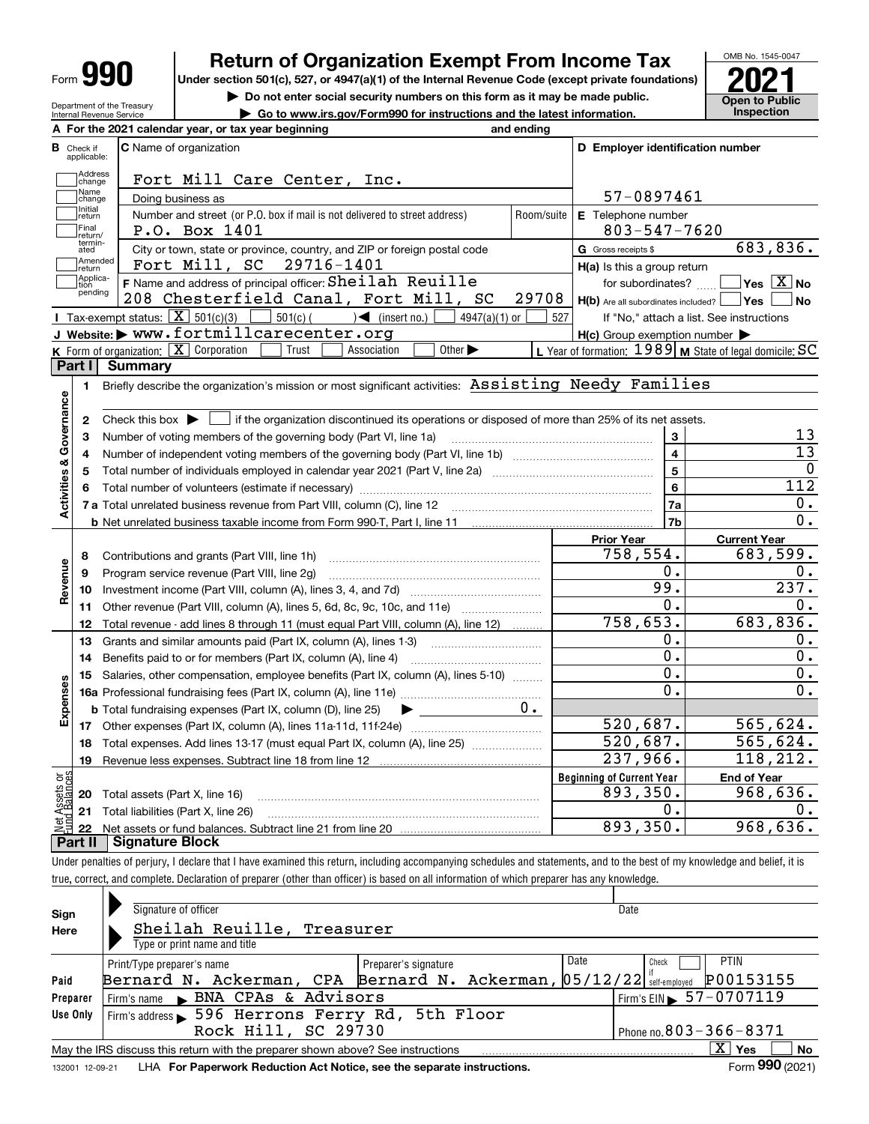| Form |  |
|------|--|
|------|--|

## **Return of Organization Exempt From Income Tax**

Under section 501(c), 527, or 4947(a)(1) of the Internal Revenue Code (except private foundations) **2021** 

OMB No. 1545-0047

**Open to Public** 

**| Do not enter social security numbers on this form as it may be made public.**

| Department of the Treasury<br>Internal Revenue Service |                                                     | $\triangleright$ Go to www.irs.gov/Form990 for instructions and the latest information. | <b>UNUILLUI UN</b><br>Inspection |
|--------------------------------------------------------|-----------------------------------------------------|-----------------------------------------------------------------------------------------|----------------------------------|
|                                                        | A For the 2021 calendar year, or tax year beginning | and ending                                                                              |                                  |

|                         | <b>B</b> Check if<br>applicable: | <b>C</b> Name of organization                                                                                                                       |            | D Employer identification number                    |                                                           |
|-------------------------|----------------------------------|-----------------------------------------------------------------------------------------------------------------------------------------------------|------------|-----------------------------------------------------|-----------------------------------------------------------|
|                         | Address<br>change                | Fort Mill Care Center,<br>Inc.                                                                                                                      |            |                                                     |                                                           |
|                         | Name<br>change                   | Doing business as                                                                                                                                   |            | 57-0897461                                          |                                                           |
|                         | Initial<br>return                | Number and street (or P.O. box if mail is not delivered to street address)                                                                          | Room/suite | E Telephone number                                  |                                                           |
|                         | Final<br>return/                 | P.O. Box 1401                                                                                                                                       |            | $803 - 547 - 7620$                                  |                                                           |
|                         | termin-<br>ated                  | City or town, state or province, country, and ZIP or foreign postal code                                                                            |            | G Gross receipts \$                                 | 683,836.                                                  |
|                         | Amended<br>return                | Fort Mill, SC 29716-1401                                                                                                                            |            | H(a) Is this a group return                         |                                                           |
|                         | Applica-<br>tion                 | F Name and address of principal officer: Sheilah Reuille                                                                                            |            |                                                     | for subordinates? $\Box$ Yes $\boxed{X}$ No               |
|                         | pending                          | 208 Chesterfield Canal, Fort Mill, SC                                                                                                               | 29708      | $H(b)$ Are all subordinates included? $\vert$ Yes   | No                                                        |
|                         |                                  | Tax-exempt status: $\boxed{\mathbf{X}}$ 501(c)(3) $\boxed{\phantom{0}}$ 501(c)( $\phantom{0}$ ) (insert no.)<br>$4947(a)(1)$ or                     | 527        |                                                     | If "No," attach a list. See instructions                  |
|                         |                                  | J Website: > www.fortmillcarecenter.org                                                                                                             |            | $H(c)$ Group exemption number $\blacktriangleright$ |                                                           |
|                         |                                  | K Form of organization: $X$ Corporation<br>Other $\blacktriangleright$<br>Trust<br>Association                                                      |            |                                                     | L Year of formation: $1989$ M State of legal domicile: SC |
|                         | Part I                           | <b>Summary</b>                                                                                                                                      |            |                                                     |                                                           |
|                         | 1.                               | Briefly describe the organization's mission or most significant activities: Assisting Needy Families                                                |            |                                                     |                                                           |
| Activities & Governance |                                  |                                                                                                                                                     |            |                                                     |                                                           |
|                         | 2                                | Check this box $\blacktriangleright$ $\blacksquare$ if the organization discontinued its operations or disposed of more than 25% of its net assets. |            |                                                     |                                                           |
|                         | з                                | Number of voting members of the governing body (Part VI, line 1a)                                                                                   |            | 3                                                   | 13                                                        |
|                         | 4                                |                                                                                                                                                     |            | $\overline{\mathbf{4}}$                             | $\overline{13}$                                           |
|                         | 5                                |                                                                                                                                                     |            | $\overline{\mathbf{5}}$                             | 0                                                         |
|                         |                                  |                                                                                                                                                     |            | 6                                                   | 112                                                       |
|                         |                                  |                                                                                                                                                     |            | 7a                                                  | 0.                                                        |
|                         |                                  | <b>b</b> Net unrelated business taxable income from Form 990-T, Part I, line 11                                                                     |            | 7b                                                  | $\overline{0}$ .                                          |
|                         |                                  |                                                                                                                                                     |            | <b>Prior Year</b>                                   | <b>Current Year</b>                                       |
|                         | 8                                | Contributions and grants (Part VIII, line 1h)                                                                                                       |            | 758,554.                                            | 683,599.                                                  |
|                         | 9                                | Program service revenue (Part VIII, line 2g)                                                                                                        |            | 0.                                                  | 0.                                                        |
| Revenue                 | 10                               |                                                                                                                                                     |            | 99.                                                 | $\overline{237}$ .                                        |
|                         | 11                               | Other revenue (Part VIII, column (A), lines 5, 6d, 8c, 9c, 10c, and 11e)                                                                            |            | $0$ .                                               | 0.                                                        |
|                         | 12                               | Total revenue - add lines 8 through 11 (must equal Part VIII, column (A), line 12)                                                                  |            | 758,653.                                            | 683,836.                                                  |
|                         | 13                               | Grants and similar amounts paid (Part IX, column (A), lines 1-3)                                                                                    |            | 0.                                                  | 0.                                                        |
|                         | 14                               |                                                                                                                                                     |            | $\overline{0}$ .                                    | $\overline{0}$ .                                          |
|                         | 15                               | Salaries, other compensation, employee benefits (Part IX, column (A), lines 5-10)                                                                   |            | 0.                                                  | 0.                                                        |
|                         |                                  |                                                                                                                                                     |            | $\overline{0}$ .                                    | $\overline{0}$ .                                          |
| Expenses                |                                  | <b>b</b> Total fundraising expenses (Part IX, column (D), line 25)                                                                                  | $0 \cdot$  |                                                     |                                                           |
|                         |                                  |                                                                                                                                                     |            | 520,687.                                            | 565,624.                                                  |
|                         | 18                               | Total expenses. Add lines 13-17 (must equal Part IX, column (A), line 25) [                                                                         |            | 520,687.                                            | 565,624.                                                  |
|                         | 19                               |                                                                                                                                                     |            | 237,966.                                            | 118, 212.                                                 |
| ۆە                      |                                  |                                                                                                                                                     |            | <b>Beginning of Current Year</b>                    | <b>End of Year</b>                                        |
|                         | 20                               | Total assets (Part X, line 16)                                                                                                                      |            | 893,350.                                            | 968,636.                                                  |
|                         |                                  | 21 Total liabilities (Part X, line 26)                                                                                                              |            | О.                                                  | 0.                                                        |
|                         | 22                               |                                                                                                                                                     |            | 893,350.                                            | 968,636.                                                  |
|                         | Part II                          | <b>Signature Block</b>                                                                                                                              |            |                                                     |                                                           |

Under penalties of perjury, I declare that I have examined this return, including accompanying schedules and statements, and to the best of my knowledge and belief, it is true, correct, and complete. Declaration of preparer (other than officer) is based on all information of which preparer has any knowledge.

| Sign            | Signature of officer                                                            | Date                                       |
|-----------------|---------------------------------------------------------------------------------|--------------------------------------------|
| Here            | Sheilah Reuille, Treasurer                                                      |                                            |
|                 | Type or print name and title                                                    |                                            |
|                 | Date<br>Print/Type preparer's name<br>Preparer's signature                      | <b>PTIN</b><br>Check                       |
| Paid            | Bernard N. Ackerman, CPA Bernard N. Ackerman, 05/12/22 setf-employed            | P00153155                                  |
| Preparer        | Firm's name BNA CPAs & Advisors                                                 | $1$ Firm's EIN $\triangleright$ 57-0707119 |
| Use Only        | Firm's address 596 Herrons Ferry Rd, 5th Floor                                  |                                            |
|                 | Rock Hill, SC 29730                                                             | Phone no. $803 - 366 - 8371$               |
|                 | May the IRS discuss this return with the preparer shown above? See instructions | $X \vert Y$ es<br>No                       |
| 132001 12-09-21 | LHA For Paperwork Reduction Act Notice, see the separate instructions.          | Form 990 (2021)                            |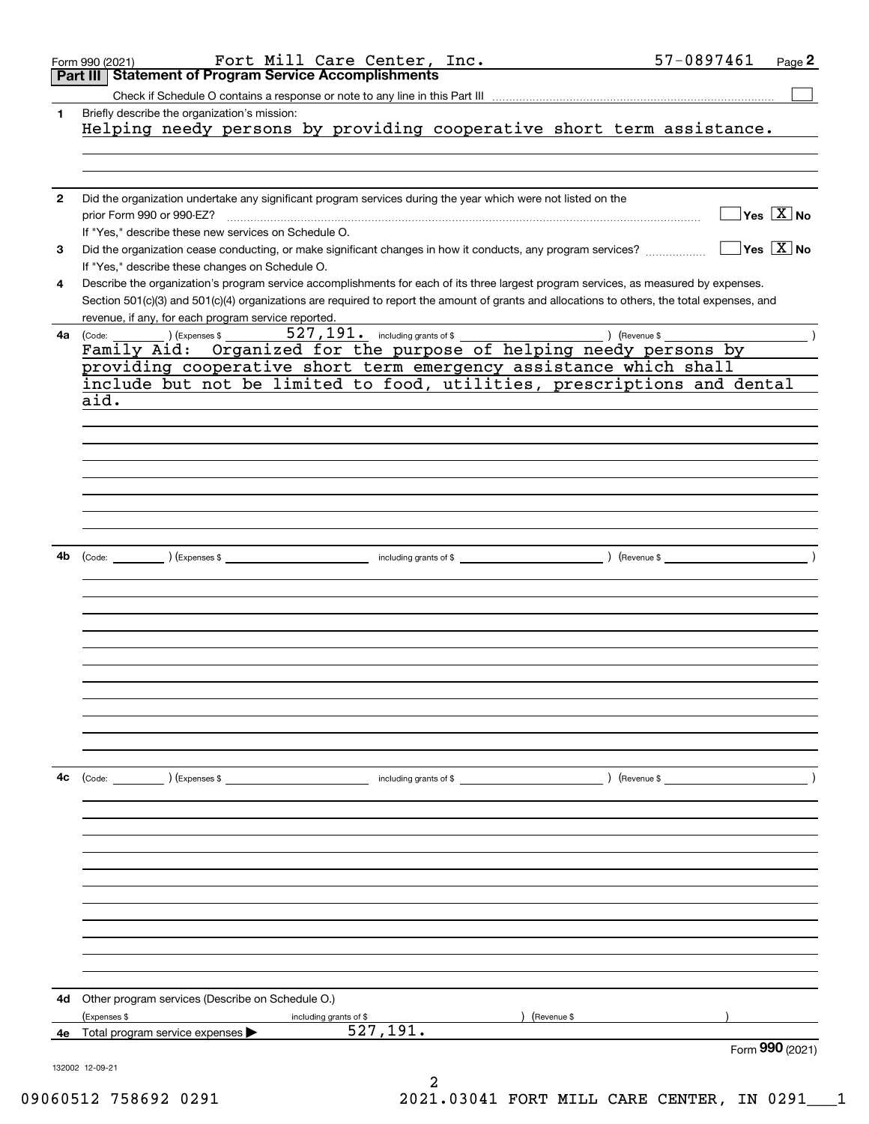|              | Fort Mill Care Center, Inc.<br>Form 990 (2021)                                                                                               |             | 57-0897461<br>Page 2                                           |
|--------------|----------------------------------------------------------------------------------------------------------------------------------------------|-------------|----------------------------------------------------------------|
|              | <b>Statement of Program Service Accomplishments</b><br><b>Part III</b>                                                                       |             |                                                                |
|              |                                                                                                                                              |             |                                                                |
| 1            | Briefly describe the organization's mission:<br>Helping needy persons by providing cooperative short term assistance.                        |             |                                                                |
|              |                                                                                                                                              |             |                                                                |
|              |                                                                                                                                              |             |                                                                |
|              |                                                                                                                                              |             |                                                                |
| $\mathbf{2}$ | Did the organization undertake any significant program services during the year which were not listed on the                                 |             |                                                                |
|              | prior Form 990 or 990-EZ?                                                                                                                    |             | $\overline{\mathsf{Yes}\mathrel{\hspace{0.05cm}\mathbf{X}}$ No |
|              | If "Yes," describe these new services on Schedule O.                                                                                         |             | $\sqrt{}$ Yes $\sqrt{}$ X $\sqrt{}$ No                         |
| 3            | If "Yes," describe these changes on Schedule O.                                                                                              |             |                                                                |
| 4            | Describe the organization's program service accomplishments for each of its three largest program services, as measured by expenses.         |             |                                                                |
|              | Section 501(c)(3) and 501(c)(4) organizations are required to report the amount of grants and allocations to others, the total expenses, and |             |                                                                |
|              | revenue, if any, for each program service reported.                                                                                          |             |                                                                |
| 4a           | (Express \$<br>(Code:                                                                                                                        |             |                                                                |
|              | Family Aid: Organized for the purpose of helping needy persons by                                                                            |             |                                                                |
|              | providing cooperative short term emergency assistance which shall                                                                            |             |                                                                |
|              | include but not be limited to food, utilities, prescriptions and dental                                                                      |             |                                                                |
|              | aid.                                                                                                                                         |             |                                                                |
|              |                                                                                                                                              |             |                                                                |
|              |                                                                                                                                              |             |                                                                |
|              |                                                                                                                                              |             |                                                                |
|              |                                                                                                                                              |             |                                                                |
|              |                                                                                                                                              |             |                                                                |
|              |                                                                                                                                              |             |                                                                |
|              |                                                                                                                                              |             |                                                                |
| 4b           |                                                                                                                                              |             |                                                                |
|              |                                                                                                                                              |             |                                                                |
|              |                                                                                                                                              |             |                                                                |
|              |                                                                                                                                              |             |                                                                |
|              |                                                                                                                                              |             |                                                                |
|              |                                                                                                                                              |             |                                                                |
|              |                                                                                                                                              |             |                                                                |
|              |                                                                                                                                              |             |                                                                |
|              |                                                                                                                                              |             |                                                                |
|              |                                                                                                                                              |             |                                                                |
|              |                                                                                                                                              |             |                                                                |
|              |                                                                                                                                              |             |                                                                |
| 4c           | (Code: ) (Expenses \$<br>$\blacksquare$ including grants of \$ $\blacksquare$ (Revenue \$)                                                   |             |                                                                |
|              |                                                                                                                                              |             |                                                                |
|              |                                                                                                                                              |             |                                                                |
|              |                                                                                                                                              |             |                                                                |
|              |                                                                                                                                              |             |                                                                |
|              |                                                                                                                                              |             |                                                                |
|              |                                                                                                                                              |             |                                                                |
|              |                                                                                                                                              |             |                                                                |
|              |                                                                                                                                              |             |                                                                |
|              |                                                                                                                                              |             |                                                                |
|              |                                                                                                                                              |             |                                                                |
|              |                                                                                                                                              |             |                                                                |
| 4d           | Other program services (Describe on Schedule O.)                                                                                             |             |                                                                |
|              | (Expenses \$<br>including grants of \$                                                                                                       | (Revenue \$ |                                                                |
| 4е           | 527, 191.<br>Total program service expenses                                                                                                  |             |                                                                |
|              |                                                                                                                                              |             | Form $990$ (2021)                                              |
|              | 132002 12-09-21                                                                                                                              |             |                                                                |
|              |                                                                                                                                              |             |                                                                |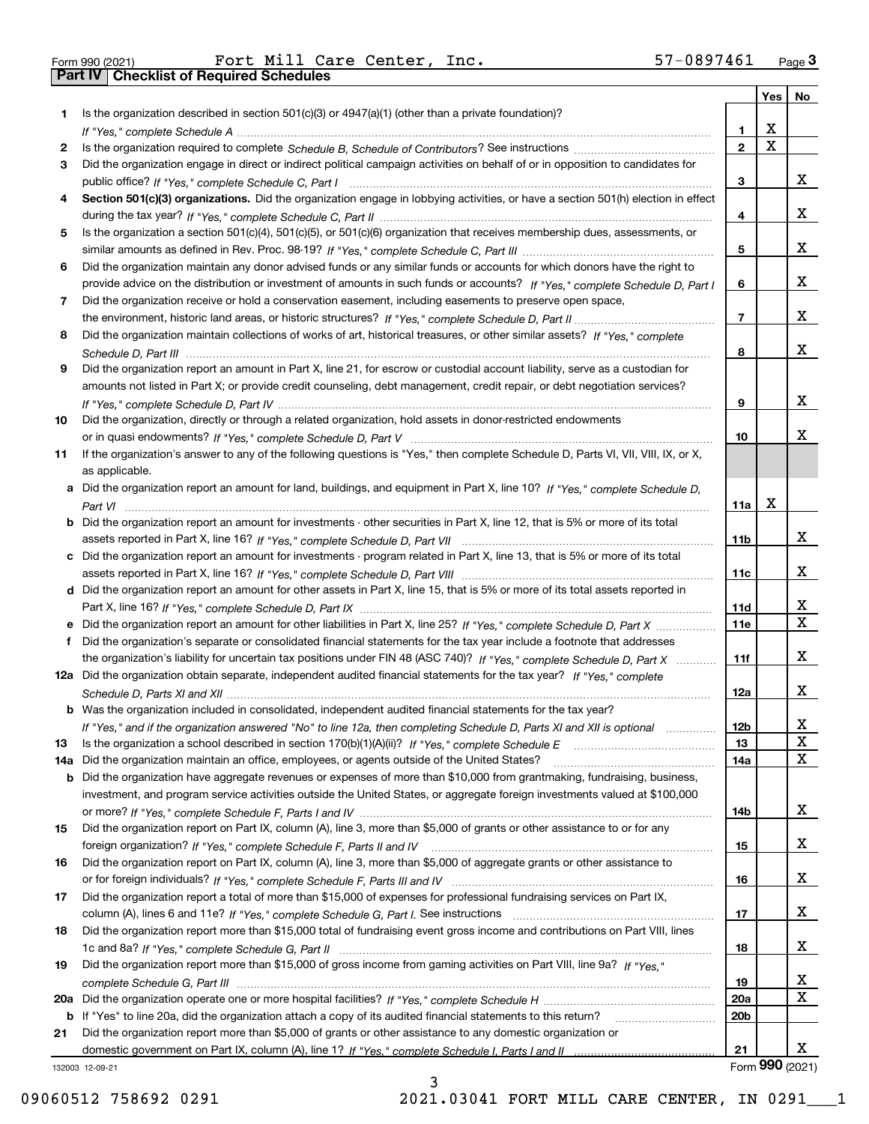|  | Form 990 (2021) |
|--|-----------------|

Form 990 (2021) Page **3Part IV Checklist of Required Schedules** Fort Mill Care Center, Inc. 57-0897461

|     |                                                                                                                                                                                                                              |                 | Yes         | No               |
|-----|------------------------------------------------------------------------------------------------------------------------------------------------------------------------------------------------------------------------------|-----------------|-------------|------------------|
| 1.  | Is the organization described in section $501(c)(3)$ or $4947(a)(1)$ (other than a private foundation)?                                                                                                                      |                 |             |                  |
|     |                                                                                                                                                                                                                              | 1               | X           |                  |
| 2   |                                                                                                                                                                                                                              | $\overline{2}$  | $\mathbf x$ |                  |
| 3   | Did the organization engage in direct or indirect political campaign activities on behalf of or in opposition to candidates for                                                                                              |                 |             |                  |
|     |                                                                                                                                                                                                                              | 3               |             | x                |
| 4   | Section 501(c)(3) organizations. Did the organization engage in lobbying activities, or have a section 501(h) election in effect                                                                                             |                 |             |                  |
|     |                                                                                                                                                                                                                              | 4               |             | x                |
| 5   | Is the organization a section 501(c)(4), 501(c)(5), or 501(c)(6) organization that receives membership dues, assessments, or                                                                                                 |                 |             |                  |
|     |                                                                                                                                                                                                                              | 5               |             | x                |
| 6   | Did the organization maintain any donor advised funds or any similar funds or accounts for which donors have the right to                                                                                                    |                 |             |                  |
|     | provide advice on the distribution or investment of amounts in such funds or accounts? If "Yes," complete Schedule D, Part I                                                                                                 | 6               |             | x                |
| 7   | Did the organization receive or hold a conservation easement, including easements to preserve open space,                                                                                                                    |                 |             |                  |
|     |                                                                                                                                                                                                                              | $\overline{7}$  |             | x                |
| 8   | Did the organization maintain collections of works of art, historical treasures, or other similar assets? If "Yes," complete                                                                                                 |                 |             |                  |
|     |                                                                                                                                                                                                                              | 8               |             | x                |
| 9   | Did the organization report an amount in Part X, line 21, for escrow or custodial account liability, serve as a custodian for                                                                                                |                 |             |                  |
|     | amounts not listed in Part X; or provide credit counseling, debt management, credit repair, or debt negotiation services?                                                                                                    |                 |             |                  |
|     |                                                                                                                                                                                                                              | 9               |             | х                |
| 10  | Did the organization, directly or through a related organization, hold assets in donor-restricted endowments                                                                                                                 |                 |             |                  |
|     |                                                                                                                                                                                                                              | 10              |             | x                |
| 11  | If the organization's answer to any of the following questions is "Yes," then complete Schedule D, Parts VI, VII, VIII, IX, or X,                                                                                            |                 |             |                  |
|     | as applicable.                                                                                                                                                                                                               |                 |             |                  |
|     | a Did the organization report an amount for land, buildings, and equipment in Part X, line 10? If "Yes," complete Schedule D,                                                                                                |                 |             |                  |
|     |                                                                                                                                                                                                                              | 11a             | X           |                  |
|     | <b>b</b> Did the organization report an amount for investments - other securities in Part X, line 12, that is 5% or more of its total                                                                                        |                 |             |                  |
|     |                                                                                                                                                                                                                              | 11 <sub>b</sub> |             | х                |
|     | c Did the organization report an amount for investments - program related in Part X, line 13, that is 5% or more of its total                                                                                                |                 |             |                  |
|     |                                                                                                                                                                                                                              | 11c             |             | х                |
|     | d Did the organization report an amount for other assets in Part X, line 15, that is 5% or more of its total assets reported in                                                                                              |                 |             |                  |
|     |                                                                                                                                                                                                                              | 11d             |             | x<br>$\mathbf X$ |
|     | e Did the organization report an amount for other liabilities in Part X, line 25? If "Yes," complete Schedule D, Part X                                                                                                      | 11e             |             |                  |
| f   | Did the organization's separate or consolidated financial statements for the tax year include a footnote that addresses                                                                                                      |                 |             | x                |
|     | the organization's liability for uncertain tax positions under FIN 48 (ASC 740)? If "Yes," complete Schedule D, Part X                                                                                                       | 11f             |             |                  |
|     | 12a Did the organization obtain separate, independent audited financial statements for the tax year? If "Yes," complete                                                                                                      |                 |             | х                |
|     | <b>b</b> Was the organization included in consolidated, independent audited financial statements for the tax year?                                                                                                           | 12a             |             |                  |
|     |                                                                                                                                                                                                                              |                 |             |                  |
| 13  | If "Yes," and if the organization answered "No" to line 12a, then completing Schedule D, Parts XI and XII is optional<br>Is the organization a school described in section $170(b)(1)(A)(ii)?$ If "Yes," complete Schedule E | 12b<br>13       |             | ᅀ<br>$\mathbf X$ |
| 14a | Did the organization maintain an office, employees, or agents outside of the United States?                                                                                                                                  | 14a             |             | x                |
|     | <b>b</b> Did the organization have aggregate revenues or expenses of more than \$10,000 from grantmaking, fundraising, business,                                                                                             |                 |             |                  |
|     | investment, and program service activities outside the United States, or aggregate foreign investments valued at \$100,000                                                                                                   |                 |             |                  |
|     |                                                                                                                                                                                                                              | 14b             |             | х                |
| 15  | Did the organization report on Part IX, column (A), line 3, more than \$5,000 of grants or other assistance to or for any                                                                                                    |                 |             |                  |
|     |                                                                                                                                                                                                                              | 15              |             | x                |
| 16  | Did the organization report on Part IX, column (A), line 3, more than \$5,000 of aggregate grants or other assistance to                                                                                                     |                 |             |                  |
|     |                                                                                                                                                                                                                              | 16              |             | x                |
| 17  | Did the organization report a total of more than \$15,000 of expenses for professional fundraising services on Part IX,                                                                                                      |                 |             |                  |
|     |                                                                                                                                                                                                                              | 17              |             | x                |
| 18  | Did the organization report more than \$15,000 total of fundraising event gross income and contributions on Part VIII, lines                                                                                                 |                 |             |                  |
|     |                                                                                                                                                                                                                              | 18              |             | x                |
| 19  | Did the organization report more than \$15,000 of gross income from gaming activities on Part VIII, line 9a? If "Yes."                                                                                                       |                 |             |                  |
|     |                                                                                                                                                                                                                              | 19              |             | х                |
|     |                                                                                                                                                                                                                              | 20a             |             | X                |
|     | b If "Yes" to line 20a, did the organization attach a copy of its audited financial statements to this return?                                                                                                               | 20 <sub>b</sub> |             |                  |
| 21  | Did the organization report more than \$5,000 of grants or other assistance to any domestic organization or                                                                                                                  |                 |             |                  |
|     |                                                                                                                                                                                                                              | 21              |             | х                |
|     | 132003 12-09-21                                                                                                                                                                                                              |                 |             | Form 990 (2021)  |

3

132003 12-09-21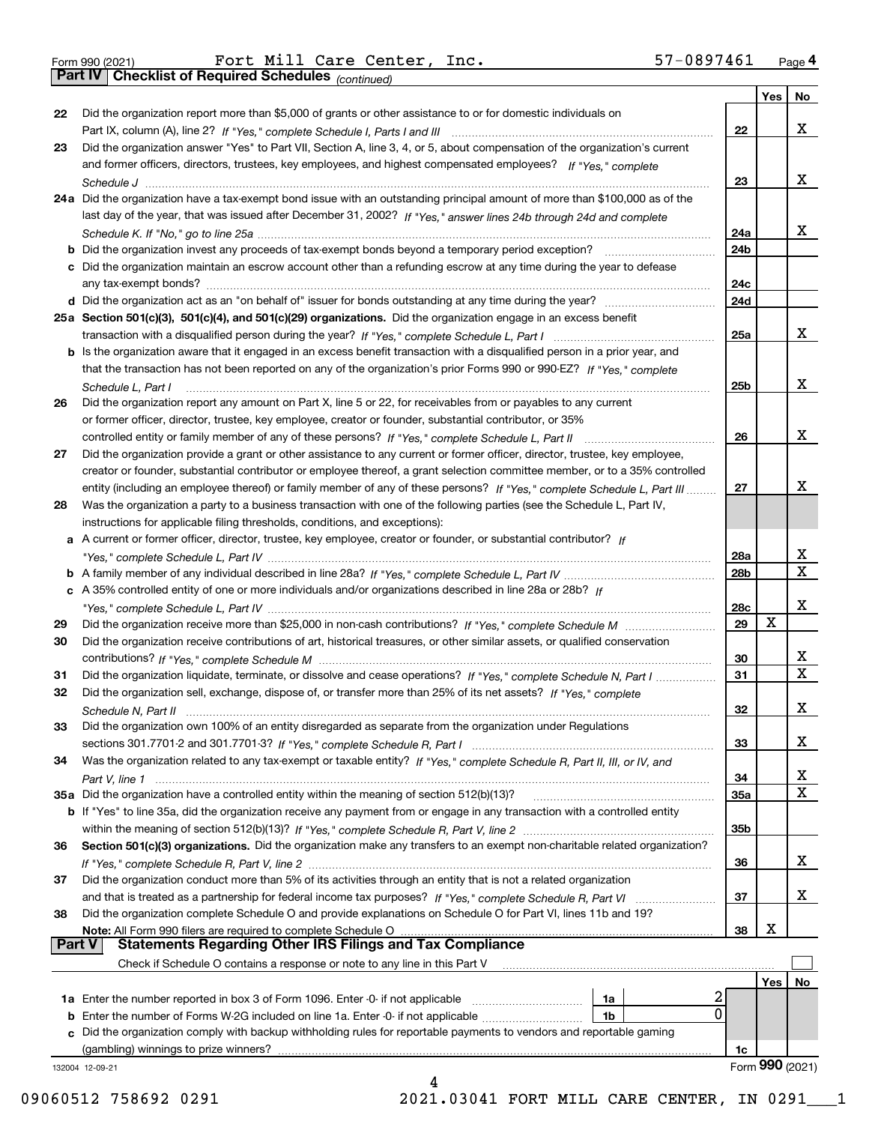|  | Form 990 (2021) |
|--|-----------------|
|  |                 |

Form 990 (2021) Fort Mill Care Center, Inc. 57-0897461 <sub>Page</sub> 4<br>**Part IV | Checklist of Required Schedules** <sub>(continued)</sub>

*(continued)*

|               |                                                                                                                              |                 | Yes | <b>No</b>       |
|---------------|------------------------------------------------------------------------------------------------------------------------------|-----------------|-----|-----------------|
| 22            | Did the organization report more than \$5,000 of grants or other assistance to or for domestic individuals on                |                 |     |                 |
|               |                                                                                                                              | 22              |     | х               |
| 23            | Did the organization answer "Yes" to Part VII, Section A, line 3, 4, or 5, about compensation of the organization's current  |                 |     |                 |
|               | and former officers, directors, trustees, key employees, and highest compensated employees? If "Yes," complete               |                 |     |                 |
|               |                                                                                                                              | 23              |     | х               |
|               | 24a Did the organization have a tax-exempt bond issue with an outstanding principal amount of more than \$100,000 as of the  |                 |     |                 |
|               | last day of the year, that was issued after December 31, 2002? If "Yes," answer lines 24b through 24d and complete           |                 |     | x               |
|               | b Did the organization invest any proceeds of tax-exempt bonds beyond a temporary period exception?                          | 24a             |     |                 |
|               | c Did the organization maintain an escrow account other than a refunding escrow at any time during the year to defease       | 24b             |     |                 |
|               | any tax-exempt bonds?                                                                                                        | 24c             |     |                 |
|               | d Did the organization act as an "on behalf of" issuer for bonds outstanding at any time during the year?                    | 24d             |     |                 |
|               | 25a Section 501(c)(3), 501(c)(4), and 501(c)(29) organizations. Did the organization engage in an excess benefit             |                 |     |                 |
|               |                                                                                                                              | 25a             |     | х               |
|               | b Is the organization aware that it engaged in an excess benefit transaction with a disqualified person in a prior year, and |                 |     |                 |
|               | that the transaction has not been reported on any of the organization's prior Forms 990 or 990-EZ? If "Yes," complete        |                 |     |                 |
|               | Schedule L. Part I                                                                                                           | 25b             |     | х               |
| 26            | Did the organization report any amount on Part X, line 5 or 22, for receivables from or payables to any current              |                 |     |                 |
|               | or former officer, director, trustee, key employee, creator or founder, substantial contributor, or 35%                      |                 |     |                 |
|               |                                                                                                                              | 26              |     | х               |
| 27            | Did the organization provide a grant or other assistance to any current or former officer, director, trustee, key employee,  |                 |     |                 |
|               | creator or founder, substantial contributor or employee thereof, a grant selection committee member, or to a 35% controlled  |                 |     |                 |
|               | entity (including an employee thereof) or family member of any of these persons? If "Yes," complete Schedule L, Part III     | 27              |     | х               |
| 28            | Was the organization a party to a business transaction with one of the following parties (see the Schedule L, Part IV,       |                 |     |                 |
|               | instructions for applicable filing thresholds, conditions, and exceptions):                                                  |                 |     |                 |
|               | a A current or former officer, director, trustee, key employee, creator or founder, or substantial contributor? If           | 28a             |     | x               |
|               |                                                                                                                              | 28 <sub>b</sub> |     | $\mathbf X$     |
|               | c A 35% controlled entity of one or more individuals and/or organizations described in line 28a or 28b? If                   |                 |     |                 |
|               |                                                                                                                              | 28c             |     | х               |
| 29            |                                                                                                                              | 29              | x   |                 |
| 30            | Did the organization receive contributions of art, historical treasures, or other similar assets, or qualified conservation  |                 |     |                 |
|               |                                                                                                                              | 30              |     | X               |
| 31            | Did the organization liquidate, terminate, or dissolve and cease operations? If "Yes," complete Schedule N, Part I           | 31              |     | $\mathbf x$     |
| 32            | Did the organization sell, exchange, dispose of, or transfer more than 25% of its net assets? If "Yes," complete             |                 |     |                 |
|               | Schedule N, Part II                                                                                                          | 32              |     | х               |
| 33            | Did the organization own 100% of an entity disregarded as separate from the organization under Regulations                   |                 |     |                 |
|               |                                                                                                                              | 33              |     | х               |
| 34            | Was the organization related to any tax-exempt or taxable entity? If "Yes," complete Schedule R, Part II, III, or IV, and    |                 |     |                 |
|               |                                                                                                                              | 34              |     | х               |
|               | 35a Did the organization have a controlled entity within the meaning of section 512(b)(13)?                                  | 35a             |     | X               |
|               | b If "Yes" to line 35a, did the organization receive any payment from or engage in any transaction with a controlled entity  |                 |     |                 |
| 36            | Section 501(c)(3) organizations. Did the organization make any transfers to an exempt non-charitable related organization?   | 35b             |     |                 |
|               |                                                                                                                              | 36              |     | x               |
| 37            | Did the organization conduct more than 5% of its activities through an entity that is not a related organization             |                 |     |                 |
|               | and that is treated as a partnership for federal income tax purposes? If "Yes," complete Schedule R, Part VI                 | 37              |     | x               |
| 38            | Did the organization complete Schedule O and provide explanations on Schedule O for Part VI, lines 11b and 19?               |                 |     |                 |
|               | Note: All Form 990 filers are required to complete Schedule O                                                                | 38              | х   |                 |
| <b>Part V</b> | <b>Statements Regarding Other IRS Filings and Tax Compliance</b>                                                             |                 |     |                 |
|               | Check if Schedule O contains a response or note to any line in this Part V                                                   |                 |     |                 |
|               |                                                                                                                              |                 | Yes | No              |
|               | z<br><b>1a</b> Enter the number reported in box 3 of Form 1096. Enter 0 if not applicable <i>mummumumum</i><br>1a            |                 |     |                 |
|               | 0<br>1b                                                                                                                      |                 |     |                 |
|               | c Did the organization comply with backup withholding rules for reportable payments to vendors and reportable gaming         |                 |     |                 |
|               | (gambling) winnings to prize winners?                                                                                        | 1c              |     | Form 990 (2021) |
|               | 132004 12-09-21<br>4                                                                                                         |                 |     |                 |
|               |                                                                                                                              |                 |     |                 |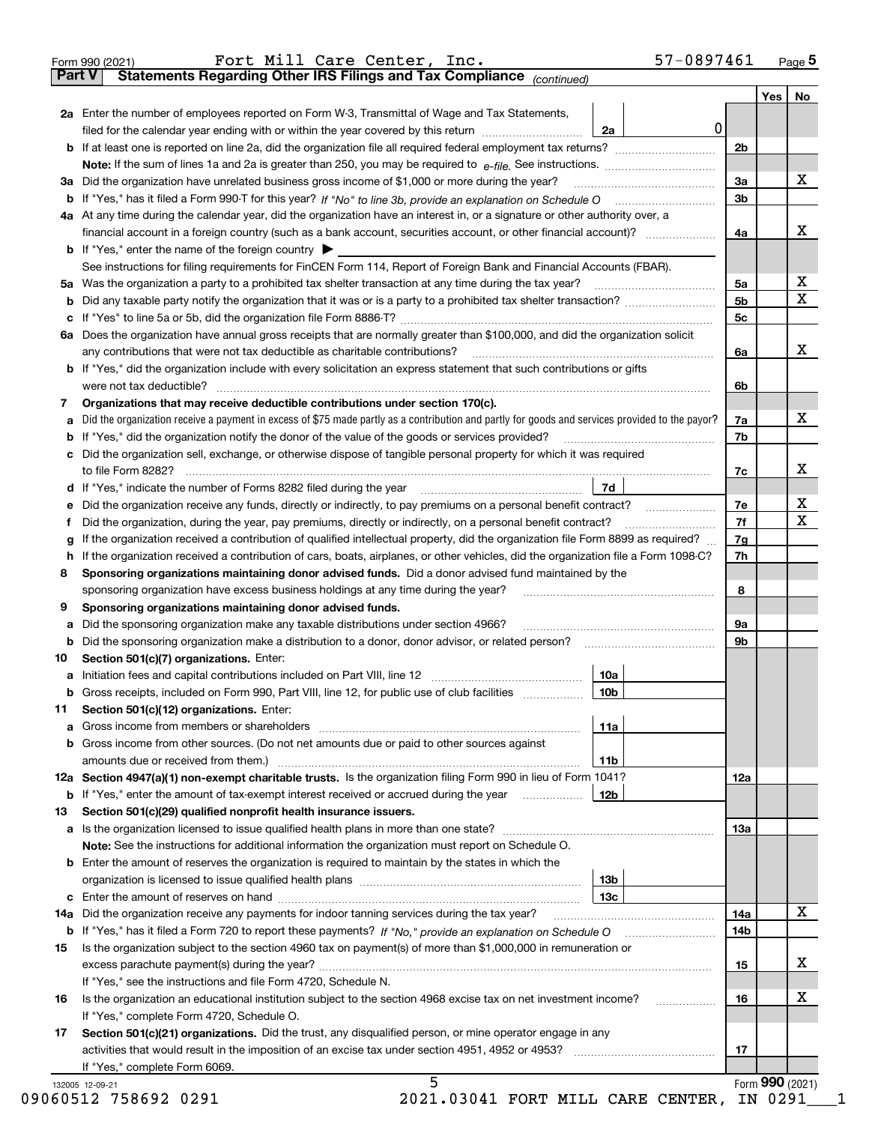|    |                                                                                                                                                 |                   |                | Yes<br>No |
|----|-------------------------------------------------------------------------------------------------------------------------------------------------|-------------------|----------------|-----------|
|    | 2a Enter the number of employees reported on Form W-3, Transmittal of Wage and Tax Statements,                                                  |                   |                |           |
|    | filed for the calendar year ending with or within the year covered by this return                                                               | $\mathbf 0$<br>2a |                |           |
|    |                                                                                                                                                 |                   | 2 <sub>b</sub> |           |
|    |                                                                                                                                                 |                   |                |           |
|    |                                                                                                                                                 |                   | 3a             | X         |
|    |                                                                                                                                                 |                   | 3 <sub>b</sub> |           |
|    | 4a At any time during the calendar year, did the organization have an interest in, or a signature or other authority over, a                    |                   |                |           |
|    |                                                                                                                                                 |                   | 4a             | х         |
|    | <b>b</b> If "Yes," enter the name of the foreign country $\blacktriangleright$                                                                  |                   |                |           |
|    | See instructions for filing requirements for FinCEN Form 114, Report of Foreign Bank and Financial Accounts (FBAR).                             |                   |                |           |
|    |                                                                                                                                                 |                   | 5a             | X         |
| b  |                                                                                                                                                 |                   | 5 <sub>b</sub> | X         |
|    |                                                                                                                                                 |                   | 5c             |           |
| с  |                                                                                                                                                 |                   |                |           |
|    | 6a Does the organization have annual gross receipts that are normally greater than \$100,000, and did the organization solicit                  |                   |                | X         |
|    |                                                                                                                                                 |                   | 6a             |           |
|    | <b>b</b> If "Yes," did the organization include with every solicitation an express statement that such contributions or gifts                   |                   |                |           |
|    | were not tax deductible?                                                                                                                        |                   | 6b             |           |
| 7  | Organizations that may receive deductible contributions under section 170(c).                                                                   |                   |                |           |
| а  | Did the organization receive a payment in excess of \$75 made partly as a contribution and partly for goods and services provided to the payor? |                   | 7a             | X         |
| b  | If "Yes," did the organization notify the donor of the value of the goods or services provided?                                                 |                   | 7b             |           |
| с  | Did the organization sell, exchange, or otherwise dispose of tangible personal property for which it was required                               |                   |                |           |
|    |                                                                                                                                                 |                   | 7c             | х         |
| d  |                                                                                                                                                 | 7d                |                |           |
| е  | Did the organization receive any funds, directly or indirectly, to pay premiums on a personal benefit contract?                                 |                   | 7е             | х         |
| f  | Did the organization, during the year, pay premiums, directly or indirectly, on a personal benefit contract?                                    |                   | 7f             | X         |
| g  | If the organization received a contribution of qualified intellectual property, did the organization file Form 8899 as required?                |                   | 7g             |           |
| h  | If the organization received a contribution of cars, boats, airplanes, or other vehicles, did the organization file a Form 1098-C?              |                   | 7h             |           |
| 8  | Sponsoring organizations maintaining donor advised funds. Did a donor advised fund maintained by the                                            |                   |                |           |
|    | sponsoring organization have excess business holdings at any time during the year?                                                              |                   | 8              |           |
| 9  | Sponsoring organizations maintaining donor advised funds.                                                                                       |                   |                |           |
| а  | Did the sponsoring organization make any taxable distributions under section 4966?                                                              |                   | 9а             |           |
| b  |                                                                                                                                                 |                   | 9b             |           |
| 10 | Section 501(c)(7) organizations. Enter:                                                                                                         |                   |                |           |
| а  |                                                                                                                                                 | 10a               |                |           |
|    | Gross receipts, included on Form 990, Part VIII, line 12, for public use of club facilities                                                     | 10b               |                |           |
| 11 | Section 501(c)(12) organizations. Enter:                                                                                                        |                   |                |           |
| а  |                                                                                                                                                 | 11a               |                |           |
| b  | Gross income from other sources. (Do not net amounts due or paid to other sources against                                                       |                   |                |           |
|    |                                                                                                                                                 | 11b               |                |           |
|    | 12a Section 4947(a)(1) non-exempt charitable trusts. Is the organization filing Form 990 in lieu of Form 1041?                                  |                   |                |           |
|    |                                                                                                                                                 |                   | 12a            |           |
|    | <b>b</b> If "Yes," enter the amount of tax-exempt interest received or accrued during the year                                                  | 12b               |                |           |
| 13 | Section 501(c)(29) qualified nonprofit health insurance issuers.                                                                                |                   |                |           |
| а  |                                                                                                                                                 |                   | 13a            |           |
|    | <b>Note:</b> See the instructions for additional information the organization must report on Schedule O.                                        |                   |                |           |
|    | <b>b</b> Enter the amount of reserves the organization is required to maintain by the states in which the                                       |                   |                |           |
|    |                                                                                                                                                 | 13b               |                |           |
|    |                                                                                                                                                 | 13c               |                |           |
|    | 14a Did the organization receive any payments for indoor tanning services during the tax year?                                                  |                   | 14a            | х         |
|    |                                                                                                                                                 |                   | 14b            |           |
| 15 | Is the organization subject to the section 4960 tax on payment(s) of more than \$1,000,000 in remuneration or                                   |                   |                |           |
|    |                                                                                                                                                 |                   | 15             | х         |
|    | If "Yes," see the instructions and file Form 4720, Schedule N.                                                                                  |                   |                |           |
|    | Is the organization an educational institution subject to the section 4968 excise tax on net investment income?                                 |                   | 16             | х         |
|    |                                                                                                                                                 |                   |                |           |
| 16 | If "Yes," complete Form 4720, Schedule O.                                                                                                       |                   |                |           |
| 17 | Section 501(c)(21) organizations. Did the trust, any disqualified person, or mine operator engage in any                                        |                   |                |           |
|    |                                                                                                                                                 |                   | 17             |           |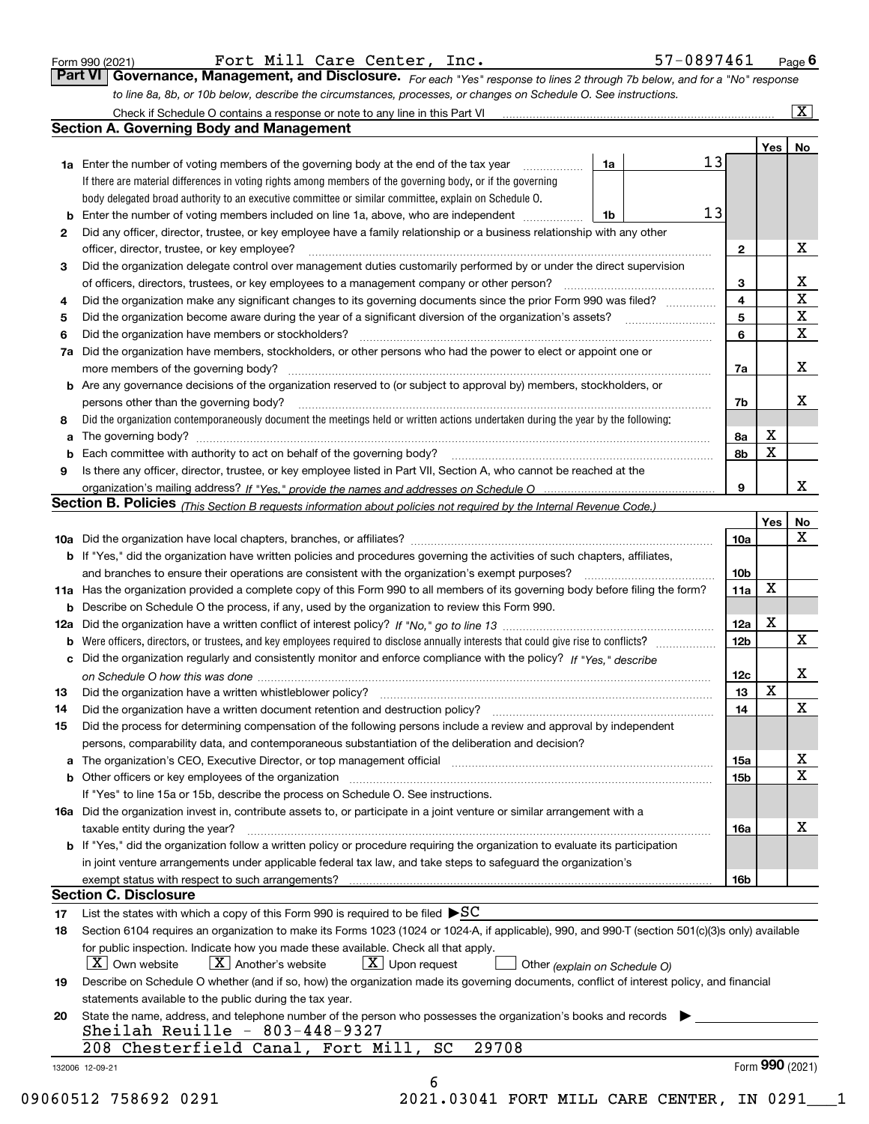|  | Form 990 (2021) |
|--|-----------------|
|  |                 |

Fort Mill Care Center, Inc. 57-0897461

*For each "Yes" response to lines 2 through 7b below, and for a "No" response to line 8a, 8b, or 10b below, describe the circumstances, processes, or changes on Schedule O. See instructions.* Form 990 (2021) **Form Page 6 (2021)** Page **6 Form 990 (2021)** Page **6 Page 6 Page 6 Page 6 Page 6 Page 6 Page 6 Page 6 Page 6 Page 6 Page 6 Page 6 Page 6 Page 6 Page 6 Page 6 Page 6 Page 6 Page 6 Page 6 Page 6 Page 7 Page** 

| 2<br>3<br>4<br>5<br>6<br>8<br>a<br>9<br>b | <b>1a</b> Enter the number of voting members of the governing body at the end of the tax year <i>manumum</i><br>If there are material differences in voting rights among members of the governing body, or if the governing<br>body delegated broad authority to an executive committee or similar committee, explain on Schedule O.<br>Did any officer, director, trustee, or key employee have a family relationship or a business relationship with any other<br>officer, director, trustee, or key employee?<br>Did the organization delegate control over management duties customarily performed by or under the direct supervision<br>Did the organization make any significant changes to its governing documents since the prior Form 990 was filed?<br>Did the organization have members or stockholders?<br>7a Did the organization have members, stockholders, or other persons who had the power to elect or appoint one or<br><b>b</b> Are any governance decisions of the organization reserved to (or subject to approval by) members, stockholders, or<br>persons other than the governing body?<br>Did the organization contemporaneously document the meetings held or written actions undertaken during the year by the following:<br>Is there any officer, director, trustee, or key employee listed in Part VII, Section A, who cannot be reached at the | 1a<br>1b | 13<br>13 | $\mathbf{2}$<br>3<br>4<br>5<br>6 |                 | X<br>X<br>$\mathbf X$<br>$\mathbf X$ |
|-------------------------------------------|--------------------------------------------------------------------------------------------------------------------------------------------------------------------------------------------------------------------------------------------------------------------------------------------------------------------------------------------------------------------------------------------------------------------------------------------------------------------------------------------------------------------------------------------------------------------------------------------------------------------------------------------------------------------------------------------------------------------------------------------------------------------------------------------------------------------------------------------------------------------------------------------------------------------------------------------------------------------------------------------------------------------------------------------------------------------------------------------------------------------------------------------------------------------------------------------------------------------------------------------------------------------------------------------------------------------------------------------------------------------------------|----------|----------|----------------------------------|-----------------|--------------------------------------|
|                                           |                                                                                                                                                                                                                                                                                                                                                                                                                                                                                                                                                                                                                                                                                                                                                                                                                                                                                                                                                                                                                                                                                                                                                                                                                                                                                                                                                                                |          |          |                                  |                 |                                      |
|                                           |                                                                                                                                                                                                                                                                                                                                                                                                                                                                                                                                                                                                                                                                                                                                                                                                                                                                                                                                                                                                                                                                                                                                                                                                                                                                                                                                                                                |          |          |                                  |                 |                                      |
|                                           |                                                                                                                                                                                                                                                                                                                                                                                                                                                                                                                                                                                                                                                                                                                                                                                                                                                                                                                                                                                                                                                                                                                                                                                                                                                                                                                                                                                |          |          |                                  |                 |                                      |
|                                           |                                                                                                                                                                                                                                                                                                                                                                                                                                                                                                                                                                                                                                                                                                                                                                                                                                                                                                                                                                                                                                                                                                                                                                                                                                                                                                                                                                                |          |          |                                  |                 |                                      |
|                                           |                                                                                                                                                                                                                                                                                                                                                                                                                                                                                                                                                                                                                                                                                                                                                                                                                                                                                                                                                                                                                                                                                                                                                                                                                                                                                                                                                                                |          |          |                                  |                 |                                      |
|                                           |                                                                                                                                                                                                                                                                                                                                                                                                                                                                                                                                                                                                                                                                                                                                                                                                                                                                                                                                                                                                                                                                                                                                                                                                                                                                                                                                                                                |          |          |                                  |                 |                                      |
|                                           |                                                                                                                                                                                                                                                                                                                                                                                                                                                                                                                                                                                                                                                                                                                                                                                                                                                                                                                                                                                                                                                                                                                                                                                                                                                                                                                                                                                |          |          |                                  |                 |                                      |
|                                           |                                                                                                                                                                                                                                                                                                                                                                                                                                                                                                                                                                                                                                                                                                                                                                                                                                                                                                                                                                                                                                                                                                                                                                                                                                                                                                                                                                                |          |          |                                  |                 |                                      |
|                                           |                                                                                                                                                                                                                                                                                                                                                                                                                                                                                                                                                                                                                                                                                                                                                                                                                                                                                                                                                                                                                                                                                                                                                                                                                                                                                                                                                                                |          |          |                                  |                 |                                      |
|                                           |                                                                                                                                                                                                                                                                                                                                                                                                                                                                                                                                                                                                                                                                                                                                                                                                                                                                                                                                                                                                                                                                                                                                                                                                                                                                                                                                                                                |          |          |                                  |                 |                                      |
|                                           |                                                                                                                                                                                                                                                                                                                                                                                                                                                                                                                                                                                                                                                                                                                                                                                                                                                                                                                                                                                                                                                                                                                                                                                                                                                                                                                                                                                |          |          |                                  |                 | $\mathbf{x}$                         |
|                                           |                                                                                                                                                                                                                                                                                                                                                                                                                                                                                                                                                                                                                                                                                                                                                                                                                                                                                                                                                                                                                                                                                                                                                                                                                                                                                                                                                                                |          |          |                                  |                 |                                      |
|                                           |                                                                                                                                                                                                                                                                                                                                                                                                                                                                                                                                                                                                                                                                                                                                                                                                                                                                                                                                                                                                                                                                                                                                                                                                                                                                                                                                                                                |          |          | 7a                               |                 | X                                    |
|                                           |                                                                                                                                                                                                                                                                                                                                                                                                                                                                                                                                                                                                                                                                                                                                                                                                                                                                                                                                                                                                                                                                                                                                                                                                                                                                                                                                                                                |          |          |                                  |                 |                                      |
|                                           |                                                                                                                                                                                                                                                                                                                                                                                                                                                                                                                                                                                                                                                                                                                                                                                                                                                                                                                                                                                                                                                                                                                                                                                                                                                                                                                                                                                |          |          | 7b                               |                 | Х                                    |
|                                           |                                                                                                                                                                                                                                                                                                                                                                                                                                                                                                                                                                                                                                                                                                                                                                                                                                                                                                                                                                                                                                                                                                                                                                                                                                                                                                                                                                                |          |          |                                  |                 |                                      |
|                                           |                                                                                                                                                                                                                                                                                                                                                                                                                                                                                                                                                                                                                                                                                                                                                                                                                                                                                                                                                                                                                                                                                                                                                                                                                                                                                                                                                                                |          |          | 8а                               | X               |                                      |
|                                           |                                                                                                                                                                                                                                                                                                                                                                                                                                                                                                                                                                                                                                                                                                                                                                                                                                                                                                                                                                                                                                                                                                                                                                                                                                                                                                                                                                                |          |          | 8b                               | $\mathbf X$     |                                      |
|                                           |                                                                                                                                                                                                                                                                                                                                                                                                                                                                                                                                                                                                                                                                                                                                                                                                                                                                                                                                                                                                                                                                                                                                                                                                                                                                                                                                                                                |          |          |                                  |                 |                                      |
|                                           |                                                                                                                                                                                                                                                                                                                                                                                                                                                                                                                                                                                                                                                                                                                                                                                                                                                                                                                                                                                                                                                                                                                                                                                                                                                                                                                                                                                |          |          | 9                                |                 | X                                    |
|                                           | <b>Section B. Policies</b> (This Section B requests information about policies not required by the Internal Revenue Code.)                                                                                                                                                                                                                                                                                                                                                                                                                                                                                                                                                                                                                                                                                                                                                                                                                                                                                                                                                                                                                                                                                                                                                                                                                                                     |          |          |                                  |                 |                                      |
|                                           |                                                                                                                                                                                                                                                                                                                                                                                                                                                                                                                                                                                                                                                                                                                                                                                                                                                                                                                                                                                                                                                                                                                                                                                                                                                                                                                                                                                |          |          |                                  | Yes             | <b>No</b>                            |
|                                           |                                                                                                                                                                                                                                                                                                                                                                                                                                                                                                                                                                                                                                                                                                                                                                                                                                                                                                                                                                                                                                                                                                                                                                                                                                                                                                                                                                                |          |          | <b>10a</b>                       |                 | X                                    |
|                                           | <b>b</b> If "Yes," did the organization have written policies and procedures governing the activities of such chapters, affiliates,                                                                                                                                                                                                                                                                                                                                                                                                                                                                                                                                                                                                                                                                                                                                                                                                                                                                                                                                                                                                                                                                                                                                                                                                                                            |          |          |                                  |                 |                                      |
|                                           |                                                                                                                                                                                                                                                                                                                                                                                                                                                                                                                                                                                                                                                                                                                                                                                                                                                                                                                                                                                                                                                                                                                                                                                                                                                                                                                                                                                |          |          | 10 <sub>b</sub>                  |                 |                                      |
|                                           | 11a Has the organization provided a complete copy of this Form 990 to all members of its governing body before filing the form?                                                                                                                                                                                                                                                                                                                                                                                                                                                                                                                                                                                                                                                                                                                                                                                                                                                                                                                                                                                                                                                                                                                                                                                                                                                |          |          | 11a                              | $\mathbf X$     |                                      |
|                                           | <b>b</b> Describe on Schedule O the process, if any, used by the organization to review this Form 990.                                                                                                                                                                                                                                                                                                                                                                                                                                                                                                                                                                                                                                                                                                                                                                                                                                                                                                                                                                                                                                                                                                                                                                                                                                                                         |          |          |                                  |                 |                                      |
|                                           |                                                                                                                                                                                                                                                                                                                                                                                                                                                                                                                                                                                                                                                                                                                                                                                                                                                                                                                                                                                                                                                                                                                                                                                                                                                                                                                                                                                |          |          | 12a                              | $\mathbf X$     |                                      |
|                                           |                                                                                                                                                                                                                                                                                                                                                                                                                                                                                                                                                                                                                                                                                                                                                                                                                                                                                                                                                                                                                                                                                                                                                                                                                                                                                                                                                                                |          |          | 12 <sub>b</sub>                  |                 | $\mathbf X$                          |
|                                           | c Did the organization regularly and consistently monitor and enforce compliance with the policy? If "Yes," describe                                                                                                                                                                                                                                                                                                                                                                                                                                                                                                                                                                                                                                                                                                                                                                                                                                                                                                                                                                                                                                                                                                                                                                                                                                                           |          |          |                                  |                 |                                      |
|                                           |                                                                                                                                                                                                                                                                                                                                                                                                                                                                                                                                                                                                                                                                                                                                                                                                                                                                                                                                                                                                                                                                                                                                                                                                                                                                                                                                                                                |          |          | 12c                              |                 | X                                    |
| 13                                        |                                                                                                                                                                                                                                                                                                                                                                                                                                                                                                                                                                                                                                                                                                                                                                                                                                                                                                                                                                                                                                                                                                                                                                                                                                                                                                                                                                                |          |          | 13                               | $\mathbf X$     |                                      |
| 14                                        | Did the organization have a written document retention and destruction policy? manufactured and the organization have a written document retention and destruction policy?                                                                                                                                                                                                                                                                                                                                                                                                                                                                                                                                                                                                                                                                                                                                                                                                                                                                                                                                                                                                                                                                                                                                                                                                     |          |          | 14                               |                 | X                                    |
| 15                                        | Did the process for determining compensation of the following persons include a review and approval by independent                                                                                                                                                                                                                                                                                                                                                                                                                                                                                                                                                                                                                                                                                                                                                                                                                                                                                                                                                                                                                                                                                                                                                                                                                                                             |          |          |                                  |                 |                                      |
|                                           | persons, comparability data, and contemporaneous substantiation of the deliberation and decision?                                                                                                                                                                                                                                                                                                                                                                                                                                                                                                                                                                                                                                                                                                                                                                                                                                                                                                                                                                                                                                                                                                                                                                                                                                                                              |          |          |                                  |                 |                                      |
|                                           |                                                                                                                                                                                                                                                                                                                                                                                                                                                                                                                                                                                                                                                                                                                                                                                                                                                                                                                                                                                                                                                                                                                                                                                                                                                                                                                                                                                |          |          | 15a                              |                 | Х                                    |
|                                           | <b>b</b> Other officers or key employees of the organization                                                                                                                                                                                                                                                                                                                                                                                                                                                                                                                                                                                                                                                                                                                                                                                                                                                                                                                                                                                                                                                                                                                                                                                                                                                                                                                   |          |          | 15 <sub>b</sub>                  |                 | $\mathbf X$                          |
|                                           | If "Yes" to line 15a or 15b, describe the process on Schedule O. See instructions.                                                                                                                                                                                                                                                                                                                                                                                                                                                                                                                                                                                                                                                                                                                                                                                                                                                                                                                                                                                                                                                                                                                                                                                                                                                                                             |          |          |                                  |                 |                                      |
|                                           | 16a Did the organization invest in, contribute assets to, or participate in a joint venture or similar arrangement with a                                                                                                                                                                                                                                                                                                                                                                                                                                                                                                                                                                                                                                                                                                                                                                                                                                                                                                                                                                                                                                                                                                                                                                                                                                                      |          |          |                                  |                 |                                      |
|                                           | taxable entity during the year?                                                                                                                                                                                                                                                                                                                                                                                                                                                                                                                                                                                                                                                                                                                                                                                                                                                                                                                                                                                                                                                                                                                                                                                                                                                                                                                                                |          |          | 16a                              |                 | х                                    |
|                                           | b If "Yes," did the organization follow a written policy or procedure requiring the organization to evaluate its participation                                                                                                                                                                                                                                                                                                                                                                                                                                                                                                                                                                                                                                                                                                                                                                                                                                                                                                                                                                                                                                                                                                                                                                                                                                                 |          |          |                                  |                 |                                      |
|                                           | in joint venture arrangements under applicable federal tax law, and take steps to safeguard the organization's                                                                                                                                                                                                                                                                                                                                                                                                                                                                                                                                                                                                                                                                                                                                                                                                                                                                                                                                                                                                                                                                                                                                                                                                                                                                 |          |          |                                  |                 |                                      |
|                                           | exempt status with respect to such arrangements?                                                                                                                                                                                                                                                                                                                                                                                                                                                                                                                                                                                                                                                                                                                                                                                                                                                                                                                                                                                                                                                                                                                                                                                                                                                                                                                               |          |          | <b>16b</b>                       |                 |                                      |
|                                           | <b>Section C. Disclosure</b>                                                                                                                                                                                                                                                                                                                                                                                                                                                                                                                                                                                                                                                                                                                                                                                                                                                                                                                                                                                                                                                                                                                                                                                                                                                                                                                                                   |          |          |                                  |                 |                                      |
| 17                                        | List the states with which a copy of this Form 990 is required to be filed $\blacktriangleright$ SC                                                                                                                                                                                                                                                                                                                                                                                                                                                                                                                                                                                                                                                                                                                                                                                                                                                                                                                                                                                                                                                                                                                                                                                                                                                                            |          |          |                                  |                 |                                      |
| 18                                        | Section 6104 requires an organization to make its Forms 1023 (1024 or 1024-A, if applicable), 990, and 990-T (section 501(c)(3)s only) available                                                                                                                                                                                                                                                                                                                                                                                                                                                                                                                                                                                                                                                                                                                                                                                                                                                                                                                                                                                                                                                                                                                                                                                                                               |          |          |                                  |                 |                                      |
|                                           | for public inspection. Indicate how you made these available. Check all that apply.                                                                                                                                                                                                                                                                                                                                                                                                                                                                                                                                                                                                                                                                                                                                                                                                                                                                                                                                                                                                                                                                                                                                                                                                                                                                                            |          |          |                                  |                 |                                      |
|                                           | $X$ Upon request<br>$ X $ Own website<br>$X$ Another's website                                                                                                                                                                                                                                                                                                                                                                                                                                                                                                                                                                                                                                                                                                                                                                                                                                                                                                                                                                                                                                                                                                                                                                                                                                                                                                                 |          |          |                                  |                 |                                      |
|                                           | Other (explain on Schedule O)                                                                                                                                                                                                                                                                                                                                                                                                                                                                                                                                                                                                                                                                                                                                                                                                                                                                                                                                                                                                                                                                                                                                                                                                                                                                                                                                                  |          |          |                                  |                 |                                      |
| 19                                        | Describe on Schedule O whether (and if so, how) the organization made its governing documents, conflict of interest policy, and financial                                                                                                                                                                                                                                                                                                                                                                                                                                                                                                                                                                                                                                                                                                                                                                                                                                                                                                                                                                                                                                                                                                                                                                                                                                      |          |          |                                  |                 |                                      |
|                                           | statements available to the public during the tax year.                                                                                                                                                                                                                                                                                                                                                                                                                                                                                                                                                                                                                                                                                                                                                                                                                                                                                                                                                                                                                                                                                                                                                                                                                                                                                                                        |          |          |                                  |                 |                                      |
| 20                                        | State the name, address, and telephone number of the person who possesses the organization's books and records<br>Sheilah Reuille - $803-448-9327$                                                                                                                                                                                                                                                                                                                                                                                                                                                                                                                                                                                                                                                                                                                                                                                                                                                                                                                                                                                                                                                                                                                                                                                                                             |          |          |                                  |                 |                                      |
|                                           | 29708<br>208 Chesterfield Canal, Fort Mill, SC                                                                                                                                                                                                                                                                                                                                                                                                                                                                                                                                                                                                                                                                                                                                                                                                                                                                                                                                                                                                                                                                                                                                                                                                                                                                                                                                 |          |          |                                  |                 |                                      |
| 132006 12-09-21                           |                                                                                                                                                                                                                                                                                                                                                                                                                                                                                                                                                                                                                                                                                                                                                                                                                                                                                                                                                                                                                                                                                                                                                                                                                                                                                                                                                                                |          |          |                                  | Form 990 (2021) |                                      |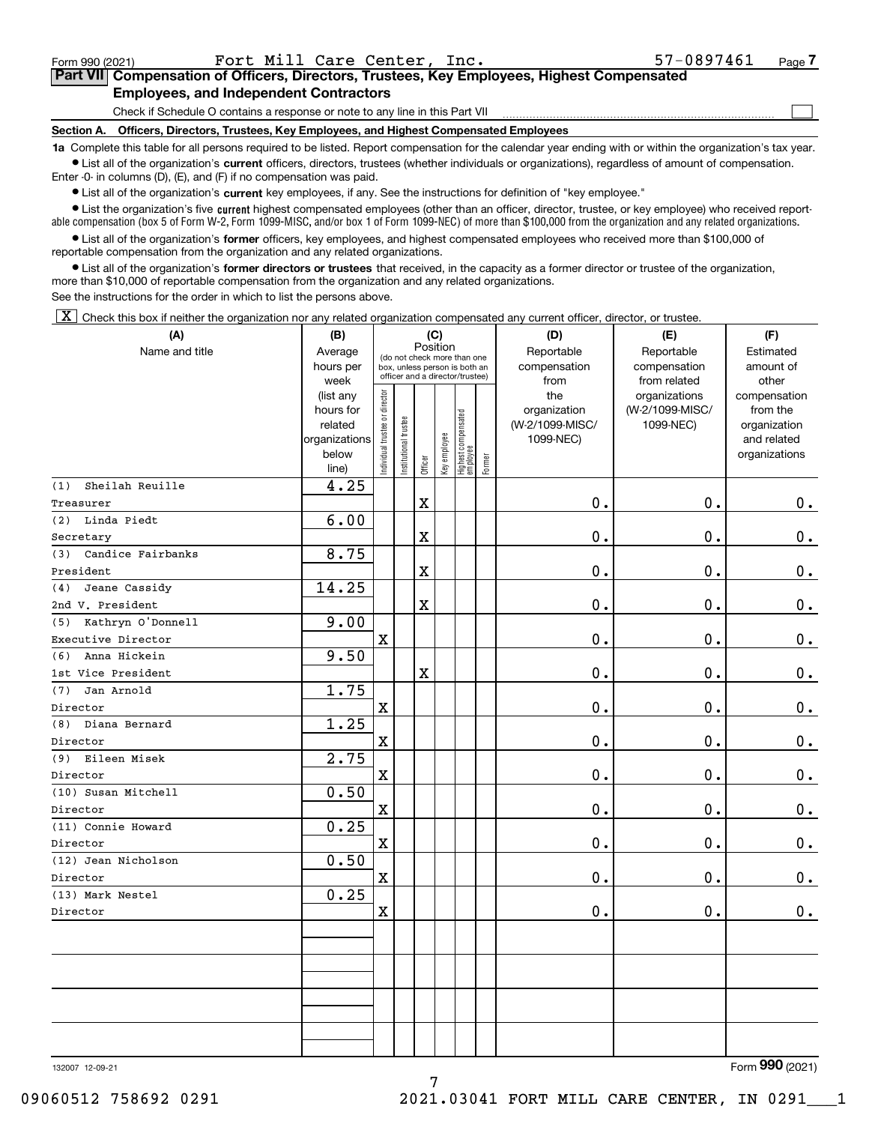|  | Form 990 (2021) |
|--|-----------------|

 $\mathcal{L}^{\text{max}}$ 

## **7Part VII Compensation of Officers, Directors, Trustees, Key Employees, Highest Compensated Employees, and Independent Contractors**

Check if Schedule O contains a response or note to any line in this Part VII

**Section A. Officers, Directors, Trustees, Key Employees, and Highest Compensated Employees**

**1a**  Complete this table for all persons required to be listed. Report compensation for the calendar year ending with or within the organization's tax year. **•** List all of the organization's current officers, directors, trustees (whether individuals or organizations), regardless of amount of compensation.

Enter -0- in columns (D), (E), and (F) if no compensation was paid.

 $\bullet$  List all of the organization's  $\sf current$  key employees, if any. See the instructions for definition of "key employee."

**•** List the organization's five current highest compensated employees (other than an officer, director, trustee, or key employee) who received reportable compensation (box 5 of Form W-2, Form 1099-MISC, and/or box 1 of Form 1099-NEC) of more than \$100,000 from the organization and any related organizations.

**•** List all of the organization's former officers, key employees, and highest compensated employees who received more than \$100,000 of reportable compensation from the organization and any related organizations.

**former directors or trustees**  ¥ List all of the organization's that received, in the capacity as a former director or trustee of the organization, more than \$10,000 of reportable compensation from the organization and any related organizations.

See the instructions for the order in which to list the persons above.

 $\boxed{\textbf{X}}$  Check this box if neither the organization nor any related organization compensated any current officer, director, or trustee.

| (A)                      | (B)                  | (C)                                     |                                                                  | (D)                     | (E)          | (F)                                       |           |                                 |                              |                          |
|--------------------------|----------------------|-----------------------------------------|------------------------------------------------------------------|-------------------------|--------------|-------------------------------------------|-----------|---------------------------------|------------------------------|--------------------------|
| Name and title           | Average              | Position<br>(do not check more than one |                                                                  |                         |              |                                           |           | Reportable                      | Reportable                   | Estimated                |
|                          | hours per            |                                         | box, unless person is both an<br>officer and a director/trustee) |                         | compensation | compensation                              | amount of |                                 |                              |                          |
|                          | week                 |                                         |                                                                  |                         |              |                                           |           | from                            | from related                 | other                    |
|                          | (list any            |                                         |                                                                  |                         |              |                                           |           | the                             | organizations                | compensation             |
|                          | hours for<br>related |                                         |                                                                  |                         |              |                                           |           | organization<br>(W-2/1099-MISC/ | (W-2/1099-MISC/<br>1099-NEC) | from the<br>organization |
|                          | organizations        |                                         |                                                                  |                         |              |                                           |           | 1099-NEC)                       |                              | and related              |
|                          | below                | ndividual trustee or director           | nstitutional trustee                                             |                         | Key employee |                                           |           |                                 |                              | organizations            |
|                          | line)                |                                         |                                                                  | Officer                 |              | Highest compensated<br>employee<br>Former |           |                                 |                              |                          |
| Sheilah Reuille<br>(1)   | 4.25                 |                                         |                                                                  |                         |              |                                           |           |                                 |                              |                          |
| Treasurer                |                      |                                         |                                                                  | $\mathbf x$             |              |                                           |           | $0$ .                           | 0.                           | $0_{.}$                  |
| Linda Piedt<br>(2)       | 6.00                 |                                         |                                                                  |                         |              |                                           |           |                                 |                              |                          |
| Secretary                |                      |                                         |                                                                  | $\mathbf X$             |              |                                           |           | $\mathbf 0$ .                   | 0.                           | $\mathbf 0$ .            |
| Candice Fairbanks<br>(3) | 8.75                 |                                         |                                                                  |                         |              |                                           |           |                                 |                              |                          |
| President                |                      |                                         |                                                                  | $\mathbf X$             |              |                                           |           | 0.                              | 0.                           | $0_{.}$                  |
| Jeane Cassidy<br>(4)     | 14.25                |                                         |                                                                  |                         |              |                                           |           |                                 |                              |                          |
| 2nd V. President         |                      |                                         |                                                                  | $\mathbf X$             |              |                                           |           | 0.                              | 0.                           | $0_{.}$                  |
| Kathryn O'Donnell<br>(5) | 9.00                 |                                         |                                                                  |                         |              |                                           |           |                                 |                              |                          |
| Executive Director       |                      | $\mathbf X$                             |                                                                  |                         |              |                                           |           | $\mathbf 0$ .                   | 0.                           | 0.                       |
| Anna Hickein<br>(6)      | 9.50                 |                                         |                                                                  |                         |              |                                           |           |                                 |                              |                          |
| 1st Vice President       |                      |                                         |                                                                  | $\overline{\textbf{X}}$ |              |                                           |           | $\mathbf 0$ .                   | 0.                           | 0.                       |
| Jan Arnold<br>(7)        | 1.75                 |                                         |                                                                  |                         |              |                                           |           |                                 |                              |                          |
| Director                 |                      | $\mathbf X$                             |                                                                  |                         |              |                                           |           | $\mathbf 0$ .                   | 0.                           | $0$ .                    |
| Diana Bernard<br>(8)     | 1.25                 |                                         |                                                                  |                         |              |                                           |           |                                 |                              |                          |
| Director                 |                      | $\mathbf X$                             |                                                                  |                         |              |                                           |           | 0.                              | 0.                           | 0.                       |
| (9) Eileen Misek         | 2.75                 |                                         |                                                                  |                         |              |                                           |           |                                 |                              |                          |
| Director                 |                      | $\mathbf X$                             |                                                                  |                         |              |                                           |           | $0$ .                           | 0.                           | 0.                       |
| (10) Susan Mitchell      | 0.50                 |                                         |                                                                  |                         |              |                                           |           |                                 |                              |                          |
| Director                 |                      | $\mathbf X$                             |                                                                  |                         |              |                                           |           | $0$ .                           | 0.                           | $0$ .                    |
| (11) Connie Howard       | 0.25                 |                                         |                                                                  |                         |              |                                           |           |                                 |                              |                          |
| Director                 |                      | $\mathbf X$                             |                                                                  |                         |              |                                           |           | 0.                              | 0.                           | $\mathbf 0$ .            |
| (12) Jean Nicholson      | 0.50                 |                                         |                                                                  |                         |              |                                           |           |                                 |                              |                          |
| Director                 |                      | $\mathbf X$                             |                                                                  |                         |              |                                           |           | 0.                              | 0.                           | 0.                       |
| (13) Mark Nestel         | 0.25                 |                                         |                                                                  |                         |              |                                           |           |                                 |                              |                          |
| Director                 |                      | $\mathbf X$                             |                                                                  |                         |              |                                           |           | 0.                              | 0.                           | $0_{.}$                  |
|                          |                      |                                         |                                                                  |                         |              |                                           |           |                                 |                              |                          |
|                          |                      |                                         |                                                                  |                         |              |                                           |           |                                 |                              |                          |
|                          |                      |                                         |                                                                  |                         |              |                                           |           |                                 |                              |                          |
|                          |                      |                                         |                                                                  |                         |              |                                           |           |                                 |                              |                          |
|                          |                      |                                         |                                                                  |                         |              |                                           |           |                                 |                              |                          |
|                          |                      |                                         |                                                                  |                         |              |                                           |           |                                 |                              |                          |
|                          |                      |                                         |                                                                  |                         |              |                                           |           |                                 |                              |                          |

7

132007 12-09-21

Form (2021) **990**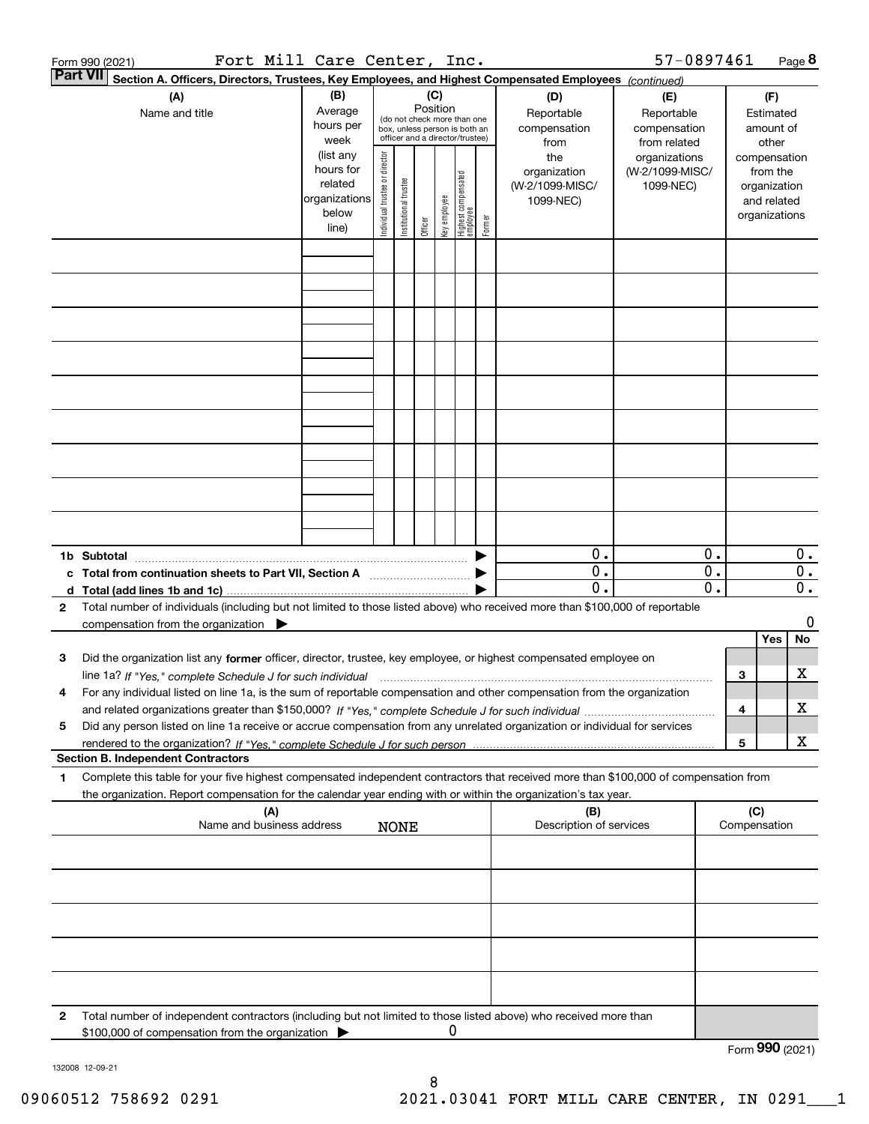|                 | Fort Mill Care Center, Inc.<br>Form 990 (2021)                                                                                       |                      |                                |                       |          |              |                                                              |        |                         | 57-0897461      |    |                              | Page 8 |
|-----------------|--------------------------------------------------------------------------------------------------------------------------------------|----------------------|--------------------------------|-----------------------|----------|--------------|--------------------------------------------------------------|--------|-------------------------|-----------------|----|------------------------------|--------|
| <b>Part VII</b> | Section A. Officers, Directors, Trustees, Key Employees, and Highest Compensated Employees (continued)                               |                      |                                |                       |          |              |                                                              |        |                         |                 |    |                              |        |
|                 | (A)                                                                                                                                  | (B)                  |                                |                       |          | (C)          |                                                              |        | (D)                     | (E)             |    | (F)                          |        |
|                 | Name and title                                                                                                                       | Average              |                                |                       | Position |              |                                                              |        | Reportable              | Reportable      |    | Estimated                    |        |
|                 |                                                                                                                                      | hours per            |                                |                       |          |              | (do not check more than one<br>box, unless person is both an |        | compensation            | compensation    |    | amount of                    |        |
|                 |                                                                                                                                      | week                 |                                |                       |          |              | officer and a director/trustee)                              |        | from                    | from related    |    | other                        |        |
|                 |                                                                                                                                      | (list any            |                                |                       |          |              |                                                              |        | the                     | organizations   |    | compensation                 |        |
|                 |                                                                                                                                      | hours for<br>related |                                |                       |          |              |                                                              |        | organization            | (W-2/1099-MISC/ |    | from the                     |        |
|                 |                                                                                                                                      | organizations        |                                |                       |          |              |                                                              |        | (W-2/1099-MISC/         | 1099-NEC)       |    | organization                 |        |
|                 |                                                                                                                                      | below                |                                |                       |          |              |                                                              |        | 1099-NEC)               |                 |    | and related<br>organizations |        |
|                 |                                                                                                                                      | line)                | Individual trustee or director | Institutional trustee | Officer  | Key employee | Highest compensated<br>  employee                            | Former |                         |                 |    |                              |        |
|                 |                                                                                                                                      |                      |                                |                       |          |              |                                                              |        |                         |                 |    |                              |        |
|                 |                                                                                                                                      |                      |                                |                       |          |              |                                                              |        |                         |                 |    |                              |        |
|                 |                                                                                                                                      |                      |                                |                       |          |              |                                                              |        |                         |                 |    |                              |        |
|                 |                                                                                                                                      |                      |                                |                       |          |              |                                                              |        |                         |                 |    |                              |        |
|                 |                                                                                                                                      |                      |                                |                       |          |              |                                                              |        |                         |                 |    |                              |        |
|                 |                                                                                                                                      |                      |                                |                       |          |              |                                                              |        |                         |                 |    |                              |        |
|                 |                                                                                                                                      |                      |                                |                       |          |              |                                                              |        |                         |                 |    |                              |        |
|                 |                                                                                                                                      |                      |                                |                       |          |              |                                                              |        |                         |                 |    |                              |        |
|                 |                                                                                                                                      |                      |                                |                       |          |              |                                                              |        |                         |                 |    |                              |        |
|                 |                                                                                                                                      |                      |                                |                       |          |              |                                                              |        |                         |                 |    |                              |        |
|                 |                                                                                                                                      |                      |                                |                       |          |              |                                                              |        |                         |                 |    |                              |        |
|                 |                                                                                                                                      |                      |                                |                       |          |              |                                                              |        |                         |                 |    |                              |        |
|                 |                                                                                                                                      |                      |                                |                       |          |              |                                                              |        |                         |                 |    |                              |        |
|                 |                                                                                                                                      |                      |                                |                       |          |              |                                                              |        |                         |                 |    |                              |        |
|                 |                                                                                                                                      |                      |                                |                       |          |              |                                                              |        |                         |                 |    |                              |        |
|                 |                                                                                                                                      |                      |                                |                       |          |              |                                                              |        |                         |                 |    |                              |        |
|                 |                                                                                                                                      |                      |                                |                       |          |              |                                                              |        |                         |                 |    |                              |        |
|                 |                                                                                                                                      |                      |                                |                       |          |              |                                                              |        |                         |                 |    |                              |        |
|                 |                                                                                                                                      |                      |                                |                       |          |              |                                                              |        | $0$ .                   |                 | 0. |                              | $0$ .  |
|                 | c Total from continuation sheets to Part VII, Section A                                                                              |                      |                                |                       |          |              |                                                              |        | 0.                      |                 | 0. |                              | 0.     |
|                 |                                                                                                                                      |                      |                                |                       |          |              |                                                              |        | 0.                      |                 | 0. |                              | $0$ .  |
| $\mathbf{2}$    | Total number of individuals (including but not limited to those listed above) who received more than \$100,000 of reportable         |                      |                                |                       |          |              |                                                              |        |                         |                 |    |                              |        |
|                 | compensation from the organization                                                                                                   |                      |                                |                       |          |              |                                                              |        |                         |                 |    |                              | 0      |
|                 |                                                                                                                                      |                      |                                |                       |          |              |                                                              |        |                         |                 |    | Yes                          | No     |
| 3               | Did the organization list any former officer, director, trustee, key employee, or highest compensated employee on                    |                      |                                |                       |          |              |                                                              |        |                         |                 |    |                              |        |
|                 | line 1a? If "Yes," complete Schedule J for such individual manumanamental contents and the numerous manumaname                       |                      |                                |                       |          |              |                                                              |        |                         |                 |    | 3                            | х      |
|                 | For any individual listed on line 1a, is the sum of reportable compensation and other compensation from the organization             |                      |                                |                       |          |              |                                                              |        |                         |                 |    |                              |        |
|                 |                                                                                                                                      |                      |                                |                       |          |              |                                                              |        |                         |                 |    | 4                            | X      |
| 5               | Did any person listed on line 1a receive or accrue compensation from any unrelated organization or individual for services           |                      |                                |                       |          |              |                                                              |        |                         |                 |    |                              |        |
|                 |                                                                                                                                      |                      |                                |                       |          |              |                                                              |        |                         |                 |    | 5                            | х      |
|                 | <b>Section B. Independent Contractors</b>                                                                                            |                      |                                |                       |          |              |                                                              |        |                         |                 |    |                              |        |
| 1               | Complete this table for your five highest compensated independent contractors that received more than \$100,000 of compensation from |                      |                                |                       |          |              |                                                              |        |                         |                 |    |                              |        |
|                 | the organization. Report compensation for the calendar year ending with or within the organization's tax year.                       |                      |                                |                       |          |              |                                                              |        |                         |                 |    |                              |        |
|                 | (A)                                                                                                                                  |                      |                                |                       |          |              |                                                              |        | (B)                     |                 |    | (C)                          |        |
|                 | Name and business address                                                                                                            |                      |                                | <b>NONE</b>           |          |              |                                                              |        | Description of services |                 |    | Compensation                 |        |
|                 |                                                                                                                                      |                      |                                |                       |          |              |                                                              |        |                         |                 |    |                              |        |
|                 |                                                                                                                                      |                      |                                |                       |          |              |                                                              |        |                         |                 |    |                              |        |
|                 |                                                                                                                                      |                      |                                |                       |          |              |                                                              |        |                         |                 |    |                              |        |
|                 |                                                                                                                                      |                      |                                |                       |          |              |                                                              |        |                         |                 |    |                              |        |
|                 |                                                                                                                                      |                      |                                |                       |          |              |                                                              |        |                         |                 |    |                              |        |
|                 |                                                                                                                                      |                      |                                |                       |          |              |                                                              |        |                         |                 |    |                              |        |
|                 |                                                                                                                                      |                      |                                |                       |          |              |                                                              |        |                         |                 |    |                              |        |
|                 |                                                                                                                                      |                      |                                |                       |          |              |                                                              |        |                         |                 |    |                              |        |
|                 |                                                                                                                                      |                      |                                |                       |          |              |                                                              |        |                         |                 |    |                              |        |
|                 |                                                                                                                                      |                      |                                |                       |          |              |                                                              |        |                         |                 |    |                              |        |
| 2               | Total number of independent contractors (including but not limited to those listed above) who received more than                     |                      |                                |                       |          |              |                                                              |        |                         |                 |    |                              |        |
|                 | \$100,000 of compensation from the organization                                                                                      |                      |                                |                       |          | 0            |                                                              |        |                         |                 |    |                              |        |
|                 |                                                                                                                                      |                      |                                |                       |          |              |                                                              |        |                         |                 |    | Form 990 (2021)              |        |

132008 12-09-21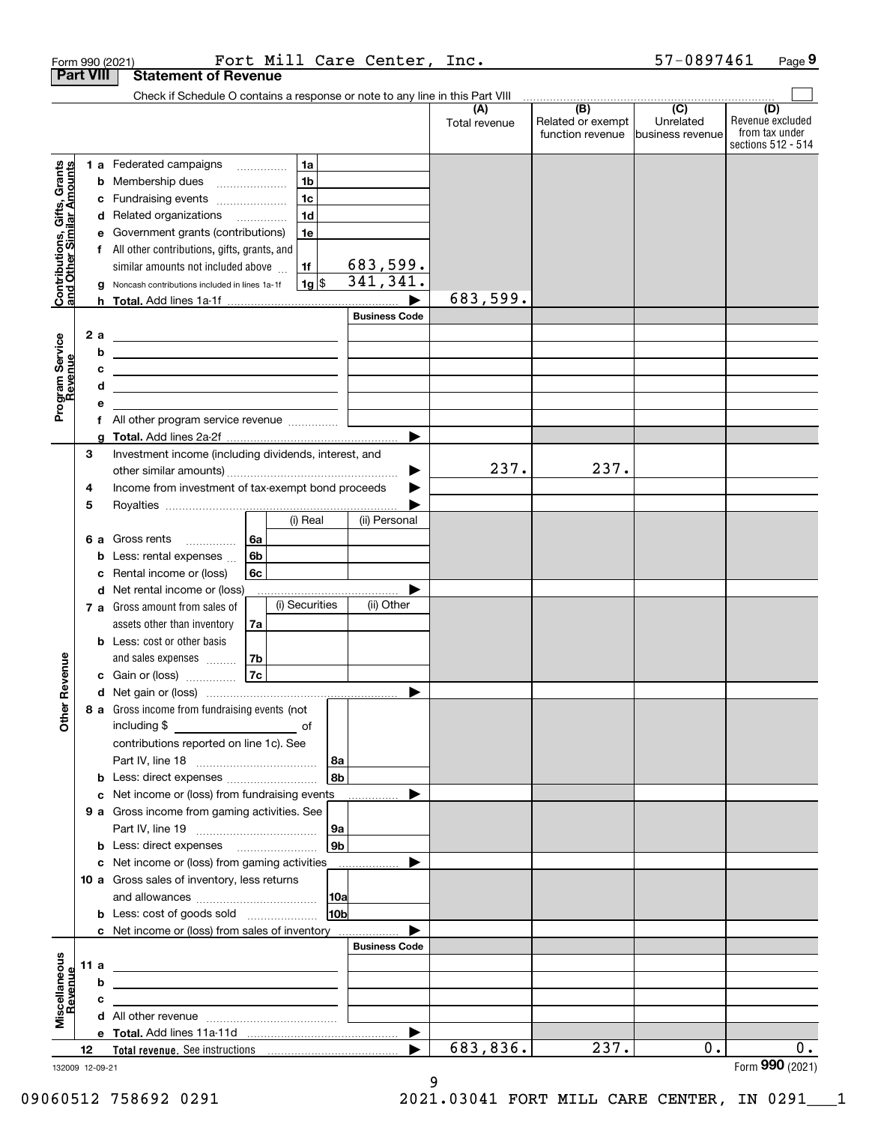|                                                           |                  |   | Form 990 (2021)                                                                                                       |                        | Fort Mill Care Center, Inc. |               |                                       | 57-0897461                    | Page 9                                                   |
|-----------------------------------------------------------|------------------|---|-----------------------------------------------------------------------------------------------------------------------|------------------------|-----------------------------|---------------|---------------------------------------|-------------------------------|----------------------------------------------------------|
|                                                           | <b>Part VIII</b> |   | <b>Statement of Revenue</b>                                                                                           |                        |                             |               |                                       |                               |                                                          |
|                                                           |                  |   | Check if Schedule O contains a response or note to any line in this Part VIII                                         |                        |                             | (A)           | (B)                                   | $\overline{(C)}$              | (D)                                                      |
|                                                           |                  |   |                                                                                                                       |                        |                             | Total revenue | Related or exempt<br>function revenue | Unrelated<br>business revenue | Revenue excluded<br>from tax under<br>sections 512 - 514 |
|                                                           |                  |   | <b>1 a</b> Federated campaigns                                                                                        | 1a                     |                             |               |                                       |                               |                                                          |
|                                                           |                  |   | <b>b</b> Membership dues                                                                                              | 1 <sub>b</sub>         |                             |               |                                       |                               |                                                          |
|                                                           |                  | с | Fundraising events                                                                                                    | 1 <sub>c</sub>         |                             |               |                                       |                               |                                                          |
|                                                           |                  | d | Related organizations                                                                                                 | 1 <sub>d</sub>         |                             |               |                                       |                               |                                                          |
|                                                           |                  | е | Government grants (contributions)                                                                                     | 1e                     |                             |               |                                       |                               |                                                          |
|                                                           |                  |   | f All other contributions, gifts, grants, and                                                                         |                        |                             |               |                                       |                               |                                                          |
|                                                           |                  |   | similar amounts not included above                                                                                    | 1f<br>1g  \$           | 683,599.<br>341, 341.       |               |                                       |                               |                                                          |
| Contributions, Gifts, Grants<br>and Other Similar Amounts |                  | g | Noncash contributions included in lines 1a-1f                                                                         |                        |                             | 683,599.      |                                       |                               |                                                          |
|                                                           |                  |   |                                                                                                                       |                        | <b>Business Code</b>        |               |                                       |                               |                                                          |
|                                                           | 2a               |   |                                                                                                                       |                        |                             |               |                                       |                               |                                                          |
| Program Service<br>Revenue                                |                  | b |                                                                                                                       |                        |                             |               |                                       |                               |                                                          |
|                                                           |                  | с |                                                                                                                       |                        |                             |               |                                       |                               |                                                          |
|                                                           |                  | d | <u> 1989 - Johann Barbara, martin amerikan basar dan berasal dalam basar dalam basar dalam basar dalam basar dala</u> |                        |                             |               |                                       |                               |                                                          |
|                                                           |                  | е |                                                                                                                       |                        |                             |               |                                       |                               |                                                          |
|                                                           |                  | f | All other program service revenue                                                                                     |                        |                             |               |                                       |                               |                                                          |
|                                                           |                  | a |                                                                                                                       |                        | $\blacktriangleright$       |               |                                       |                               |                                                          |
|                                                           | 3                |   | Investment income (including dividends, interest, and                                                                 |                        |                             | 237.          | 237.                                  |                               |                                                          |
|                                                           | 4                |   | Income from investment of tax-exempt bond proceeds                                                                    |                        | ▶                           |               |                                       |                               |                                                          |
|                                                           | 5                |   |                                                                                                                       |                        |                             |               |                                       |                               |                                                          |
|                                                           |                  |   |                                                                                                                       | (i) Real               | (ii) Personal               |               |                                       |                               |                                                          |
|                                                           | 6а               |   | Gross rents<br>6a<br>.                                                                                                |                        |                             |               |                                       |                               |                                                          |
|                                                           |                  | b | 6b<br>Less: rental expenses                                                                                           |                        |                             |               |                                       |                               |                                                          |
|                                                           |                  | с | Rental income or (loss)<br>6с                                                                                         |                        |                             |               |                                       |                               |                                                          |
|                                                           |                  | d | Net rental income or (loss)                                                                                           |                        |                             |               |                                       |                               |                                                          |
|                                                           |                  |   | <b>7 a</b> Gross amount from sales of                                                                                 | (i) Securities         | (ii) Other                  |               |                                       |                               |                                                          |
|                                                           |                  |   | assets other than inventory<br>7a                                                                                     |                        |                             |               |                                       |                               |                                                          |
|                                                           |                  |   | <b>b</b> Less: cost or other basis                                                                                    |                        |                             |               |                                       |                               |                                                          |
| venue                                                     |                  |   | and sales expenses<br>7b                                                                                              |                        |                             |               |                                       |                               |                                                          |
|                                                           |                  |   | 7c<br>c Gain or (loss)                                                                                                |                        |                             |               |                                       |                               |                                                          |
| Other Re                                                  |                  |   |                                                                                                                       |                        |                             |               |                                       |                               |                                                          |
|                                                           |                  |   | 8 a Gross income from fundraising events (not                                                                         |                        |                             |               |                                       |                               |                                                          |
|                                                           |                  |   | contributions reported on line 1c). See                                                                               |                        |                             |               |                                       |                               |                                                          |
|                                                           |                  |   |                                                                                                                       | 8a                     |                             |               |                                       |                               |                                                          |
|                                                           |                  | b | Less: direct expenses                                                                                                 | 8b                     |                             |               |                                       |                               |                                                          |
|                                                           |                  | c | Net income or (loss) from fundraising events                                                                          |                        |                             |               |                                       |                               |                                                          |
|                                                           |                  |   | 9 a Gross income from gaming activities. See                                                                          |                        |                             |               |                                       |                               |                                                          |
|                                                           |                  |   |                                                                                                                       | 9a                     |                             |               |                                       |                               |                                                          |
|                                                           |                  | b |                                                                                                                       | 9b                     |                             |               |                                       |                               |                                                          |
|                                                           |                  | c | Net income or (loss) from gaming activities                                                                           |                        |                             |               |                                       |                               |                                                          |
|                                                           |                  |   | 10 a Gross sales of inventory, less returns                                                                           |                        |                             |               |                                       |                               |                                                          |
|                                                           |                  |   | <b>b</b> Less: cost of goods sold                                                                                     | 10a<br>10 <sub>b</sub> |                             |               |                                       |                               |                                                          |
|                                                           |                  |   | c Net income or (loss) from sales of inventory                                                                        |                        |                             |               |                                       |                               |                                                          |
|                                                           |                  |   |                                                                                                                       |                        | <b>Business Code</b>        |               |                                       |                               |                                                          |
|                                                           | 11 a             |   |                                                                                                                       |                        |                             |               |                                       |                               |                                                          |
| evenue                                                    |                  | b |                                                                                                                       |                        |                             |               |                                       |                               |                                                          |
|                                                           |                  | с |                                                                                                                       |                        |                             |               |                                       |                               |                                                          |
| Miscellaneous                                             |                  | d | All other revenue <i>communically contained</i>                                                                       |                        |                             |               |                                       |                               |                                                          |
|                                                           |                  |   |                                                                                                                       |                        | ▶                           |               |                                       |                               |                                                          |
|                                                           | 12               |   |                                                                                                                       |                        |                             | 683,836.      | 237.                                  | 0.                            | 0.                                                       |
| 132009 12-09-21                                           |                  |   |                                                                                                                       |                        |                             |               |                                       |                               | Form 990 (2021)                                          |

132009 12-09-21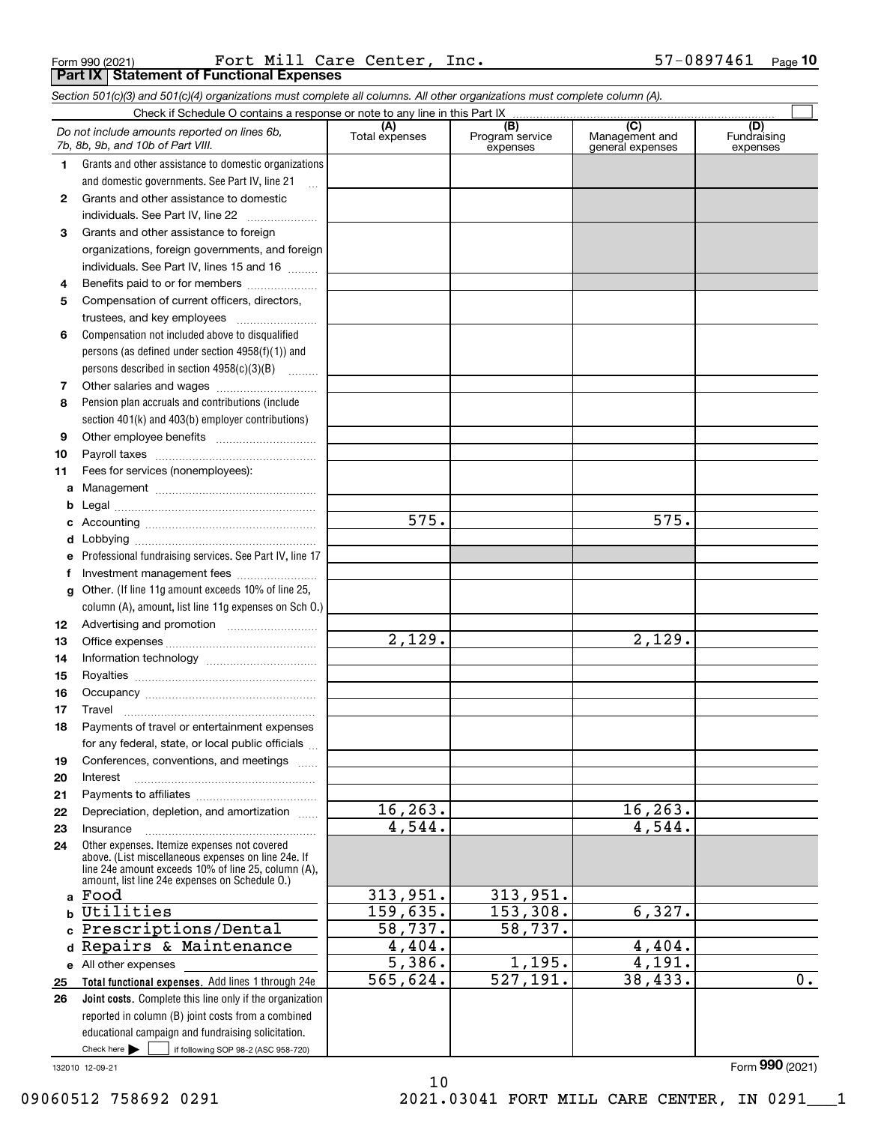Form 990 (2021) Page **Part IX Statement of Functional Expenses** Fort Mill Care Center, Inc. 57-0897461

*Section 501(c)(3) and 501(c)(4) organizations must complete all columns. All other organizations must complete column (A).*

|          | Do not include amounts reported on lines 6b,<br>7b, 8b, 9b, and 10b of Part VIII.                          | (A)<br>Total expenses | $\overline{(B)}$<br>Program service<br>expenses | $\overline{(C)}$<br>Management and<br>general expenses | (D)<br>Fundraising<br>expenses |  |  |  |  |  |
|----------|------------------------------------------------------------------------------------------------------------|-----------------------|-------------------------------------------------|--------------------------------------------------------|--------------------------------|--|--|--|--|--|
| 1.       | Grants and other assistance to domestic organizations                                                      |                       |                                                 |                                                        |                                |  |  |  |  |  |
|          | and domestic governments. See Part IV, line 21                                                             |                       |                                                 |                                                        |                                |  |  |  |  |  |
| 2        | Grants and other assistance to domestic                                                                    |                       |                                                 |                                                        |                                |  |  |  |  |  |
|          | individuals. See Part IV, line 22                                                                          |                       |                                                 |                                                        |                                |  |  |  |  |  |
| 3        | Grants and other assistance to foreign                                                                     |                       |                                                 |                                                        |                                |  |  |  |  |  |
|          | organizations, foreign governments, and foreign                                                            |                       |                                                 |                                                        |                                |  |  |  |  |  |
|          | individuals. See Part IV, lines 15 and 16                                                                  |                       |                                                 |                                                        |                                |  |  |  |  |  |
| 4        | Benefits paid to or for members                                                                            |                       |                                                 |                                                        |                                |  |  |  |  |  |
| 5        | Compensation of current officers, directors,                                                               |                       |                                                 |                                                        |                                |  |  |  |  |  |
|          | trustees, and key employees                                                                                |                       |                                                 |                                                        |                                |  |  |  |  |  |
| 6        | Compensation not included above to disqualified                                                            |                       |                                                 |                                                        |                                |  |  |  |  |  |
|          | persons (as defined under section 4958(f)(1)) and                                                          |                       |                                                 |                                                        |                                |  |  |  |  |  |
|          | persons described in section 4958(c)(3)(B)                                                                 |                       |                                                 |                                                        |                                |  |  |  |  |  |
| 7        |                                                                                                            |                       |                                                 |                                                        |                                |  |  |  |  |  |
| 8        | Pension plan accruals and contributions (include                                                           |                       |                                                 |                                                        |                                |  |  |  |  |  |
|          | section 401(k) and 403(b) employer contributions)                                                          |                       |                                                 |                                                        |                                |  |  |  |  |  |
| 9        |                                                                                                            |                       |                                                 |                                                        |                                |  |  |  |  |  |
| 10       |                                                                                                            |                       |                                                 |                                                        |                                |  |  |  |  |  |
| 11       | Fees for services (nonemployees):                                                                          |                       |                                                 |                                                        |                                |  |  |  |  |  |
| a        |                                                                                                            |                       |                                                 |                                                        |                                |  |  |  |  |  |
| b        |                                                                                                            |                       |                                                 |                                                        |                                |  |  |  |  |  |
| c        |                                                                                                            | 575.                  |                                                 | 575.                                                   |                                |  |  |  |  |  |
| d        |                                                                                                            |                       |                                                 |                                                        |                                |  |  |  |  |  |
| е        | Professional fundraising services. See Part IV, line 17                                                    |                       |                                                 |                                                        |                                |  |  |  |  |  |
| f        | Investment management fees                                                                                 |                       |                                                 |                                                        |                                |  |  |  |  |  |
| g        | Other. (If line 11g amount exceeds 10% of line 25,                                                         |                       |                                                 |                                                        |                                |  |  |  |  |  |
|          | column (A), amount, list line 11g expenses on Sch 0.)                                                      |                       |                                                 |                                                        |                                |  |  |  |  |  |
| 12       |                                                                                                            | 2,129.                |                                                 | 2,129.                                                 |                                |  |  |  |  |  |
| 13       |                                                                                                            |                       |                                                 |                                                        |                                |  |  |  |  |  |
| 14       |                                                                                                            |                       |                                                 |                                                        |                                |  |  |  |  |  |
| 15       |                                                                                                            |                       |                                                 |                                                        |                                |  |  |  |  |  |
| 16       |                                                                                                            |                       |                                                 |                                                        |                                |  |  |  |  |  |
| 17<br>18 | Travel<br>Payments of travel or entertainment expenses                                                     |                       |                                                 |                                                        |                                |  |  |  |  |  |
|          | for any federal, state, or local public officials                                                          |                       |                                                 |                                                        |                                |  |  |  |  |  |
| 19       | Conferences, conventions, and meetings                                                                     |                       |                                                 |                                                        |                                |  |  |  |  |  |
| 20       | Interest                                                                                                   |                       |                                                 |                                                        |                                |  |  |  |  |  |
| 21       |                                                                                                            |                       |                                                 |                                                        |                                |  |  |  |  |  |
| 22       | Depreciation, depletion, and amortization                                                                  | 16, 263.              |                                                 | 16, 263.                                               |                                |  |  |  |  |  |
| 23       | Insurance                                                                                                  | 4,544.                |                                                 | 4,544.                                                 |                                |  |  |  |  |  |
| 24       | Other expenses. Itemize expenses not covered                                                               |                       |                                                 |                                                        |                                |  |  |  |  |  |
|          | above. (List miscellaneous expenses on line 24e. If<br>line 24e amount exceeds 10% of line 25, column (A), |                       |                                                 |                                                        |                                |  |  |  |  |  |
|          | amount, list line 24e expenses on Schedule O.)                                                             |                       |                                                 |                                                        |                                |  |  |  |  |  |
| a        | Food                                                                                                       | 313,951.              | 313,951.                                        |                                                        |                                |  |  |  |  |  |
| b        | Utilities                                                                                                  | 159,635.              | 153,308.                                        | 6,327.                                                 |                                |  |  |  |  |  |
| c.       | Prescriptions/Dental                                                                                       | 58,737.               | 58,737.                                         |                                                        |                                |  |  |  |  |  |
| d        | Repairs & Maintenance                                                                                      | 4,404.                |                                                 | 4,404.                                                 |                                |  |  |  |  |  |
|          | e All other expenses                                                                                       | 5,386.                | 1,195.                                          | $\overline{4,191.}$                                    |                                |  |  |  |  |  |
| 25       | Total functional expenses. Add lines 1 through 24e                                                         | 565,624.              | 527, 191.                                       | 38,433.                                                | $\overline{0}$ .               |  |  |  |  |  |
| 26       | Joint costs. Complete this line only if the organization                                                   |                       |                                                 |                                                        |                                |  |  |  |  |  |
|          | reported in column (B) joint costs from a combined                                                         |                       |                                                 |                                                        |                                |  |  |  |  |  |
|          | educational campaign and fundraising solicitation.                                                         |                       |                                                 |                                                        |                                |  |  |  |  |  |
|          | Check here $\blacktriangleright$<br>if following SOP 98-2 (ASC 958-720)                                    |                       |                                                 |                                                        |                                |  |  |  |  |  |

132010 12-09-21

10 09060512 758692 0291 2021.03041 FORT MILL CARE CENTER, IN 0291\_\_\_1

Form (2021) **990**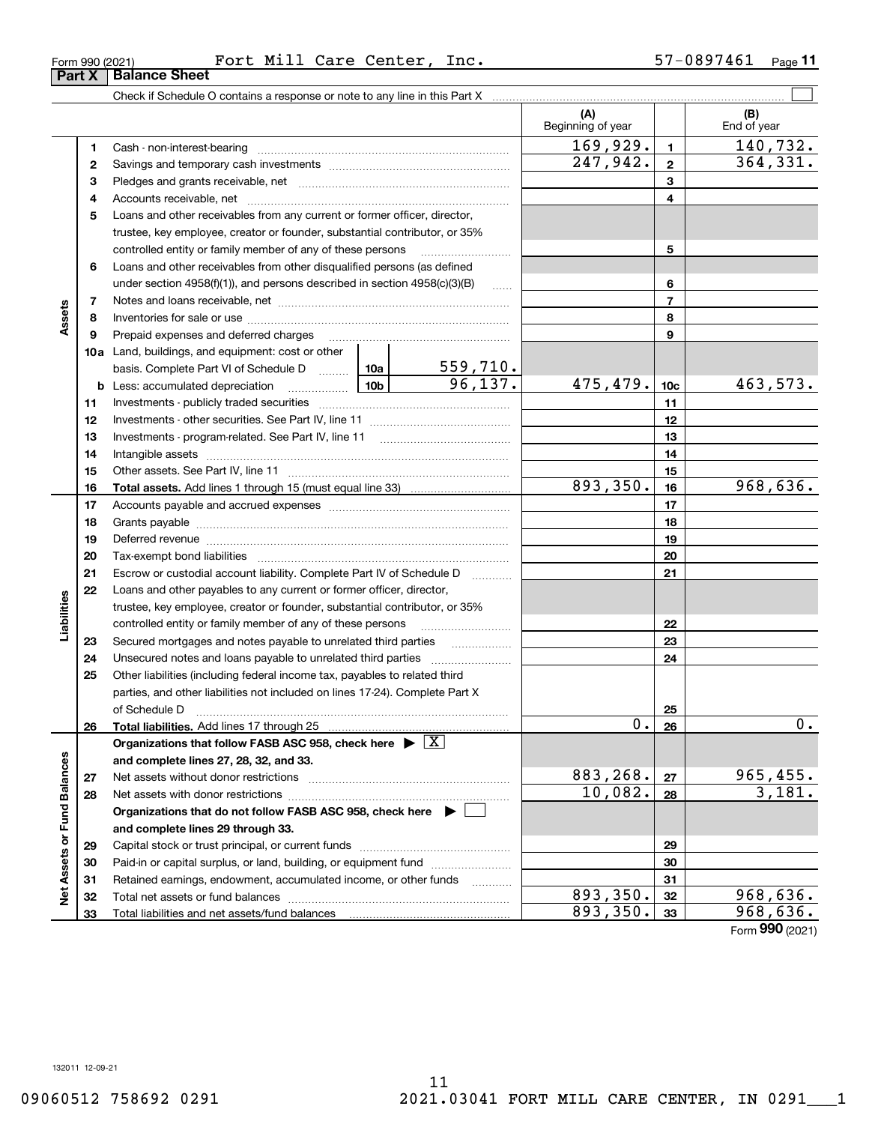**33**

Total liabilities and net assets/fund balances

**Net Assets or Fund Balances**

ğ

Assets or Fund Balances

**33**

**(A) (B) 123** Pledges and grants receivable, net  $\ldots$  **multimes contained and grants receivable**, net **multimes contained and grants receivable**, net **multimes contained and grants receivable 45**Loans and other receivables from any current or former officer, director, **678910a**Land, buildings, and equipment: cost or other **1112131415161718192021222324252627282930313212345678910c11121314151617181920212223242526b** Less: accumulated depreciation  $\ldots$  **10b** basis. Complete Part VI of Schedule D will aller **Total assets.**  Add lines 1 through 15 (must equal line 33) **Total liabilities.**  Add lines 17 through 25 **Organizations that follow FASB ASC 958, check here** | X **and complete lines 27, 28, 32, and 33. 2728Organizations that do not follow FASB ASC 958, check here** | **and complete lines 29 through 33. 29303132**Check if Schedule O contains a response or note to any line in this Part X Beginning of year | | End of year Cash - non-interest-bearing ~~~~~~~~~~~~~~~~~~~~~~~~~ Savings and temporary cash investments ~~~~~~~~~~~~~~~~~~Accounts receivable, net ~~~~~~~~~~~~~~~~~~~~~~~~~~ trustee, key employee, creator or founder, substantial contributor, or 35% controlled entity or family member of any of these persons ~~~~~~~~~ Loans and other receivables from other disqualified persons (as defined under section  $4958(f)(1)$ , and persons described in section  $4958(c)(3)(B)$ Notes and loans receivable, net ~~~~~~~~~~~~~~~~~~~~~~~ Inventories for sale or use ~~~~~~~~~~~~~~~~~~~~~~~~~~Prepaid expenses and deferred charges ~~~~~~~~~~~~~~~~~~ Investments - publicly traded securities ~~~~~~~~~~~~~~~~~~~ Investments - other securities. See Part IV, line 11 ~~~~~~~~~~~~~~ Investments - program-related. See Part IV, line 11 ~~~~~~~~~~~~~Intangible assets …………………………………………………………………………………… Other assets. See Part IV, line 11 ~~~~~~~~~~~~~~~~~~~~~~ Accounts payable and accrued expenses ~~~~~~~~~~~~~~~~~~ Grants payable ~~~~~~~~~~~~~~~~~~~~~~~~~~~~~~~ Deferred revenue ~~~~~~~~~~~~~~~~~~~~~~~~~~~~~~ Tax-exempt bond liabilities …………………………………………………………… Escrow or custodial account liability. Complete Part IV of Schedule D Loans and other payables to any current or former officer, director, trustee, key employee, creator or founder, substantial contributor, or 35% controlled entity or family member of any of these persons ~~~~~~~~~Secured mortgages and notes payable to unrelated third parties **Fig. 1.1.1.1.1.1.1.1.1.1.** Unsecured notes and loans payable to unrelated third parties  $\ldots$ Other liabilities (including federal income tax, payables to related third parties, and other liabilities not included on lines 17-24). Complete Part X of Schedule D ~~~~~~~~~~~~~~~~~~~~~~~~~~~~~~~ Net assets without donor restrictions ~~~~~~~~~~~~~~~~~~~~ Net assets with donor restrictions ~~~~~~~~~~~~~~~~~~~~~~ Capital stock or trust principal, or current funds ~~~~~~~~~~~~~~~Paid-in or capital surplus, or land, building, or equipment fund www.commun.com Retained earnings, endowment, accumulated income, or other funds www.com Total net assets or fund balances ~~~~~~~~~~~~~~~~~~~~~~  $\mathcal{L}^{\text{max}}$  $169,929.$  1 140,732. 559,710. 96,137. 475,479.  $|10c|$  463,573. 893,350. 16 968,636.  $247,942.$   $2 \mid 364,331.$ 0.l<u>26</u> l 0.  $883, 268$ . |  $27$  | 965, 455.  $10,082. |28| 3,181.$  $\overline{893}, 350. |32|$  968,636.

 $893,350.$  33 968,636.

Form (2021) **990**

# **Part X** Balance Sheet

**Assets**

**Liabilities**

iabilities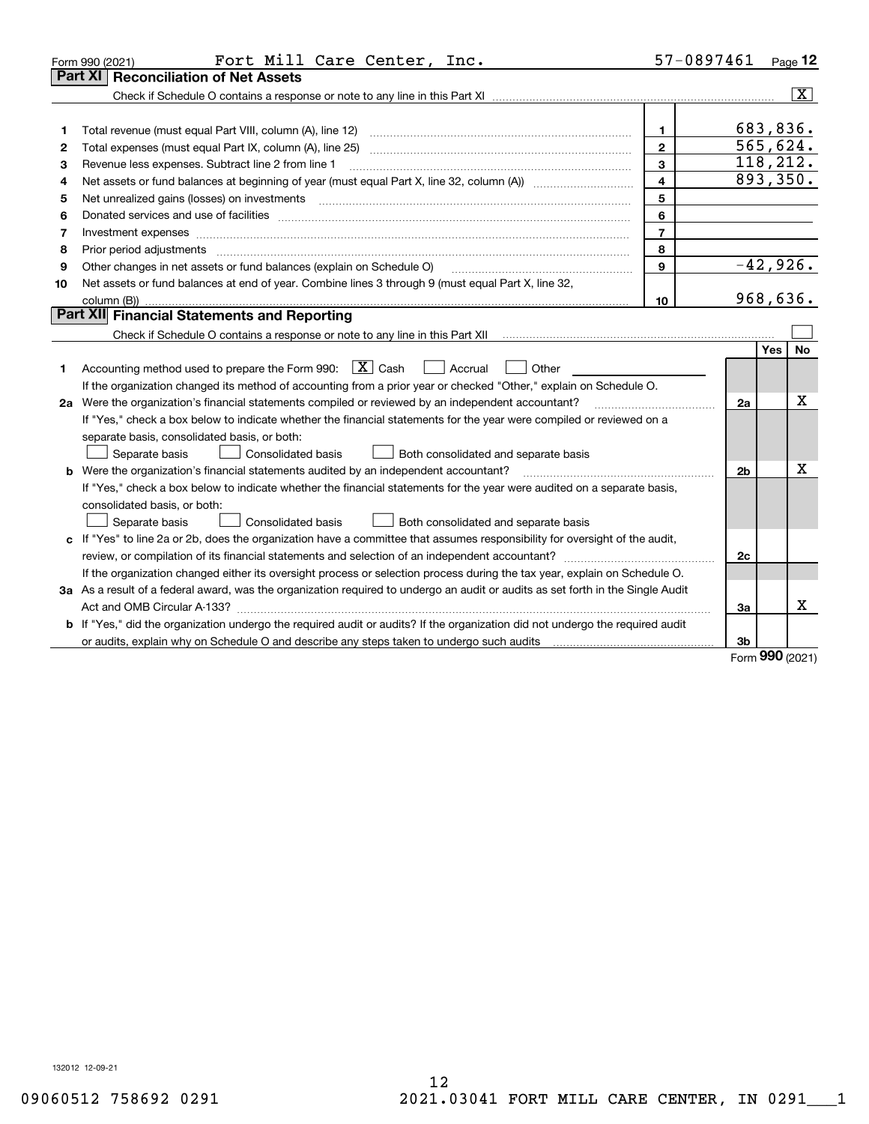|    | Fort Mill Care Center, Inc.<br>Form 990 (2021)                                                                                                                                                                                 | 57-0897461     |                |     | Page 12                 |
|----|--------------------------------------------------------------------------------------------------------------------------------------------------------------------------------------------------------------------------------|----------------|----------------|-----|-------------------------|
|    | Part XI<br><b>Reconciliation of Net Assets</b>                                                                                                                                                                                 |                |                |     |                         |
|    |                                                                                                                                                                                                                                |                |                |     | $\overline{\mathbf{x}}$ |
|    |                                                                                                                                                                                                                                |                |                |     |                         |
| 1  |                                                                                                                                                                                                                                | $\mathbf{1}$   | 683,836.       |     |                         |
| 2  |                                                                                                                                                                                                                                | $\overline{2}$ | 565,624.       |     |                         |
| 3  | Revenue less expenses. Subtract line 2 from line 1                                                                                                                                                                             | $\mathbf{3}$   | 118, 212.      |     |                         |
| 4  |                                                                                                                                                                                                                                | $\overline{4}$ | 893,350.       |     |                         |
| 5  | Net unrealized gains (losses) on investments [11] matter contracts and the state of the state of the state of the state of the state of the state of the state of the state of the state of the state of the state of the stat | 5              |                |     |                         |
| 6  |                                                                                                                                                                                                                                | 6              |                |     |                         |
| 7  | Investment expenses www.communication.com/www.communication.com/www.communication.com/www.com                                                                                                                                  | $\overline{7}$ |                |     |                         |
| 8  | Prior period adjustments www.communication.communication.com/news/communication.com/news/communication.com/new                                                                                                                 | 8              |                |     |                         |
| 9  | Other changes in net assets or fund balances (explain on Schedule O)                                                                                                                                                           | 9              | $-42,926.$     |     |                         |
| 10 | Net assets or fund balances at end of year. Combine lines 3 through 9 (must equal Part X, line 32,                                                                                                                             |                |                |     |                         |
|    |                                                                                                                                                                                                                                | 10             | 968,636.       |     |                         |
|    | Part XII Financial Statements and Reporting                                                                                                                                                                                    |                |                |     |                         |
|    |                                                                                                                                                                                                                                |                |                |     |                         |
|    |                                                                                                                                                                                                                                |                |                | Yes | <b>No</b>               |
| 1  | Accounting method used to prepare the Form 990: $X \subset X$ Cash<br>Accrual<br>Other                                                                                                                                         |                |                |     |                         |
|    | If the organization changed its method of accounting from a prior year or checked "Other," explain on Schedule O.                                                                                                              |                |                |     |                         |
|    | 2a Were the organization's financial statements compiled or reviewed by an independent accountant?                                                                                                                             |                | 2a             |     | X                       |
|    | If "Yes," check a box below to indicate whether the financial statements for the year were compiled or reviewed on a                                                                                                           |                |                |     |                         |
|    | separate basis, consolidated basis, or both:                                                                                                                                                                                   |                |                |     |                         |
|    | Both consolidated and separate basis<br>Separate basis<br>Consolidated basis                                                                                                                                                   |                |                |     |                         |
|    | <b>b</b> Were the organization's financial statements audited by an independent accountant?                                                                                                                                    |                | 2 <sub>b</sub> |     | Χ                       |
|    | If "Yes," check a box below to indicate whether the financial statements for the year were audited on a separate basis,                                                                                                        |                |                |     |                         |
|    | consolidated basis, or both:                                                                                                                                                                                                   |                |                |     |                         |
|    | <b>Consolidated basis</b><br>Both consolidated and separate basis<br>Separate basis                                                                                                                                            |                |                |     |                         |
|    | c If "Yes" to line 2a or 2b, does the organization have a committee that assumes responsibility for oversight of the audit,                                                                                                    |                |                |     |                         |
|    |                                                                                                                                                                                                                                |                | 2c             |     |                         |
|    | If the organization changed either its oversight process or selection process during the tax year, explain on Schedule O.                                                                                                      |                |                |     |                         |
|    | 3a As a result of a federal award, was the organization required to undergo an audit or audits as set forth in the Single Audit                                                                                                |                |                |     |                         |
|    |                                                                                                                                                                                                                                |                | 3a             |     | x                       |
|    | <b>b</b> If "Yes," did the organization undergo the required audit or audits? If the organization did not undergo the required audit                                                                                           |                |                |     |                         |
|    |                                                                                                                                                                                                                                |                | 3b             |     |                         |

Form (2021) **990**

132012 12-09-21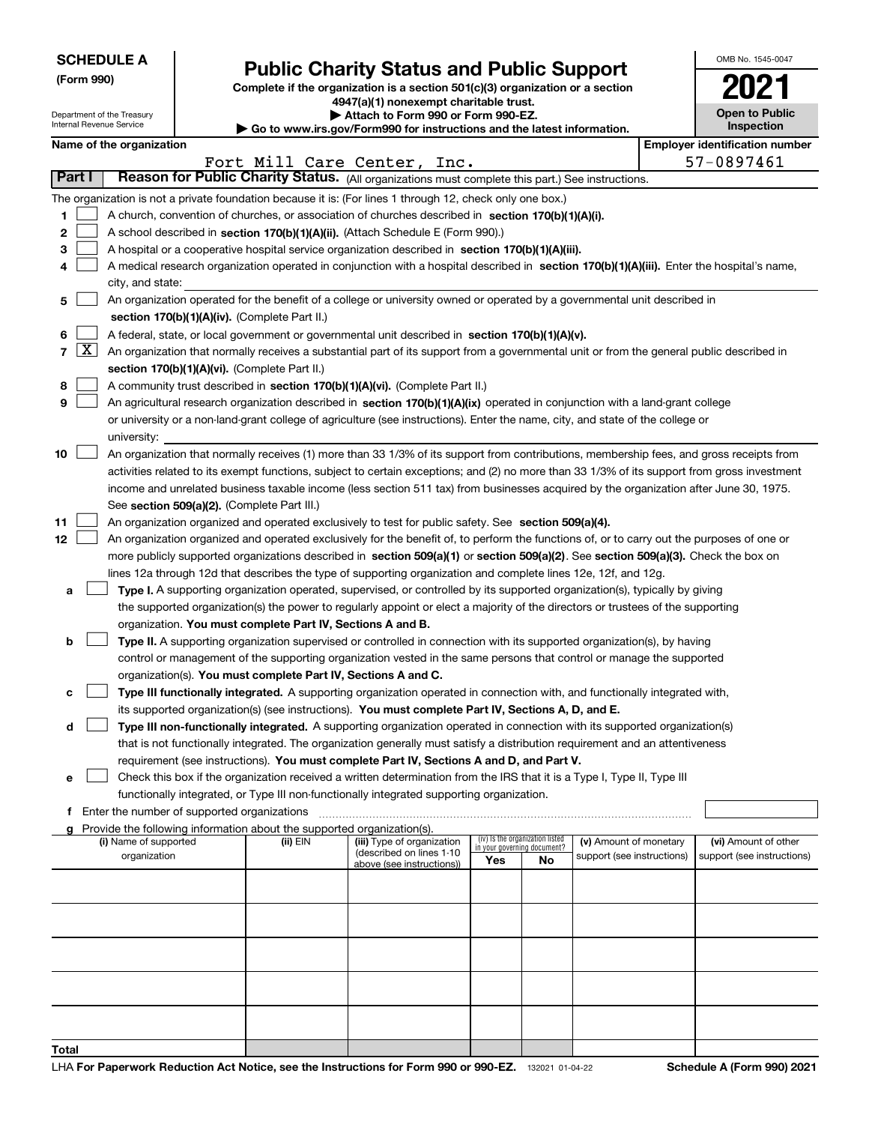| <b>SCHEDULE A</b> |  |
|-------------------|--|
|-------------------|--|

Department of the Treasury Internal Revenue Service

| (Form 990) |  |
|------------|--|
|------------|--|

## **Public Charity Status and Public Support**

**Complete if the organization is a section 501(c)(3) organization or a section 4947(a)(1) nonexempt charitable trust.**

**| Attach to Form 990 or Form 990-EZ.** 

**| Go to www.irs.gov/Form990 for instructions and the latest information.**

| OMB No 1545-0047                    |
|-------------------------------------|
| 202                                 |
| <b>Open to Public</b><br>Inspection |

| Name of the organization                                                                                                 | <b>Employer identification number</b> |
|--------------------------------------------------------------------------------------------------------------------------|---------------------------------------|
| Fort Mill Care Center, Inc.                                                                                              | 57-0897461                            |
| <b>Reason for Public Charity Status.</b> (All organizations must complete this part.) See instructions.<br><b>Part I</b> |                                       |

|    |                                                                                                           |                                                                                                                                              |          | Fort Mill Care Center, Inc.                            |                             |                                 |                            |  | 57-0897461                 |  |
|----|-----------------------------------------------------------------------------------------------------------|----------------------------------------------------------------------------------------------------------------------------------------------|----------|--------------------------------------------------------|-----------------------------|---------------------------------|----------------------------|--|----------------------------|--|
|    | Part I                                                                                                    | Reason for Public Charity Status. (All organizations must complete this part.) See instructions.                                             |          |                                                        |                             |                                 |                            |  |                            |  |
|    | The organization is not a private foundation because it is: (For lines 1 through 12, check only one box.) |                                                                                                                                              |          |                                                        |                             |                                 |                            |  |                            |  |
| 1  | A church, convention of churches, or association of churches described in section $170(b)(1)(A)(i)$ .     |                                                                                                                                              |          |                                                        |                             |                                 |                            |  |                            |  |
| 2  |                                                                                                           | A school described in section 170(b)(1)(A)(ii). (Attach Schedule E (Form 990).)                                                              |          |                                                        |                             |                                 |                            |  |                            |  |
| з  |                                                                                                           | A hospital or a cooperative hospital service organization described in section 170(b)(1)(A)(iii).                                            |          |                                                        |                             |                                 |                            |  |                            |  |
|    |                                                                                                           | A medical research organization operated in conjunction with a hospital described in section 170(b)(1)(A)(iii). Enter the hospital's name,   |          |                                                        |                             |                                 |                            |  |                            |  |
|    |                                                                                                           | city, and state:                                                                                                                             |          |                                                        |                             |                                 |                            |  |                            |  |
|    |                                                                                                           | An organization operated for the benefit of a college or university owned or operated by a governmental unit described in                    |          |                                                        |                             |                                 |                            |  |                            |  |
| 5  |                                                                                                           |                                                                                                                                              |          |                                                        |                             |                                 |                            |  |                            |  |
|    |                                                                                                           | section 170(b)(1)(A)(iv). (Complete Part II.)                                                                                                |          |                                                        |                             |                                 |                            |  |                            |  |
| 6  |                                                                                                           | A federal, state, or local government or governmental unit described in section 170(b)(1)(A)(v).                                             |          |                                                        |                             |                                 |                            |  |                            |  |
|    | $7 \times$                                                                                                | An organization that normally receives a substantial part of its support from a governmental unit or from the general public described in    |          |                                                        |                             |                                 |                            |  |                            |  |
|    |                                                                                                           | section 170(b)(1)(A)(vi). (Complete Part II.)                                                                                                |          |                                                        |                             |                                 |                            |  |                            |  |
| 8  |                                                                                                           | A community trust described in section 170(b)(1)(A)(vi). (Complete Part II.)                                                                 |          |                                                        |                             |                                 |                            |  |                            |  |
| 9  |                                                                                                           | An agricultural research organization described in section 170(b)(1)(A)(ix) operated in conjunction with a land-grant college                |          |                                                        |                             |                                 |                            |  |                            |  |
|    |                                                                                                           | or university or a non-land-grant college of agriculture (see instructions). Enter the name, city, and state of the college or               |          |                                                        |                             |                                 |                            |  |                            |  |
|    |                                                                                                           | university:                                                                                                                                  |          |                                                        |                             |                                 |                            |  |                            |  |
| 10 |                                                                                                           | An organization that normally receives (1) more than 33 1/3% of its support from contributions, membership fees, and gross receipts from     |          |                                                        |                             |                                 |                            |  |                            |  |
|    |                                                                                                           | activities related to its exempt functions, subject to certain exceptions; and (2) no more than 33 1/3% of its support from gross investment |          |                                                        |                             |                                 |                            |  |                            |  |
|    |                                                                                                           | income and unrelated business taxable income (less section 511 tax) from businesses acquired by the organization after June 30, 1975.        |          |                                                        |                             |                                 |                            |  |                            |  |
|    |                                                                                                           | See section 509(a)(2). (Complete Part III.)                                                                                                  |          |                                                        |                             |                                 |                            |  |                            |  |
| 11 |                                                                                                           | An organization organized and operated exclusively to test for public safety. See section 509(a)(4).                                         |          |                                                        |                             |                                 |                            |  |                            |  |
| 12 |                                                                                                           | An organization organized and operated exclusively for the benefit of, to perform the functions of, or to carry out the purposes of one or   |          |                                                        |                             |                                 |                            |  |                            |  |
|    |                                                                                                           | more publicly supported organizations described in section 509(a)(1) or section 509(a)(2). See section 509(a)(3). Check the box on           |          |                                                        |                             |                                 |                            |  |                            |  |
|    |                                                                                                           | lines 12a through 12d that describes the type of supporting organization and complete lines 12e, 12f, and 12g.                               |          |                                                        |                             |                                 |                            |  |                            |  |
| а  |                                                                                                           | Type I. A supporting organization operated, supervised, or controlled by its supported organization(s), typically by giving                  |          |                                                        |                             |                                 |                            |  |                            |  |
|    |                                                                                                           | the supported organization(s) the power to regularly appoint or elect a majority of the directors or trustees of the supporting              |          |                                                        |                             |                                 |                            |  |                            |  |
|    |                                                                                                           | organization. You must complete Part IV, Sections A and B.                                                                                   |          |                                                        |                             |                                 |                            |  |                            |  |
| b  |                                                                                                           | Type II. A supporting organization supervised or controlled in connection with its supported organization(s), by having                      |          |                                                        |                             |                                 |                            |  |                            |  |
|    |                                                                                                           | control or management of the supporting organization vested in the same persons that control or manage the supported                         |          |                                                        |                             |                                 |                            |  |                            |  |
|    |                                                                                                           | organization(s). You must complete Part IV, Sections A and C.                                                                                |          |                                                        |                             |                                 |                            |  |                            |  |
| с  |                                                                                                           | <b>Type III functionally integrated.</b> A supporting organization operated in connection with, and functionally integrated with,            |          |                                                        |                             |                                 |                            |  |                            |  |
|    |                                                                                                           | its supported organization(s) (see instructions). You must complete Part IV, Sections A, D, and E.                                           |          |                                                        |                             |                                 |                            |  |                            |  |
| d  |                                                                                                           | Type III non-functionally integrated. A supporting organization operated in connection with its supported organization(s)                    |          |                                                        |                             |                                 |                            |  |                            |  |
|    |                                                                                                           | that is not functionally integrated. The organization generally must satisfy a distribution requirement and an attentiveness                 |          |                                                        |                             |                                 |                            |  |                            |  |
|    |                                                                                                           | requirement (see instructions). You must complete Part IV, Sections A and D, and Part V.                                                     |          |                                                        |                             |                                 |                            |  |                            |  |
| е  |                                                                                                           | Check this box if the organization received a written determination from the IRS that it is a Type I, Type II, Type III                      |          |                                                        |                             |                                 |                            |  |                            |  |
|    |                                                                                                           | functionally integrated, or Type III non-functionally integrated supporting organization.                                                    |          |                                                        |                             |                                 |                            |  |                            |  |
|    |                                                                                                           | Enter the number of supported organizations                                                                                                  |          |                                                        |                             |                                 |                            |  |                            |  |
|    |                                                                                                           | Provide the following information about the supported organization(s).                                                                       |          |                                                        |                             |                                 |                            |  |                            |  |
|    |                                                                                                           | (i) Name of supported                                                                                                                        | (ii) EIN | (iii) Type of organization<br>(described on lines 1-10 | in your governing document? | (iv) Is the organization listed | (v) Amount of monetary     |  | (vi) Amount of other       |  |
|    |                                                                                                           | organization                                                                                                                                 |          | above (see instructions))                              | Yes                         | No                              | support (see instructions) |  | support (see instructions) |  |
|    |                                                                                                           |                                                                                                                                              |          |                                                        |                             |                                 |                            |  |                            |  |
|    |                                                                                                           |                                                                                                                                              |          |                                                        |                             |                                 |                            |  |                            |  |
|    |                                                                                                           |                                                                                                                                              |          |                                                        |                             |                                 |                            |  |                            |  |
|    |                                                                                                           |                                                                                                                                              |          |                                                        |                             |                                 |                            |  |                            |  |
|    |                                                                                                           |                                                                                                                                              |          |                                                        |                             |                                 |                            |  |                            |  |
|    |                                                                                                           |                                                                                                                                              |          |                                                        |                             |                                 |                            |  |                            |  |
|    |                                                                                                           |                                                                                                                                              |          |                                                        |                             |                                 |                            |  |                            |  |
|    |                                                                                                           |                                                                                                                                              |          |                                                        |                             |                                 |                            |  |                            |  |
|    |                                                                                                           |                                                                                                                                              |          |                                                        |                             |                                 |                            |  |                            |  |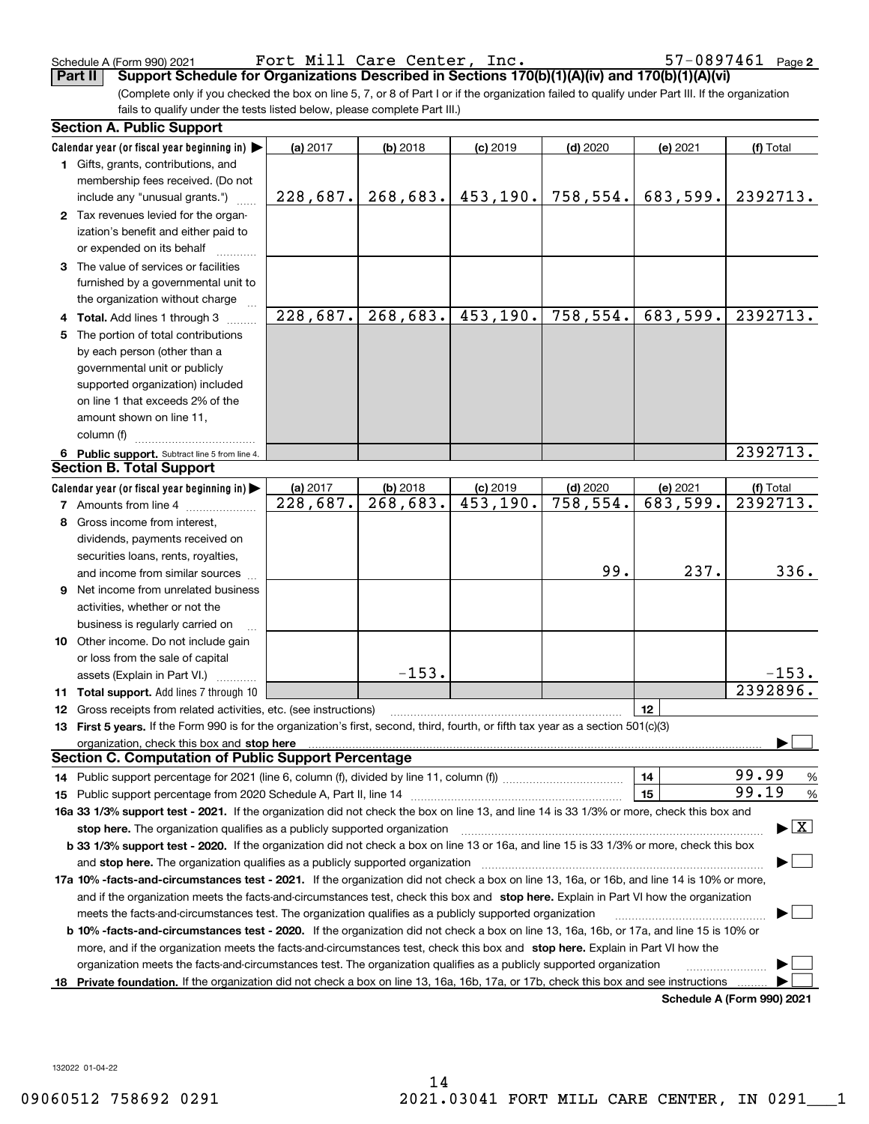Schedule A (Form 990) 2021 Page Fort Mill Care Center, Inc. 57-0897461

(Complete only if you checked the box on line 5, 7, or 8 of Part I or if the organization failed to qualify under Part III. If the organization fails to qualify under the tests listed below, please complete Part III.) **Part II Support Schedule for Organizations Described in Sections 170(b)(1)(A)(iv) and 170(b)(1)(A)(vi)**

|     | <b>Section A. Public Support</b>                                                                                                                                                                                               |          |                        |            |                         |          |                                          |
|-----|--------------------------------------------------------------------------------------------------------------------------------------------------------------------------------------------------------------------------------|----------|------------------------|------------|-------------------------|----------|------------------------------------------|
|     | Calendar year (or fiscal year beginning in) $\blacktriangleright$                                                                                                                                                              | (a) 2017 | $(b)$ 2018             | $(c)$ 2019 | $(d)$ 2020              | (e) 2021 | (f) Total                                |
|     | 1 Gifts, grants, contributions, and                                                                                                                                                                                            |          |                        |            |                         |          |                                          |
|     | membership fees received. (Do not                                                                                                                                                                                              |          |                        |            |                         |          |                                          |
|     | include any "unusual grants.")                                                                                                                                                                                                 | 228,687. | 268,683.               | 453, 190.  | 758,554.                | 683,599. | 2392713.                                 |
|     | 2 Tax revenues levied for the organ-                                                                                                                                                                                           |          |                        |            |                         |          |                                          |
|     | ization's benefit and either paid to                                                                                                                                                                                           |          |                        |            |                         |          |                                          |
|     | or expended on its behalf                                                                                                                                                                                                      |          |                        |            |                         |          |                                          |
|     | 3 The value of services or facilities                                                                                                                                                                                          |          |                        |            |                         |          |                                          |
|     | furnished by a governmental unit to                                                                                                                                                                                            |          |                        |            |                         |          |                                          |
|     | the organization without charge                                                                                                                                                                                                |          |                        |            |                         |          |                                          |
|     | 4 Total. Add lines 1 through 3                                                                                                                                                                                                 | 228,687. | 268,683.               | 453, 190.  | 758,554.                | 683,599. | 2392713.                                 |
| 5.  | The portion of total contributions                                                                                                                                                                                             |          |                        |            |                         |          |                                          |
|     | by each person (other than a                                                                                                                                                                                                   |          |                        |            |                         |          |                                          |
|     | governmental unit or publicly                                                                                                                                                                                                  |          |                        |            |                         |          |                                          |
|     | supported organization) included                                                                                                                                                                                               |          |                        |            |                         |          |                                          |
|     | on line 1 that exceeds 2% of the                                                                                                                                                                                               |          |                        |            |                         |          |                                          |
|     | amount shown on line 11,                                                                                                                                                                                                       |          |                        |            |                         |          |                                          |
|     | column (f)                                                                                                                                                                                                                     |          |                        |            |                         |          |                                          |
|     | 6 Public support. Subtract line 5 from line 4.                                                                                                                                                                                 |          |                        |            |                         |          | 2392713.                                 |
|     | <b>Section B. Total Support</b>                                                                                                                                                                                                |          |                        |            |                         |          |                                          |
|     | Calendar year (or fiscal year beginning in)                                                                                                                                                                                    | (a) 2017 | $(b)$ 2018             | $(c)$ 2019 | $(d)$ 2020              | (e) 2021 | (f) Total                                |
|     | <b>7</b> Amounts from line 4                                                                                                                                                                                                   | 228,687. | $\overline{268,683}$ . | 453,190.   | $\overline{758, 554}$ . | 683,599. | 2392713.                                 |
| 8   | Gross income from interest,                                                                                                                                                                                                    |          |                        |            |                         |          |                                          |
|     | dividends, payments received on                                                                                                                                                                                                |          |                        |            |                         |          |                                          |
|     | securities loans, rents, royalties,                                                                                                                                                                                            |          |                        |            |                         |          |                                          |
|     | and income from similar sources                                                                                                                                                                                                |          |                        |            | 99.                     | 237.     | 336.                                     |
| 9   | Net income from unrelated business                                                                                                                                                                                             |          |                        |            |                         |          |                                          |
|     | activities, whether or not the                                                                                                                                                                                                 |          |                        |            |                         |          |                                          |
|     | business is regularly carried on                                                                                                                                                                                               |          |                        |            |                         |          |                                          |
|     | <b>10</b> Other income. Do not include gain                                                                                                                                                                                    |          |                        |            |                         |          |                                          |
|     | or loss from the sale of capital                                                                                                                                                                                               |          |                        |            |                         |          |                                          |
|     | assets (Explain in Part VI.)                                                                                                                                                                                                   |          | $-153.$                |            |                         |          | $-153.$                                  |
|     | 11 Total support. Add lines 7 through 10                                                                                                                                                                                       |          |                        |            |                         |          | 2392896.                                 |
|     | <b>12</b> Gross receipts from related activities, etc. (see instructions)                                                                                                                                                      |          |                        |            |                         | 12       |                                          |
|     | 13 First 5 years. If the Form 990 is for the organization's first, second, third, fourth, or fifth tax year as a section 501(c)(3)                                                                                             |          |                        |            |                         |          |                                          |
|     | organization, check this box and stop here manufactured and according to the state of the state of the state of the state of the state of the state of the state of the state of the state of the state of the state of the st |          |                        |            |                         |          |                                          |
|     | <b>Section C. Computation of Public Support Percentage</b>                                                                                                                                                                     |          |                        |            |                         |          |                                          |
|     |                                                                                                                                                                                                                                |          |                        |            |                         | 14       | 99.99<br>$\frac{9}{6}$                   |
|     |                                                                                                                                                                                                                                |          |                        |            |                         | 15       | 99.19<br>$\frac{9}{6}$                   |
|     | 16a 33 1/3% support test - 2021. If the organization did not check the box on line 13, and line 14 is 33 1/3% or more, check this box and                                                                                      |          |                        |            |                         |          |                                          |
|     | stop here. The organization qualifies as a publicly supported organization                                                                                                                                                     |          |                        |            |                         |          | $\blacktriangleright$ $\boxed{\text{X}}$ |
|     | b 33 1/3% support test - 2020. If the organization did not check a box on line 13 or 16a, and line 15 is 33 1/3% or more, check this box                                                                                       |          |                        |            |                         |          |                                          |
|     | and stop here. The organization qualifies as a publicly supported organization                                                                                                                                                 |          |                        |            |                         |          |                                          |
|     | 17a 10% -facts-and-circumstances test - 2021. If the organization did not check a box on line 13, 16a, or 16b, and line 14 is 10% or more,                                                                                     |          |                        |            |                         |          |                                          |
|     | and if the organization meets the facts-and-circumstances test, check this box and stop here. Explain in Part VI how the organization                                                                                          |          |                        |            |                         |          |                                          |
|     | meets the facts-and-circumstances test. The organization qualifies as a publicly supported organization                                                                                                                        |          |                        |            |                         |          |                                          |
|     | <b>b 10% -facts-and-circumstances test - 2020.</b> If the organization did not check a box on line 13, 16a, 16b, or 17a, and line 15 is 10% or                                                                                 |          |                        |            |                         |          |                                          |
|     | more, and if the organization meets the facts-and-circumstances test, check this box and stop here. Explain in Part VI how the                                                                                                 |          |                        |            |                         |          |                                          |
|     | organization meets the facts-and-circumstances test. The organization qualifies as a publicly supported organization                                                                                                           |          |                        |            |                         |          |                                          |
| 18. | Private foundation. If the organization did not check a box on line 13, 16a, 16b, 17a, or 17b, check this box and see instructions                                                                                             |          |                        |            |                         |          |                                          |
|     |                                                                                                                                                                                                                                |          |                        |            |                         |          | Schedule A (Form 990) 2021               |

**Schedule A (Form 990) 2021**

132022 01-04-22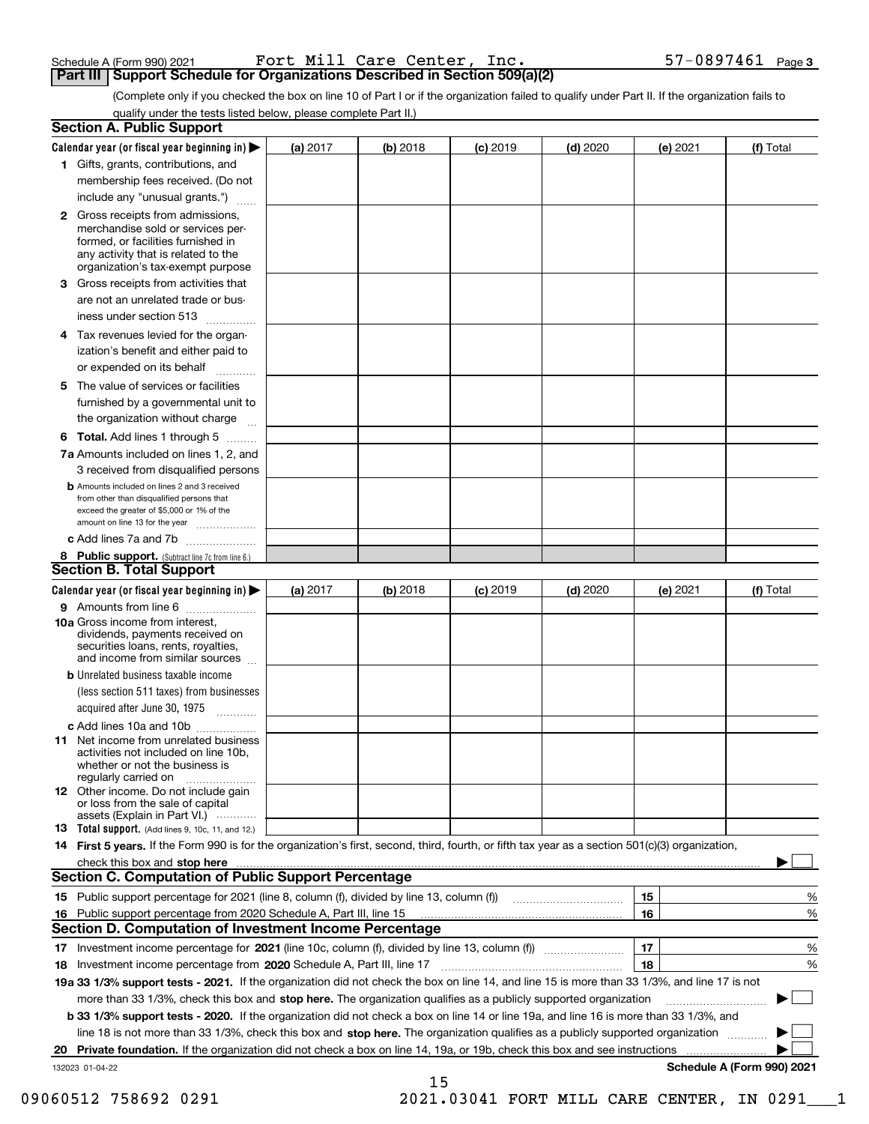| Schedule A (Form 990) 2021 |  |  | Fort Mill Care Center, Inc.                                                         |  |
|----------------------------|--|--|-------------------------------------------------------------------------------------|--|
|                            |  |  | <b>Part III   Support Schedule for Organizations Described in Section 509(a)(2)</b> |  |

Schedule A (Form 990) 2021  $\qquad \qquad {\tt Fort\ Mill\ Care\ Center\,},\ \ {\tt Inc\,.} \qquad \qquad 57–0897461\ \ \texttt{Page}\$ 

(Complete only if you checked the box on line 10 of Part I or if the organization failed to qualify under Part II. If the organization fails to qualify under the tests listed below, please complete Part II.)

| <b>Section A. Public Support</b>                                                                                                                                                                                              |          |          |            |            |          |                            |
|-------------------------------------------------------------------------------------------------------------------------------------------------------------------------------------------------------------------------------|----------|----------|------------|------------|----------|----------------------------|
| Calendar year (or fiscal year beginning in) $\blacktriangleright$                                                                                                                                                             | (a) 2017 | (b) 2018 | $(c)$ 2019 | $(d)$ 2020 | (e) 2021 | (f) Total                  |
| 1 Gifts, grants, contributions, and                                                                                                                                                                                           |          |          |            |            |          |                            |
| membership fees received. (Do not                                                                                                                                                                                             |          |          |            |            |          |                            |
| include any "unusual grants.")                                                                                                                                                                                                |          |          |            |            |          |                            |
| 2 Gross receipts from admissions,<br>merchandise sold or services per-<br>formed, or facilities furnished in<br>any activity that is related to the<br>organization's tax-exempt purpose                                      |          |          |            |            |          |                            |
| 3 Gross receipts from activities that<br>are not an unrelated trade or bus-                                                                                                                                                   |          |          |            |            |          |                            |
| iness under section 513                                                                                                                                                                                                       |          |          |            |            |          |                            |
| 4 Tax revenues levied for the organ-<br>ization's benefit and either paid to                                                                                                                                                  |          |          |            |            |          |                            |
| or expended on its behalf<br>.                                                                                                                                                                                                |          |          |            |            |          |                            |
| 5 The value of services or facilities<br>furnished by a governmental unit to<br>the organization without charge                                                                                                               |          |          |            |            |          |                            |
| <b>6 Total.</b> Add lines 1 through 5                                                                                                                                                                                         |          |          |            |            |          |                            |
| 7a Amounts included on lines 1, 2, and<br>3 received from disqualified persons                                                                                                                                                |          |          |            |            |          |                            |
| <b>b</b> Amounts included on lines 2 and 3 received<br>from other than disqualified persons that<br>exceed the greater of \$5,000 or 1% of the<br>amount on line 13 for the year                                              |          |          |            |            |          |                            |
| c Add lines 7a and 7b                                                                                                                                                                                                         |          |          |            |            |          |                            |
| 8 Public support. (Subtract line 7c from line 6.)<br><b>Section B. Total Support</b>                                                                                                                                          |          |          |            |            |          |                            |
| Calendar year (or fiscal year beginning in)                                                                                                                                                                                   | (a) 2017 | (b) 2018 | $(c)$ 2019 | $(d)$ 2020 | (e) 2021 | (f) Total                  |
| 9 Amounts from line 6                                                                                                                                                                                                         |          |          |            |            |          |                            |
| <b>10a</b> Gross income from interest,<br>dividends, payments received on<br>securities loans, rents, royalties,<br>and income from similar sources                                                                           |          |          |            |            |          |                            |
| <b>b</b> Unrelated business taxable income<br>(less section 511 taxes) from businesses<br>acquired after June 30, 1975                                                                                                        |          |          |            |            |          |                            |
| c Add lines 10a and 10b                                                                                                                                                                                                       |          |          |            |            |          |                            |
| 11 Net income from unrelated business<br>activities not included on line 10b,<br>whether or not the business is<br>regularly carried on                                                                                       |          |          |            |            |          |                            |
| <b>12</b> Other income. Do not include gain<br>or loss from the sale of capital<br>assets (Explain in Part VI.)                                                                                                               |          |          |            |            |          |                            |
| <b>13</b> Total support. (Add lines 9, 10c, 11, and 12.)                                                                                                                                                                      |          |          |            |            |          |                            |
| 14 First 5 years. If the Form 990 is for the organization's first, second, third, fourth, or fifth tax year as a section 501(c)(3) organization,                                                                              |          |          |            |            |          |                            |
| check this box and stop here measurements and the control of the state of the control of the state of the control of the control of the control of the control of the control of the control of the control of the control of |          |          |            |            |          |                            |
| <b>Section C. Computation of Public Support Percentage</b>                                                                                                                                                                    |          |          |            |            |          |                            |
| 15 Public support percentage for 2021 (line 8, column (f), divided by line 13, column (f))                                                                                                                                    |          |          |            |            | 15       | %                          |
| 16 Public support percentage from 2020 Schedule A, Part III, line 15                                                                                                                                                          |          |          |            |            | 16       | %                          |
| <b>Section D. Computation of Investment Income Percentage</b>                                                                                                                                                                 |          |          |            |            |          |                            |
| 17 Investment income percentage for 2021 (line 10c, column (f), divided by line 13, column (f))<br>18 Investment income percentage from 2020 Schedule A, Part III, line 17                                                    |          |          |            |            | 17<br>18 | %<br>%                     |
| 19a 33 1/3% support tests - 2021. If the organization did not check the box on line 14, and line 15 is more than 33 1/3%, and line 17 is not                                                                                  |          |          |            |            |          |                            |
| more than 33 1/3%, check this box and stop here. The organization qualifies as a publicly supported organization                                                                                                              |          |          |            |            |          | ▶                          |
| <b>b 33 1/3% support tests - 2020.</b> If the organization did not check a box on line 14 or line 19a, and line 16 is more than 33 1/3%, and                                                                                  |          |          |            |            |          |                            |
| line 18 is not more than 33 1/3%, check this box and stop here. The organization qualifies as a publicly supported organization <i>machi</i> on                                                                               |          |          |            |            |          |                            |
| 20 Private foundation. If the organization did not check a box on line 14, 19a, or 19b, check this box and see instructions                                                                                                   |          |          |            |            |          |                            |
| 132023 01-04-22                                                                                                                                                                                                               |          |          |            |            |          | Schedule A (Form 990) 2021 |
|                                                                                                                                                                                                                               |          | 15       |            |            |          |                            |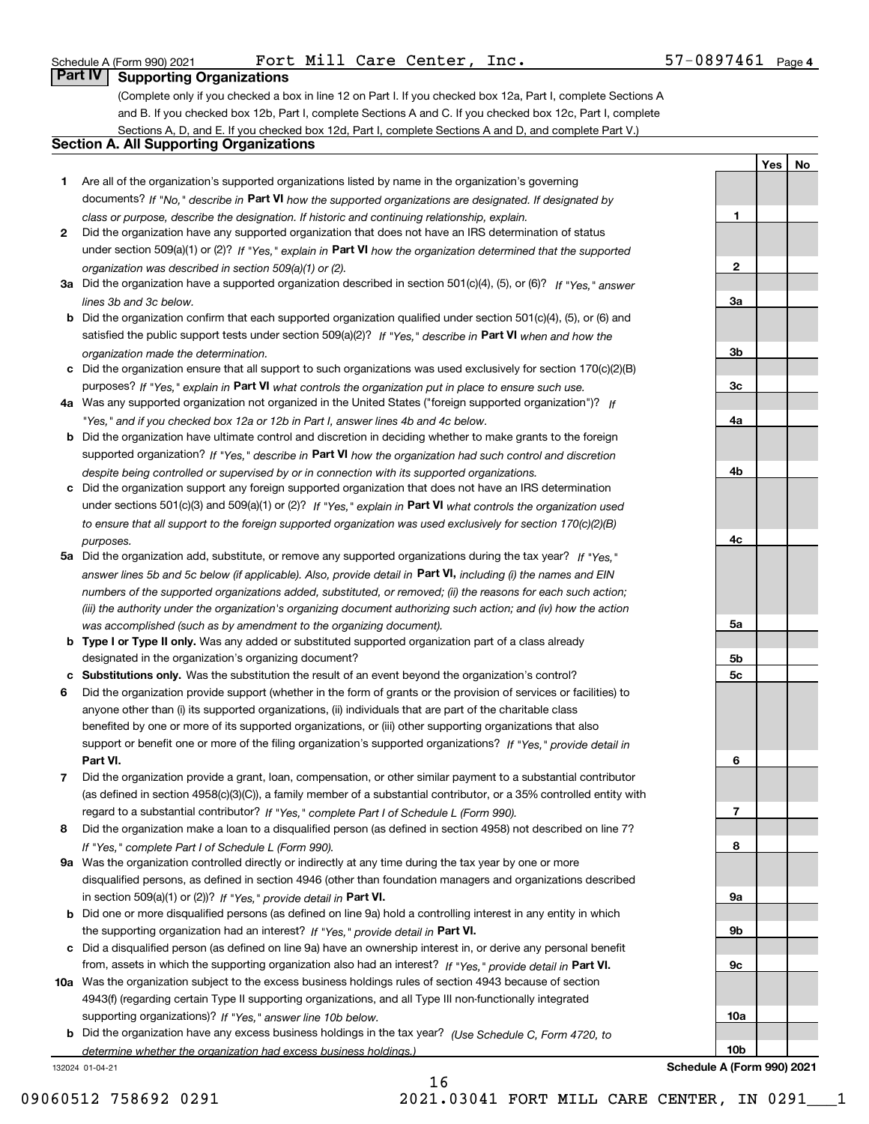Schedule A (Form 990) 2021  $\qquad \qquad {\tt Fort\ Mill\ Care\ Center\,},\ \ {\tt Inc\,.} \qquad \qquad 57–0897461\ \ \texttt{Page}\$ 

**1**

**2**

**3a**

**3b**

**3c**

**4a**

**4b**

**4c**

**5a**

**5b5c**

**6**

**7**

**8**

**9a**

**9b**

**9c**

**10a**

**10b**

**Schedule A (Form 990) 2021**

**YesNo**

## **Part IV Supporting Organizations**

(Complete only if you checked a box in line 12 on Part I. If you checked box 12a, Part I, complete Sections A and B. If you checked box 12b, Part I, complete Sections A and C. If you checked box 12c, Part I, complete Sections A, D, and E. If you checked box 12d, Part I, complete Sections A and D, and complete Part V.)

### **Section A. All Supporting Organizations**

- **1** Are all of the organization's supported organizations listed by name in the organization's governing documents? If "No," describe in **Part VI** how the supported organizations are designated. If designated by *class or purpose, describe the designation. If historic and continuing relationship, explain.*
- **2** Did the organization have any supported organization that does not have an IRS determination of status under section 509(a)(1) or (2)? If "Yes," explain in Part VI how the organization determined that the supported *organization was described in section 509(a)(1) or (2).*
- **3a** Did the organization have a supported organization described in section 501(c)(4), (5), or (6)? If "Yes," answer *lines 3b and 3c below.*
- **b** Did the organization confirm that each supported organization qualified under section 501(c)(4), (5), or (6) and satisfied the public support tests under section 509(a)(2)? If "Yes," describe in **Part VI** when and how the *organization made the determination.*
- **c**Did the organization ensure that all support to such organizations was used exclusively for section 170(c)(2)(B) purposes? If "Yes," explain in **Part VI** what controls the organization put in place to ensure such use.
- **4a***If* Was any supported organization not organized in the United States ("foreign supported organization")? *"Yes," and if you checked box 12a or 12b in Part I, answer lines 4b and 4c below.*
- **b** Did the organization have ultimate control and discretion in deciding whether to make grants to the foreign supported organization? If "Yes," describe in **Part VI** how the organization had such control and discretion *despite being controlled or supervised by or in connection with its supported organizations.*
- **c** Did the organization support any foreign supported organization that does not have an IRS determination under sections 501(c)(3) and 509(a)(1) or (2)? If "Yes," explain in **Part VI** what controls the organization used *to ensure that all support to the foreign supported organization was used exclusively for section 170(c)(2)(B) purposes.*
- **5a** Did the organization add, substitute, or remove any supported organizations during the tax year? If "Yes," answer lines 5b and 5c below (if applicable). Also, provide detail in **Part VI,** including (i) the names and EIN *numbers of the supported organizations added, substituted, or removed; (ii) the reasons for each such action; (iii) the authority under the organization's organizing document authorizing such action; and (iv) how the action was accomplished (such as by amendment to the organizing document).*
- **b** Type I or Type II only. Was any added or substituted supported organization part of a class already designated in the organization's organizing document?
- **cSubstitutions only.**  Was the substitution the result of an event beyond the organization's control?
- **6** Did the organization provide support (whether in the form of grants or the provision of services or facilities) to **Part VI.** *If "Yes," provide detail in* support or benefit one or more of the filing organization's supported organizations? anyone other than (i) its supported organizations, (ii) individuals that are part of the charitable class benefited by one or more of its supported organizations, or (iii) other supporting organizations that also
- **7**Did the organization provide a grant, loan, compensation, or other similar payment to a substantial contributor *If "Yes," complete Part I of Schedule L (Form 990).* regard to a substantial contributor? (as defined in section 4958(c)(3)(C)), a family member of a substantial contributor, or a 35% controlled entity with
- **8** Did the organization make a loan to a disqualified person (as defined in section 4958) not described on line 7? *If "Yes," complete Part I of Schedule L (Form 990).*
- **9a** Was the organization controlled directly or indirectly at any time during the tax year by one or more in section 509(a)(1) or (2))? If "Yes," *provide detail in* <code>Part VI.</code> disqualified persons, as defined in section 4946 (other than foundation managers and organizations described
- **b** Did one or more disqualified persons (as defined on line 9a) hold a controlling interest in any entity in which the supporting organization had an interest? If "Yes," provide detail in P**art VI**.
- **c**Did a disqualified person (as defined on line 9a) have an ownership interest in, or derive any personal benefit from, assets in which the supporting organization also had an interest? If "Yes," provide detail in P**art VI.**
- **10a** Was the organization subject to the excess business holdings rules of section 4943 because of section supporting organizations)? If "Yes," answer line 10b below. 4943(f) (regarding certain Type II supporting organizations, and all Type III non-functionally integrated
- **b** Did the organization have any excess business holdings in the tax year? (Use Schedule C, Form 4720, to *determine whether the organization had excess business holdings.)*

16

132024 01-04-21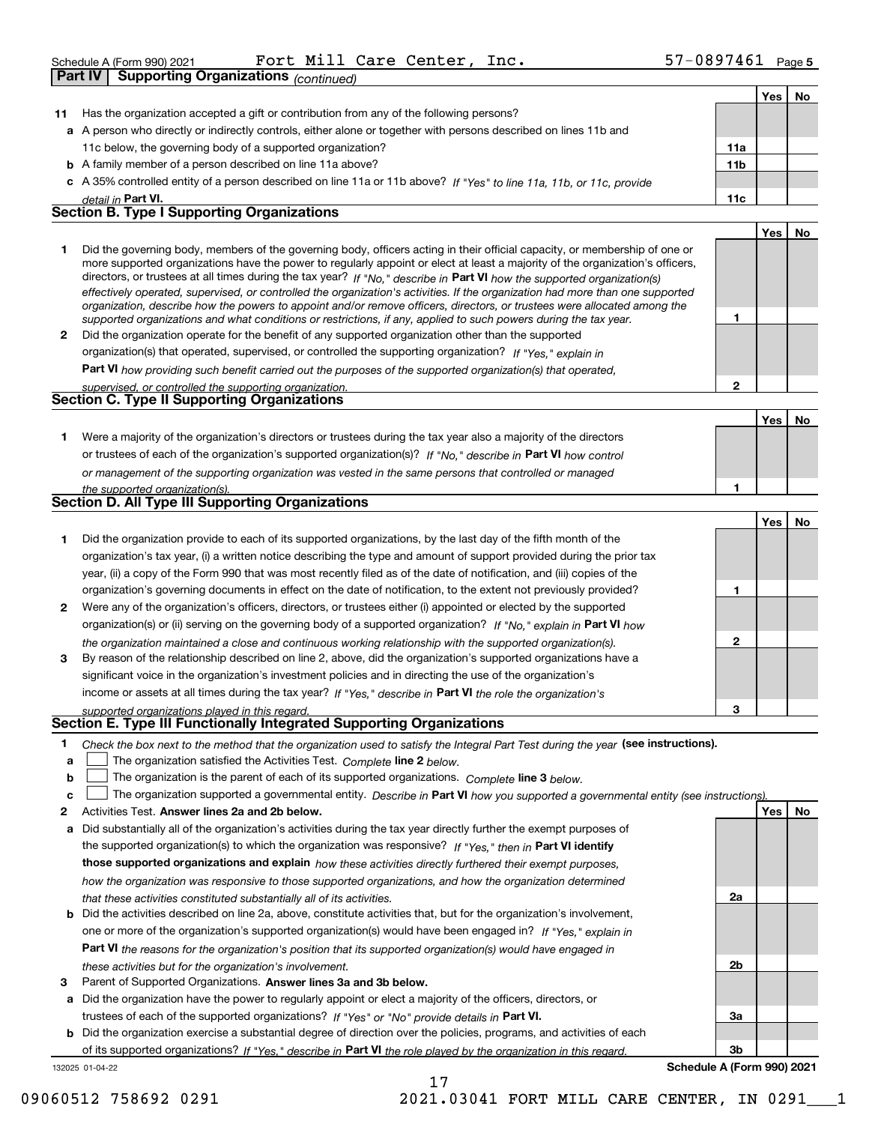Schedule A (Form 990) 2021  $\qquad \qquad {\tt Fort\ Mill\ Care\ Center\,},\ \ {\tt Inc\,.} \qquad \qquad 57–0897461\ \ \texttt{Page}\$ 

|              | Part IV<br><b>Supporting Organizations (continued)</b>                                  |                                                                                                                                                                                                                                                                                                                                                                                                                                                                                                                                                                                                                                                                                                                                                                          |                 |     |    |
|--------------|-----------------------------------------------------------------------------------------|--------------------------------------------------------------------------------------------------------------------------------------------------------------------------------------------------------------------------------------------------------------------------------------------------------------------------------------------------------------------------------------------------------------------------------------------------------------------------------------------------------------------------------------------------------------------------------------------------------------------------------------------------------------------------------------------------------------------------------------------------------------------------|-----------------|-----|----|
|              |                                                                                         |                                                                                                                                                                                                                                                                                                                                                                                                                                                                                                                                                                                                                                                                                                                                                                          |                 | Yes | No |
| 11           | Has the organization accepted a gift or contribution from any of the following persons? |                                                                                                                                                                                                                                                                                                                                                                                                                                                                                                                                                                                                                                                                                                                                                                          |                 |     |    |
|              |                                                                                         | a A person who directly or indirectly controls, either alone or together with persons described on lines 11b and                                                                                                                                                                                                                                                                                                                                                                                                                                                                                                                                                                                                                                                         |                 |     |    |
|              | 11c below, the governing body of a supported organization?                              |                                                                                                                                                                                                                                                                                                                                                                                                                                                                                                                                                                                                                                                                                                                                                                          | 11a             |     |    |
|              | <b>b</b> A family member of a person described on line 11a above?                       |                                                                                                                                                                                                                                                                                                                                                                                                                                                                                                                                                                                                                                                                                                                                                                          | 11 <sub>b</sub> |     |    |
|              |                                                                                         | c A 35% controlled entity of a person described on line 11a or 11b above? If "Yes" to line 11a, 11b, or 11c, provide                                                                                                                                                                                                                                                                                                                                                                                                                                                                                                                                                                                                                                                     |                 |     |    |
|              | detail in Part VI.                                                                      |                                                                                                                                                                                                                                                                                                                                                                                                                                                                                                                                                                                                                                                                                                                                                                          | 11c             |     |    |
|              | <b>Section B. Type I Supporting Organizations</b>                                       |                                                                                                                                                                                                                                                                                                                                                                                                                                                                                                                                                                                                                                                                                                                                                                          |                 |     |    |
|              |                                                                                         |                                                                                                                                                                                                                                                                                                                                                                                                                                                                                                                                                                                                                                                                                                                                                                          |                 | Yes | No |
| 1            |                                                                                         | Did the governing body, members of the governing body, officers acting in their official capacity, or membership of one or<br>more supported organizations have the power to regularly appoint or elect at least a majority of the organization's officers,<br>directors, or trustees at all times during the tax year? If "No," describe in Part VI how the supported organization(s)<br>effectively operated, supervised, or controlled the organization's activities. If the organization had more than one supported<br>organization, describe how the powers to appoint and/or remove officers, directors, or trustees were allocated among the<br>supported organizations and what conditions or restrictions, if any, applied to such powers during the tax year. | 1               |     |    |
| $\mathbf{2}$ |                                                                                         | Did the organization operate for the benefit of any supported organization other than the supported                                                                                                                                                                                                                                                                                                                                                                                                                                                                                                                                                                                                                                                                      |                 |     |    |
|              |                                                                                         | organization(s) that operated, supervised, or controlled the supporting organization? If "Yes," explain in                                                                                                                                                                                                                                                                                                                                                                                                                                                                                                                                                                                                                                                               |                 |     |    |
|              |                                                                                         | Part VI how providing such benefit carried out the purposes of the supported organization(s) that operated,                                                                                                                                                                                                                                                                                                                                                                                                                                                                                                                                                                                                                                                              |                 |     |    |
|              | supervised, or controlled the supporting organization.                                  |                                                                                                                                                                                                                                                                                                                                                                                                                                                                                                                                                                                                                                                                                                                                                                          | $\mathbf{2}$    |     |    |
|              | <b>Section C. Type II Supporting Organizations</b>                                      |                                                                                                                                                                                                                                                                                                                                                                                                                                                                                                                                                                                                                                                                                                                                                                          |                 |     |    |
|              |                                                                                         |                                                                                                                                                                                                                                                                                                                                                                                                                                                                                                                                                                                                                                                                                                                                                                          |                 | Yes | No |
| 1            |                                                                                         | Were a majority of the organization's directors or trustees during the tax year also a majority of the directors                                                                                                                                                                                                                                                                                                                                                                                                                                                                                                                                                                                                                                                         |                 |     |    |
|              |                                                                                         | or trustees of each of the organization's supported organization(s)? If "No," describe in Part VI how control                                                                                                                                                                                                                                                                                                                                                                                                                                                                                                                                                                                                                                                            |                 |     |    |
|              |                                                                                         | or management of the supporting organization was vested in the same persons that controlled or managed                                                                                                                                                                                                                                                                                                                                                                                                                                                                                                                                                                                                                                                                   |                 |     |    |
|              | the supported organization(s).                                                          |                                                                                                                                                                                                                                                                                                                                                                                                                                                                                                                                                                                                                                                                                                                                                                          | 1               |     |    |
|              | <b>Section D. All Type III Supporting Organizations</b>                                 |                                                                                                                                                                                                                                                                                                                                                                                                                                                                                                                                                                                                                                                                                                                                                                          |                 |     |    |
|              |                                                                                         |                                                                                                                                                                                                                                                                                                                                                                                                                                                                                                                                                                                                                                                                                                                                                                          |                 | Yes | No |
| 1            |                                                                                         | Did the organization provide to each of its supported organizations, by the last day of the fifth month of the                                                                                                                                                                                                                                                                                                                                                                                                                                                                                                                                                                                                                                                           |                 |     |    |
|              |                                                                                         | organization's tax year, (i) a written notice describing the type and amount of support provided during the prior tax                                                                                                                                                                                                                                                                                                                                                                                                                                                                                                                                                                                                                                                    |                 |     |    |
|              |                                                                                         | year, (ii) a copy of the Form 990 that was most recently filed as of the date of notification, and (iii) copies of the                                                                                                                                                                                                                                                                                                                                                                                                                                                                                                                                                                                                                                                   |                 |     |    |
|              |                                                                                         | organization's governing documents in effect on the date of notification, to the extent not previously provided?                                                                                                                                                                                                                                                                                                                                                                                                                                                                                                                                                                                                                                                         | 1               |     |    |
| $\mathbf{2}$ |                                                                                         | Were any of the organization's officers, directors, or trustees either (i) appointed or elected by the supported                                                                                                                                                                                                                                                                                                                                                                                                                                                                                                                                                                                                                                                         |                 |     |    |
|              |                                                                                         | organization(s) or (ii) serving on the governing body of a supported organization? If "No, " explain in Part VI how                                                                                                                                                                                                                                                                                                                                                                                                                                                                                                                                                                                                                                                      |                 |     |    |
|              |                                                                                         | the organization maintained a close and continuous working relationship with the supported organization(s).                                                                                                                                                                                                                                                                                                                                                                                                                                                                                                                                                                                                                                                              | $\mathbf{2}$    |     |    |

**3** By reason of the relationship described on line 2, above, did the organization's supported organizations have a income or assets at all times during the tax year? If "Yes," describe in **Part VI** the role the organization's significant voice in the organization's investment policies and in directing the use of the organization's

*supported organizations played in this regard.* **Section E. Type III Functionally Integrated Supporting Organizations**

| * Check the box next to the method that the organization used to satisfy the Integral Part Test during the year (see instructions). |  |
|-------------------------------------------------------------------------------------------------------------------------------------|--|
|                                                                                                                                     |  |

**alinupy** The organization satisfied the Activities Test. Complete line 2 below.

|  |  |  |  | <b>b</b> $\Box$ The organization is the parent of each of its supported organizations. Complete line 3 below. |  |
|--|--|--|--|---------------------------------------------------------------------------------------------------------------|--|
|--|--|--|--|---------------------------------------------------------------------------------------------------------------|--|

|  |  | The organization supported a governmental entity. Describe in Part VI how you supported a governmental entity (see instructions). |
|--|--|-----------------------------------------------------------------------------------------------------------------------------------|
|--|--|-----------------------------------------------------------------------------------------------------------------------------------|

**2Answer lines 2a and 2b below. Yes No** Activities Test.

- **a** Did substantially all of the organization's activities during the tax year directly further the exempt purposes of the supported organization(s) to which the organization was responsive? If "Yes," then in **Part VI identify those supported organizations and explain**  *how these activities directly furthered their exempt purposes, how the organization was responsive to those supported organizations, and how the organization determined that these activities constituted substantially all of its activities.*
- **b** Did the activities described on line 2a, above, constitute activities that, but for the organization's involvement, **Part VI**  *the reasons for the organization's position that its supported organization(s) would have engaged in* one or more of the organization's supported organization(s) would have been engaged in? If "Yes," e*xplain in these activities but for the organization's involvement.*
- **3** Parent of Supported Organizations. Answer lines 3a and 3b below.

**a** Did the organization have the power to regularly appoint or elect a majority of the officers, directors, or trustees of each of the supported organizations? If "Yes" or "No" provide details in **Part VI.** 

132025 01-04-22 **b** Did the organization exercise a substantial degree of direction over the policies, programs, and activities of each of its supported organizations? If "Yes," describe in Part VI the role played by the organization in this regard.

**3bSchedule A (Form 990) 2021**

**3**

**2a**

**2b**

**3a**

09060512 758692 0291 2021.03041 FORT MILL CARE CENTER, IN 0291 1

17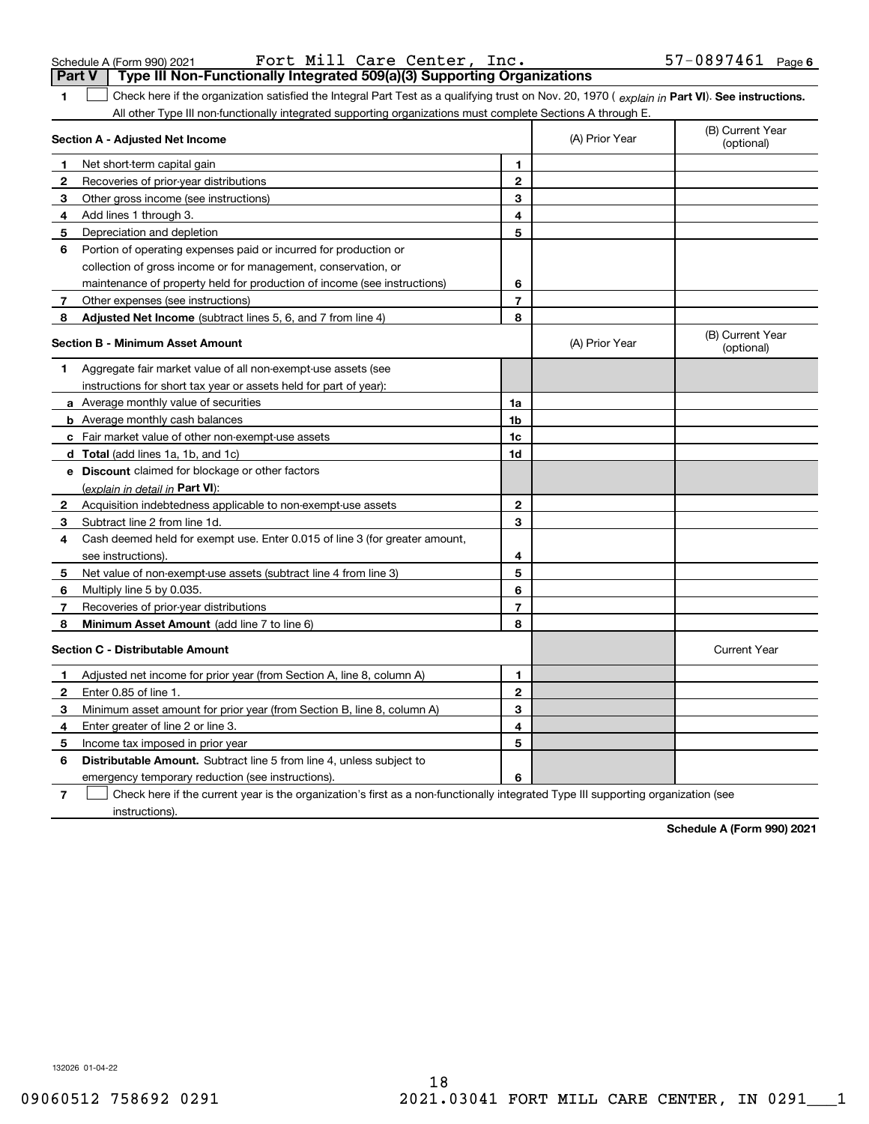Schedule A (Form 990) 2021 Page Fort Mill Care Center, Inc. 57-0897461

|              | Part V<br>Type III Non-Functionally Integrated 509(a)(3) Supporting Organizations                                                              |                |                |                                |  |
|--------------|------------------------------------------------------------------------------------------------------------------------------------------------|----------------|----------------|--------------------------------|--|
| 1            | Check here if the organization satisfied the Integral Part Test as a qualifying trust on Nov. 20, 1970 (explain in Part VI). See instructions. |                |                |                                |  |
|              | All other Type III non-functionally integrated supporting organizations must complete Sections A through E.                                    |                |                |                                |  |
|              | Section A - Adjusted Net Income                                                                                                                |                | (A) Prior Year | (B) Current Year<br>(optional) |  |
| $\mathbf 1$  | Net short-term capital gain                                                                                                                    | 1              |                |                                |  |
| $\mathbf{2}$ | Recoveries of prior-year distributions                                                                                                         | $\mathbf 2$    |                |                                |  |
| 3            | Other gross income (see instructions)                                                                                                          | 3              |                |                                |  |
| 4            | Add lines 1 through 3.                                                                                                                         | 4              |                |                                |  |
| 5            | Depreciation and depletion                                                                                                                     | 5              |                |                                |  |
| 6            | Portion of operating expenses paid or incurred for production or                                                                               |                |                |                                |  |
|              | collection of gross income or for management, conservation, or                                                                                 |                |                |                                |  |
|              | maintenance of property held for production of income (see instructions)                                                                       | 6              |                |                                |  |
| 7            | Other expenses (see instructions)                                                                                                              | $\overline{7}$ |                |                                |  |
| 8            | Adjusted Net Income (subtract lines 5, 6, and 7 from line 4)                                                                                   | 8              |                |                                |  |
|              | <b>Section B - Minimum Asset Amount</b>                                                                                                        |                | (A) Prior Year | (B) Current Year<br>(optional) |  |
| 1            | Aggregate fair market value of all non-exempt-use assets (see                                                                                  |                |                |                                |  |
|              | instructions for short tax year or assets held for part of year):                                                                              |                |                |                                |  |
|              | a Average monthly value of securities                                                                                                          | 1a             |                |                                |  |
|              | <b>b</b> Average monthly cash balances                                                                                                         | 1b             |                |                                |  |
|              | <b>c</b> Fair market value of other non-exempt-use assets                                                                                      | 1c             |                |                                |  |
|              | <b>d</b> Total (add lines 1a, 1b, and 1c)                                                                                                      | 1d             |                |                                |  |
|              | e Discount claimed for blockage or other factors                                                                                               |                |                |                                |  |
|              | (explain in detail in Part VI):                                                                                                                |                |                |                                |  |
| $\mathbf{2}$ | Acquisition indebtedness applicable to non-exempt-use assets                                                                                   | 2              |                |                                |  |
| 3            | Subtract line 2 from line 1d.                                                                                                                  | 3              |                |                                |  |
| 4            | Cash deemed held for exempt use. Enter 0.015 of line 3 (for greater amount,                                                                    |                |                |                                |  |
|              | see instructions).                                                                                                                             | 4              |                |                                |  |
| 5            | Net value of non-exempt-use assets (subtract line 4 from line 3)                                                                               | 5              |                |                                |  |
| 6            | Multiply line 5 by 0.035.                                                                                                                      | 6              |                |                                |  |
| 7            | Recoveries of prior-year distributions                                                                                                         | $\overline{7}$ |                |                                |  |
| 8            | Minimum Asset Amount (add line 7 to line 6)                                                                                                    | 8              |                |                                |  |
|              | <b>Section C - Distributable Amount</b>                                                                                                        |                |                | <b>Current Year</b>            |  |
| 1            | Adjusted net income for prior year (from Section A, line 8, column A)                                                                          | 1              |                |                                |  |
| $\mathbf{2}$ | Enter 0.85 of line 1.                                                                                                                          | $\overline{2}$ |                |                                |  |
| 3            | Minimum asset amount for prior year (from Section B, line 8, column A)                                                                         | 3              |                |                                |  |
| 4            | Enter greater of line 2 or line 3.                                                                                                             | 4              |                |                                |  |
| 5            | Income tax imposed in prior year                                                                                                               | 5              |                |                                |  |
| 6            | <b>Distributable Amount.</b> Subtract line 5 from line 4, unless subject to                                                                    |                |                |                                |  |
|              | emergency temporary reduction (see instructions).                                                                                              | 6              |                |                                |  |
|              |                                                                                                                                                |                |                |                                |  |

**7** Check here if the current year is the organization's first as a non-functionally integrated Type III supporting organization (see instructions).

**Schedule A (Form 990) 2021**

132026 01-04-22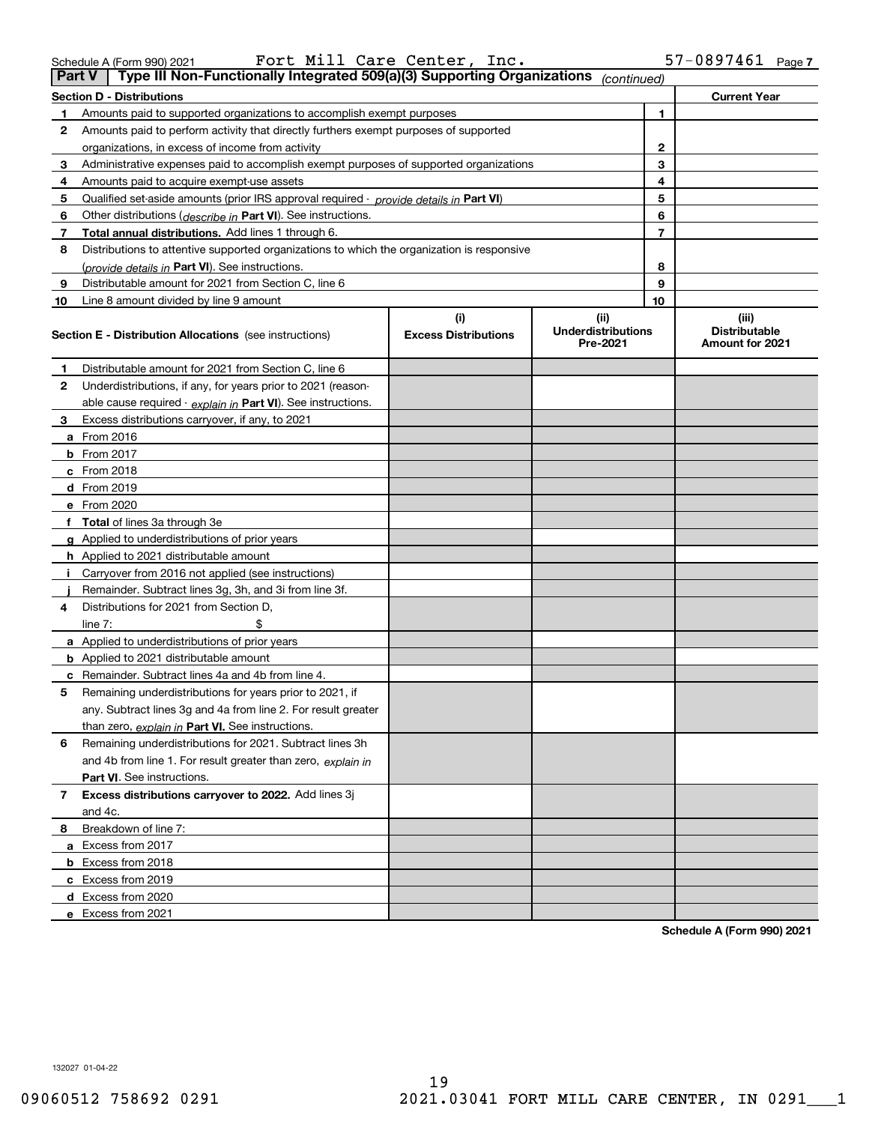| 09060512 758692 0291 |  |
|----------------------|--|

| 1  | Amounts paid to supported organizations to accomplish exempt purposes                      | 1                                  |                                               |                                                  |
|----|--------------------------------------------------------------------------------------------|------------------------------------|-----------------------------------------------|--------------------------------------------------|
| 2  | Amounts paid to perform activity that directly furthers exempt purposes of supported       |                                    |                                               |                                                  |
|    | organizations, in excess of income from activity                                           | 2                                  |                                               |                                                  |
| 3  | Administrative expenses paid to accomplish exempt purposes of supported organizations      |                                    | 3                                             |                                                  |
| 4  | Amounts paid to acquire exempt-use assets                                                  |                                    | 4                                             |                                                  |
| 5  | Qualified set-aside amounts (prior IRS approval required - provide details in Part VI)     |                                    | 5                                             |                                                  |
| 6  | Other distributions (describe in Part VI). See instructions.                               |                                    | 6                                             |                                                  |
| 7  | <b>Total annual distributions.</b> Add lines 1 through 6.                                  |                                    | $\overline{7}$                                |                                                  |
| 8  | Distributions to attentive supported organizations to which the organization is responsive |                                    |                                               |                                                  |
|    | (provide details in Part VI). See instructions.                                            |                                    | 8                                             |                                                  |
| 9  | Distributable amount for 2021 from Section C, line 6                                       |                                    | 9                                             |                                                  |
| 10 | Line 8 amount divided by line 9 amount                                                     |                                    | 10                                            |                                                  |
|    | <b>Section E - Distribution Allocations</b> (see instructions)                             | (i)<br><b>Excess Distributions</b> | (ii)<br><b>Underdistributions</b><br>Pre-2021 | (iii)<br><b>Distributable</b><br>Amount for 2021 |
| 1  | Distributable amount for 2021 from Section C, line 6                                       |                                    |                                               |                                                  |
| 2  | Underdistributions, if any, for years prior to 2021 (reason-                               |                                    |                                               |                                                  |
|    | able cause required - explain in Part VI). See instructions.                               |                                    |                                               |                                                  |
| 3  | Excess distributions carryover, if any, to 2021                                            |                                    |                                               |                                                  |
|    | a From 2016                                                                                |                                    |                                               |                                                  |
|    | <b>b</b> From 2017                                                                         |                                    |                                               |                                                  |
|    | c From 2018                                                                                |                                    |                                               |                                                  |
|    | d From 2019                                                                                |                                    |                                               |                                                  |
|    | e From 2020                                                                                |                                    |                                               |                                                  |
|    | f Total of lines 3a through 3e                                                             |                                    |                                               |                                                  |
|    | g Applied to underdistributions of prior years                                             |                                    |                                               |                                                  |
|    | <b>h</b> Applied to 2021 distributable amount                                              |                                    |                                               |                                                  |
|    | Carryover from 2016 not applied (see instructions)                                         |                                    |                                               |                                                  |
|    | Remainder. Subtract lines 3g, 3h, and 3i from line 3f.                                     |                                    |                                               |                                                  |
| 4  | Distributions for 2021 from Section D,                                                     |                                    |                                               |                                                  |
|    | line $7:$                                                                                  |                                    |                                               |                                                  |
|    | a Applied to underdistributions of prior years                                             |                                    |                                               |                                                  |
|    | <b>b</b> Applied to 2021 distributable amount                                              |                                    |                                               |                                                  |
|    | <b>c</b> Remainder. Subtract lines 4a and 4b from line 4.                                  |                                    |                                               |                                                  |
| 5  | Remaining underdistributions for years prior to 2021, if                                   |                                    |                                               |                                                  |
|    | any. Subtract lines 3g and 4a from line 2. For result greater                              |                                    |                                               |                                                  |
|    | than zero, explain in Part VI. See instructions.                                           |                                    |                                               |                                                  |
| 6  | Remaining underdistributions for 2021. Subtract lines 3h                                   |                                    |                                               |                                                  |
|    | and 4b from line 1. For result greater than zero, explain in                               |                                    |                                               |                                                  |
|    | Part VI. See instructions.                                                                 |                                    |                                               |                                                  |
| 7  | Excess distributions carryover to 2022. Add lines 3j                                       |                                    |                                               |                                                  |
|    | and 4c.                                                                                    |                                    |                                               |                                                  |
| 8  | Breakdown of line 7:                                                                       |                                    |                                               |                                                  |
|    | a Excess from 2017                                                                         |                                    |                                               |                                                  |
|    | <b>b</b> Excess from 2018                                                                  |                                    |                                               |                                                  |
|    | c Excess from 2019                                                                         |                                    |                                               |                                                  |
|    | d Excess from 2020                                                                         |                                    |                                               |                                                  |
|    | e Excess from 2021                                                                         |                                    |                                               |                                                  |
|    |                                                                                            |                                    |                                               | Schedule A (Form 990) 2021                       |

**Part V Type III Non-Functionally Integrated 509(a)(3) Supporting Organizations** *(continued)* 

**Section D - Distributions Current Year**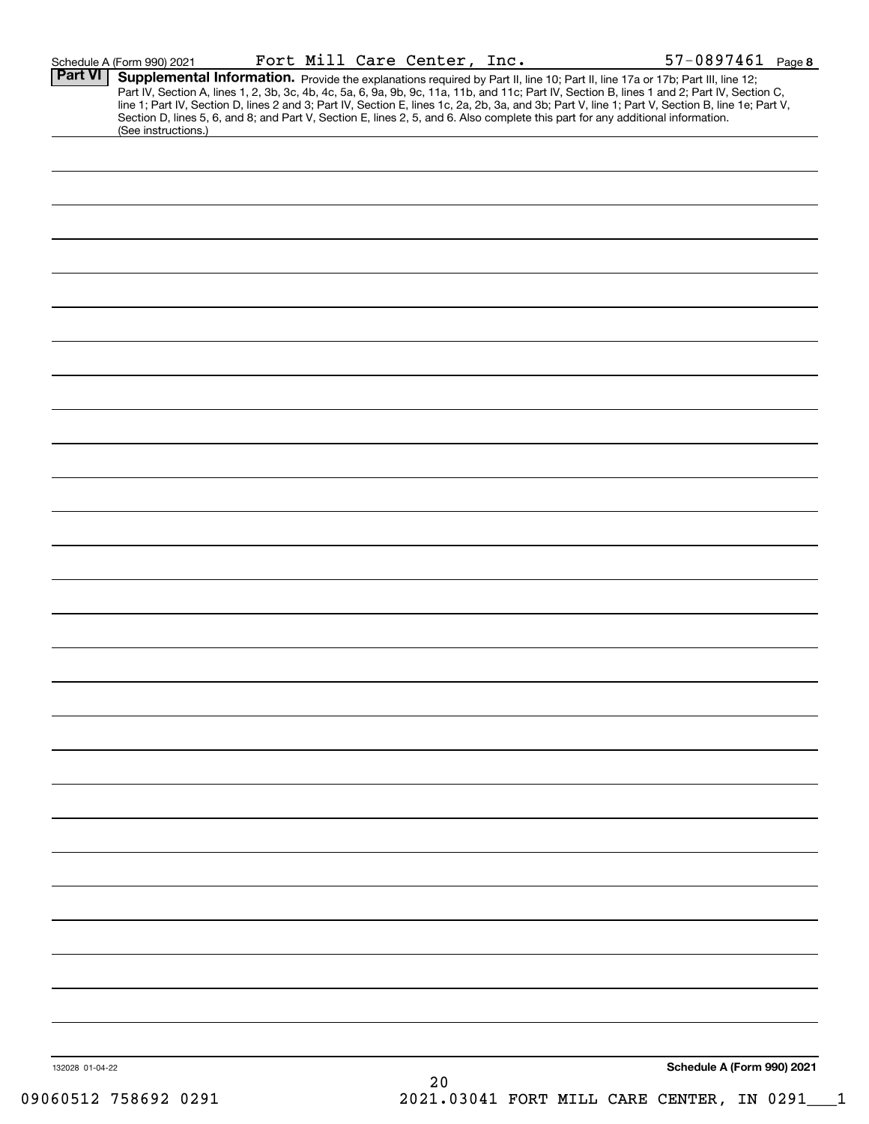| Schedule A (Form 990) 2021 |  |  |
|----------------------------|--|--|
|----------------------------|--|--|

| (See instructions.) |                 |        |                                                                                                                                                                                                                                                                                                                                                                           |
|---------------------|-----------------|--------|---------------------------------------------------------------------------------------------------------------------------------------------------------------------------------------------------------------------------------------------------------------------------------------------------------------------------------------------------------------------------|
|                     |                 |        |                                                                                                                                                                                                                                                                                                                                                                           |
|                     |                 |        |                                                                                                                                                                                                                                                                                                                                                                           |
|                     |                 |        |                                                                                                                                                                                                                                                                                                                                                                           |
|                     |                 |        |                                                                                                                                                                                                                                                                                                                                                                           |
|                     |                 |        |                                                                                                                                                                                                                                                                                                                                                                           |
|                     |                 |        |                                                                                                                                                                                                                                                                                                                                                                           |
|                     |                 |        |                                                                                                                                                                                                                                                                                                                                                                           |
|                     |                 |        |                                                                                                                                                                                                                                                                                                                                                                           |
|                     |                 |        |                                                                                                                                                                                                                                                                                                                                                                           |
|                     |                 |        |                                                                                                                                                                                                                                                                                                                                                                           |
|                     |                 |        |                                                                                                                                                                                                                                                                                                                                                                           |
|                     |                 |        |                                                                                                                                                                                                                                                                                                                                                                           |
|                     |                 |        |                                                                                                                                                                                                                                                                                                                                                                           |
|                     |                 |        |                                                                                                                                                                                                                                                                                                                                                                           |
|                     |                 |        |                                                                                                                                                                                                                                                                                                                                                                           |
|                     |                 |        |                                                                                                                                                                                                                                                                                                                                                                           |
|                     |                 |        |                                                                                                                                                                                                                                                                                                                                                                           |
|                     |                 |        |                                                                                                                                                                                                                                                                                                                                                                           |
|                     |                 |        |                                                                                                                                                                                                                                                                                                                                                                           |
|                     |                 |        |                                                                                                                                                                                                                                                                                                                                                                           |
|                     |                 |        |                                                                                                                                                                                                                                                                                                                                                                           |
|                     |                 |        |                                                                                                                                                                                                                                                                                                                                                                           |
|                     |                 |        |                                                                                                                                                                                                                                                                                                                                                                           |
|                     |                 |        |                                                                                                                                                                                                                                                                                                                                                                           |
|                     |                 |        |                                                                                                                                                                                                                                                                                                                                                                           |
|                     |                 |        |                                                                                                                                                                                                                                                                                                                                                                           |
|                     |                 |        |                                                                                                                                                                                                                                                                                                                                                                           |
|                     |                 |        |                                                                                                                                                                                                                                                                                                                                                                           |
|                     |                 |        |                                                                                                                                                                                                                                                                                                                                                                           |
|                     |                 |        |                                                                                                                                                                                                                                                                                                                                                                           |
|                     |                 |        |                                                                                                                                                                                                                                                                                                                                                                           |
|                     |                 |        |                                                                                                                                                                                                                                                                                                                                                                           |
|                     |                 |        |                                                                                                                                                                                                                                                                                                                                                                           |
|                     |                 | $20\,$ | Schedule A (Form 990) 2021                                                                                                                                                                                                                                                                                                                                                |
|                     | 132028 01-04-22 |        | <b>Supplemental Information.</b> Provide the explanations required by Part II, line 10; Part II, line 17a or 17b; Part III, line 12;<br>Part IV, Section A, lines 1, 2, 3b, 3c, 4b, 4c, 5a, 6, 9a, 9b, 9c, 11a, 11b, and 11c; Part IV,<br>Section D, lines 5, 6, and 8; and Part V, Section E, lines 2, 5, and 6. Also complete this part for any additional information. |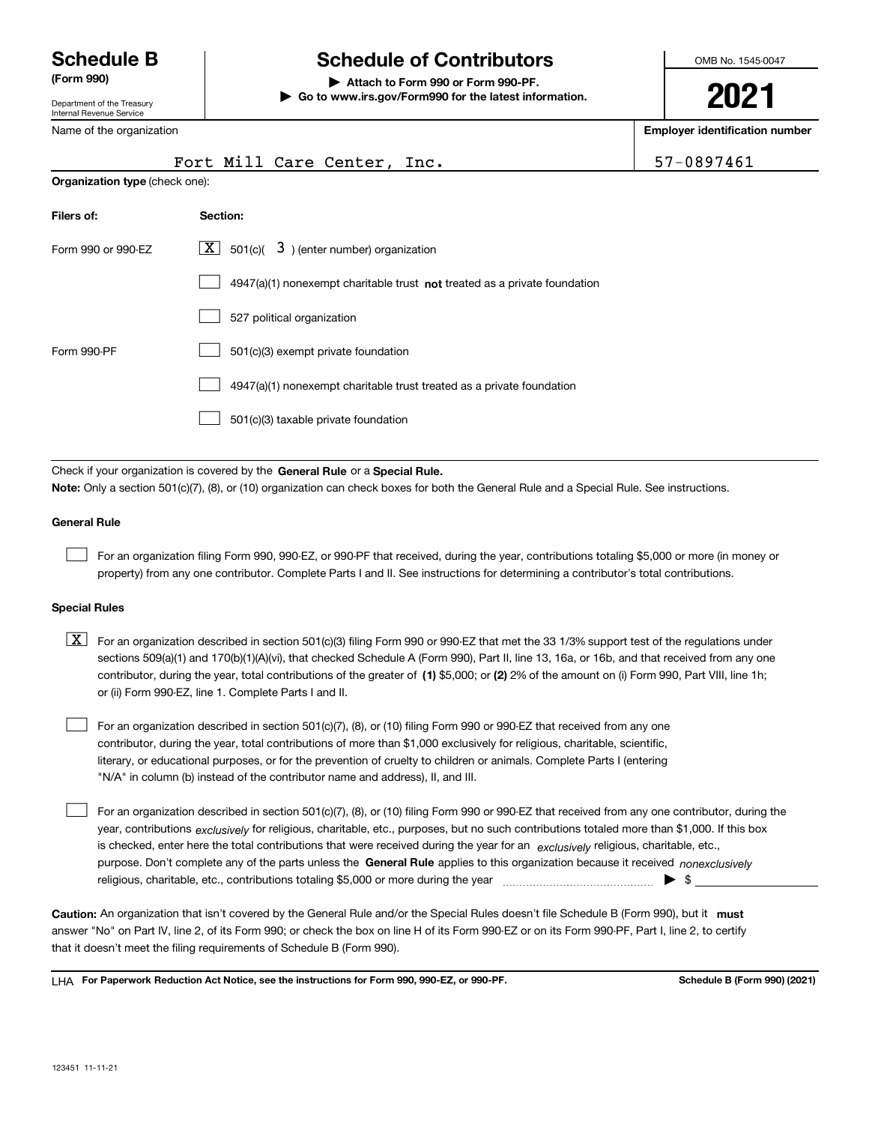Department of the Treasury Internal Revenue Service

Name of the organization

## **Schedule B Schedule of Contributors**

**(Form 990) | Attach to Form 990 or Form 990-PF. | Go to www.irs.gov/Form990 for the latest information.** OMB No. 1545-0047

**2021**

**Employer identification number**

|                                | Fort Mill Care Center, Inc.                                                                                                                                                                                               | 57-0897461 |  |  |  |  |  |
|--------------------------------|---------------------------------------------------------------------------------------------------------------------------------------------------------------------------------------------------------------------------|------------|--|--|--|--|--|
| Organization type (check one): |                                                                                                                                                                                                                           |            |  |  |  |  |  |
| Filers of:                     | Section:                                                                                                                                                                                                                  |            |  |  |  |  |  |
| Form 990 or 990-EZ             | $\lfloor x \rfloor$ 501(c)( 3) (enter number) organization                                                                                                                                                                |            |  |  |  |  |  |
|                                | 4947(a)(1) nonexempt charitable trust not treated as a private foundation                                                                                                                                                 |            |  |  |  |  |  |
|                                | 527 political organization                                                                                                                                                                                                |            |  |  |  |  |  |
| Form 990-PF                    | 501(c)(3) exempt private foundation                                                                                                                                                                                       |            |  |  |  |  |  |
|                                | 4947(a)(1) nonexempt charitable trust treated as a private foundation                                                                                                                                                     |            |  |  |  |  |  |
|                                | 501(c)(3) taxable private foundation                                                                                                                                                                                      |            |  |  |  |  |  |
|                                | Check if your organization is covered by the General Rule or a Special Rule.<br>Note: Only a section 501(c)(7), (8), or (10) organization can check boxes for both the General Rule and a Special Rule. See instructions. |            |  |  |  |  |  |
| <b>General Rule</b>            |                                                                                                                                                                                                                           |            |  |  |  |  |  |
|                                | For an organization filing Form 990, 990-EZ, or 990-PF that received, during the year, contributions totaling \$5,000 or more (in money or                                                                                |            |  |  |  |  |  |

### **Special Rules**

contributor, during the year, total contributions of the greater of (1**)** \$5,000; or (2) 2% of the amount on (i) Form 990, Part VIII, line 1h;  $\boxed{\textbf{X}}$  For an organization described in section 501(c)(3) filing Form 990 or 990-EZ that met the 33 1/3% support test of the regulations under sections 509(a)(1) and 170(b)(1)(A)(vi), that checked Schedule A (Form 990), Part II, line 13, 16a, or 16b, and that received from any one or (ii) Form 990-EZ, line 1. Complete Parts I and II.

property) from any one contributor. Complete Parts I and II. See instructions for determining a contributor's total contributions.

For an organization described in section 501(c)(7), (8), or (10) filing Form 990 or 990-EZ that received from any one contributor, during the year, total contributions of more than \$1,000 exclusively for religious, charitable, scientific, literary, or educational purposes, or for the prevention of cruelty to children or animals. Complete Parts I (entering "N/A" in column (b) instead of the contributor name and address), II, and III.  $\mathcal{L}^{\text{max}}$ 

purpose. Don't complete any of the parts unless the **General Rule** applies to this organization because it received *nonexclusively* year, contributions <sub>exclusively</sub> for religious, charitable, etc., purposes, but no such contributions totaled more than \$1,000. If this box is checked, enter here the total contributions that were received during the year for an  $\;$ exclusively religious, charitable, etc., For an organization described in section 501(c)(7), (8), or (10) filing Form 990 or 990-EZ that received from any one contributor, during the religious, charitable, etc., contributions totaling \$5,000 or more during the year  $\Box$ — $\Box$  =  $\Box$  $\mathcal{L}^{\text{max}}$ 

Caution: An organization that isn't covered by the General Rule and/or the Special Rules doesn't file Schedule B (Form 990), but it **must** answer "No" on Part IV, line 2, of its Form 990; or check the box on line H of its Form 990-EZ or on its Form 990-PF, Part I, line 2, to certify that it doesn't meet the filing requirements of Schedule B (Form 990).

LHA For Paperwork Reduction Act Notice, see the instructions for Form 990, 990-EZ, or 990-PF. **In the act and Schedule B** (Form 990) (2021)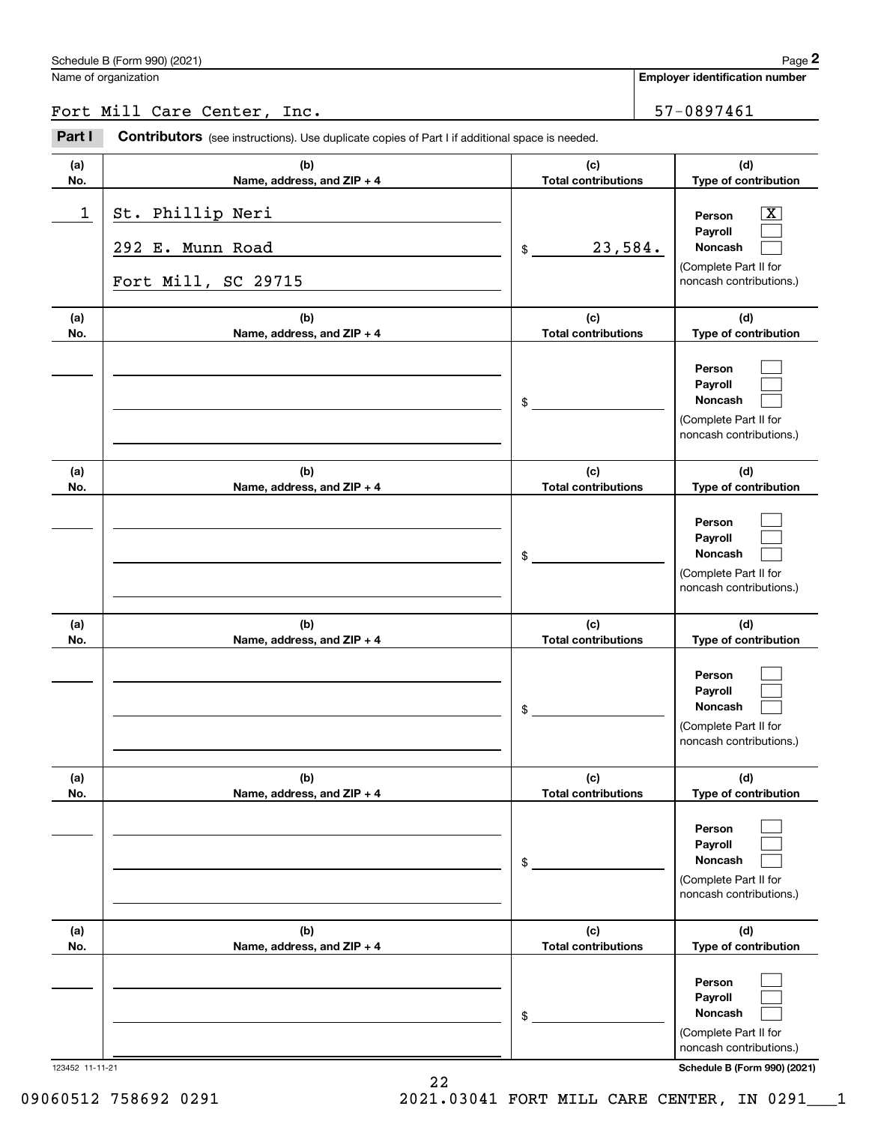## Fort Mill Care Center, Inc. 57-0897461

|                 | Schedule B (Form 990) (2021)                                                                          |                                   | Page 2                                                                                                             |
|-----------------|-------------------------------------------------------------------------------------------------------|-----------------------------------|--------------------------------------------------------------------------------------------------------------------|
|                 | Name of organization                                                                                  |                                   | <b>Employer identification number</b>                                                                              |
|                 | Fort Mill Care Center, Inc.                                                                           |                                   | 57-0897461                                                                                                         |
| Part I          | <b>Contributors</b> (see instructions). Use duplicate copies of Part I if additional space is needed. |                                   |                                                                                                                    |
| (a)<br>No.      | (b)<br>Name, address, and ZIP + 4                                                                     | (c)<br><b>Total contributions</b> | (d)<br>Type of contribution                                                                                        |
| 1               | St. Phillip Neri<br>292 E. Munn Road<br>Fort Mill, SC 29715                                           | 23,584.<br>\$                     | $\overline{\mathbf{X}}$<br>Person<br>Payroll<br><b>Noncash</b><br>(Complete Part II for<br>noncash contributions.) |
| (a)<br>No.      | (b)<br>Name, address, and ZIP + 4                                                                     | (c)<br><b>Total contributions</b> | (d)<br>Type of contribution                                                                                        |
|                 |                                                                                                       | \$                                | Person<br>Payroll<br>Noncash<br>(Complete Part II for<br>noncash contributions.)                                   |
| (a)<br>No.      | (b)<br>Name, address, and ZIP + 4                                                                     | (c)<br><b>Total contributions</b> | (d)<br>Type of contribution                                                                                        |
|                 |                                                                                                       | \$                                | Person<br>Payroll<br>Noncash<br>(Complete Part II for<br>noncash contributions.)                                   |
| (a)<br>No.      | (b)<br>Name, address, and ZIP + 4                                                                     | (c)<br><b>Total contributions</b> | (d)<br>Type of contribution                                                                                        |
|                 |                                                                                                       | \$                                | Person<br>Payroll<br>Noncash<br>(Complete Part II for<br>noncash contributions.)                                   |
| (a)<br>No.      | (b)<br>Name, address, and ZIP + 4                                                                     | (c)<br><b>Total contributions</b> | (d)<br>Type of contribution                                                                                        |
|                 |                                                                                                       | \$                                | Person<br>Payroll<br>Noncash<br>(Complete Part II for<br>noncash contributions.)                                   |
| (a)<br>No.      | (b)<br>Name, address, and ZIP + 4                                                                     | (c)<br><b>Total contributions</b> | (d)<br>Type of contribution                                                                                        |
| 123452 11-11-21 |                                                                                                       | \$                                | Person<br>Payroll<br>Noncash<br>(Complete Part II for<br>noncash contributions.)<br>Schedule B (Form 990) (2021)   |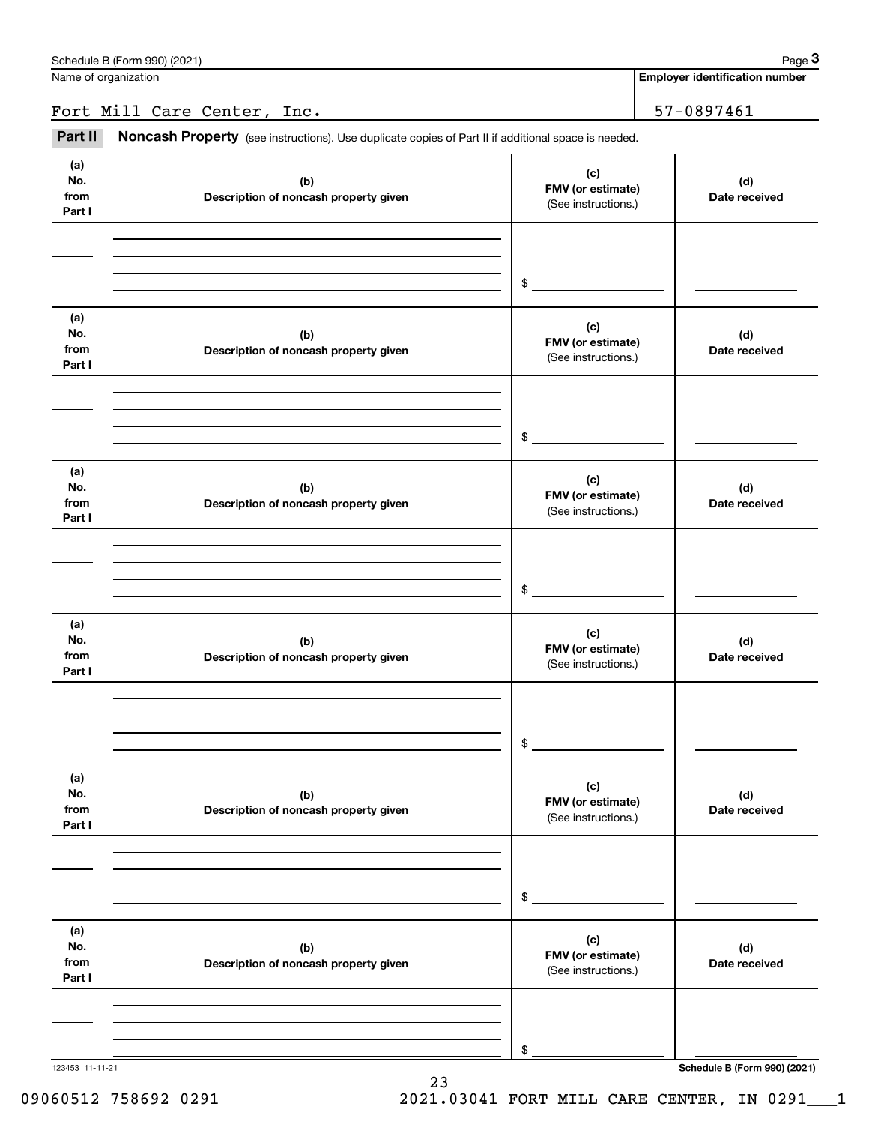**Employer identification number**

Fort Mill Care Center, Inc. 57-0897461

(see instructions). Use duplicate copies of Part II if additional space is needed.<br> **Part II Noncash Property** (see instructions). Use duplicate copies of Part II if additional space is needed.<br> **Part II Noncash Proper** 

| (a)<br>No.<br>from<br>Part I | (b)<br>Description of noncash property given | (c)<br>FMV (or estimate)<br>(See instructions.) | (d)<br>Date received         |
|------------------------------|----------------------------------------------|-------------------------------------------------|------------------------------|
|                              |                                              |                                                 |                              |
|                              |                                              | $$^{\circ}$                                     |                              |
|                              |                                              |                                                 |                              |
| (a)<br>No.                   | (b)                                          | (c)<br>FMV (or estimate)                        | (d)                          |
| from<br>Part I               | Description of noncash property given        | (See instructions.)                             | Date received                |
|                              |                                              |                                                 |                              |
|                              |                                              | $$^{\circ}$                                     |                              |
|                              |                                              |                                                 |                              |
| (a)<br>No.                   | (b)                                          | (c)<br>FMV (or estimate)                        | (d)                          |
| from<br>Part I               | Description of noncash property given        | (See instructions.)                             | Date received                |
|                              |                                              |                                                 |                              |
|                              |                                              | \$                                              |                              |
|                              |                                              |                                                 |                              |
| (a)<br>No.                   | (b)                                          | (c)<br>FMV (or estimate)                        | (d)                          |
| from<br>Part I               | Description of noncash property given        | (See instructions.)                             | Date received                |
|                              |                                              |                                                 |                              |
|                              |                                              |                                                 |                              |
|                              |                                              | \$                                              |                              |
| (a)<br>No.                   | (b)                                          | (c)<br>FMV (or estimate)                        | (d)                          |
| from<br>Part I               | Description of noncash property given        | (See instructions.)                             | Date received                |
|                              |                                              |                                                 |                              |
|                              |                                              |                                                 |                              |
|                              |                                              | \$                                              |                              |
| (a)<br>No.                   | (b)                                          | (c)                                             | (d)                          |
| from<br>Part I               | Description of noncash property given        | FMV (or estimate)<br>(See instructions.)        | Date received                |
|                              |                                              |                                                 |                              |
|                              |                                              |                                                 |                              |
| 123453 11-11-21              |                                              | \$                                              | Schedule B (Form 990) (2021) |
|                              |                                              |                                                 |                              |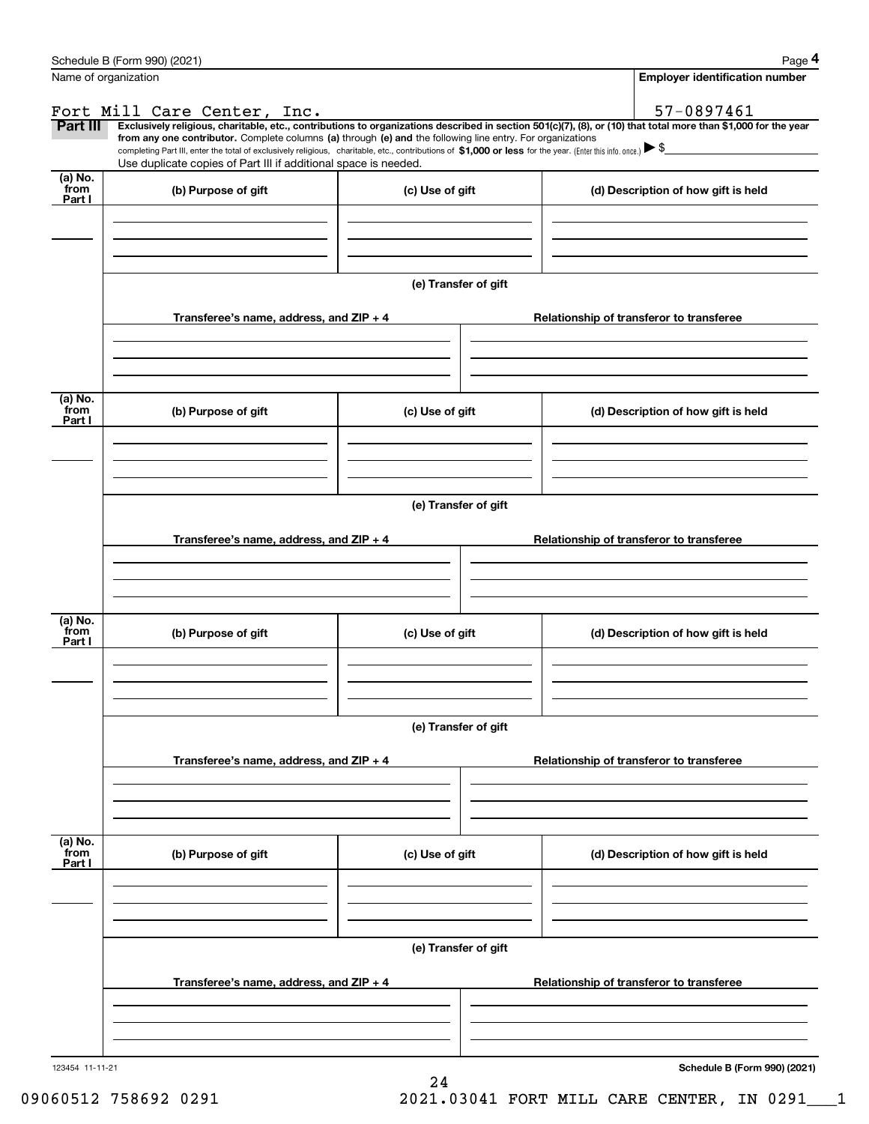|                 | Schedule B (Form 990) (2021)                                                                                                                                                                                                                                                 |                      |  | Page 4                                   |  |  |  |
|-----------------|------------------------------------------------------------------------------------------------------------------------------------------------------------------------------------------------------------------------------------------------------------------------------|----------------------|--|------------------------------------------|--|--|--|
|                 | Name of organization                                                                                                                                                                                                                                                         |                      |  | <b>Employer identification number</b>    |  |  |  |
|                 | Fort Mill Care Center, Inc.                                                                                                                                                                                                                                                  |                      |  | 57-0897461                               |  |  |  |
| Part III        | Exclusively religious, charitable, etc., contributions to organizations described in section 501(c)(7), (8), or (10) that total more than \$1,000 for the year<br>from any one contributor. Complete columns (a) through (e) and the following line entry. For organizations |                      |  |                                          |  |  |  |
|                 | completing Part III, enter the total of exclusively religious, charitable, etc., contributions of \$1,000 or less for the year. (Enter this info. once.) \\$                                                                                                                 |                      |  |                                          |  |  |  |
| $(a)$ No.       | Use duplicate copies of Part III if additional space is needed.                                                                                                                                                                                                              |                      |  |                                          |  |  |  |
| from<br>Part I  | (b) Purpose of gift                                                                                                                                                                                                                                                          | (c) Use of gift      |  | (d) Description of how gift is held      |  |  |  |
|                 |                                                                                                                                                                                                                                                                              |                      |  |                                          |  |  |  |
|                 |                                                                                                                                                                                                                                                                              |                      |  |                                          |  |  |  |
|                 |                                                                                                                                                                                                                                                                              |                      |  |                                          |  |  |  |
|                 |                                                                                                                                                                                                                                                                              | (e) Transfer of gift |  |                                          |  |  |  |
|                 | Transferee's name, address, and ZIP + 4                                                                                                                                                                                                                                      |                      |  | Relationship of transferor to transferee |  |  |  |
|                 |                                                                                                                                                                                                                                                                              |                      |  |                                          |  |  |  |
|                 |                                                                                                                                                                                                                                                                              |                      |  |                                          |  |  |  |
|                 |                                                                                                                                                                                                                                                                              |                      |  |                                          |  |  |  |
| (a) No.<br>from | (b) Purpose of gift                                                                                                                                                                                                                                                          | (c) Use of gift      |  | (d) Description of how gift is held      |  |  |  |
| Part I          |                                                                                                                                                                                                                                                                              |                      |  |                                          |  |  |  |
|                 |                                                                                                                                                                                                                                                                              |                      |  |                                          |  |  |  |
|                 |                                                                                                                                                                                                                                                                              |                      |  |                                          |  |  |  |
|                 |                                                                                                                                                                                                                                                                              | (e) Transfer of gift |  |                                          |  |  |  |
|                 |                                                                                                                                                                                                                                                                              |                      |  |                                          |  |  |  |
|                 | Transferee's name, address, and ZIP + 4                                                                                                                                                                                                                                      |                      |  | Relationship of transferor to transferee |  |  |  |
|                 |                                                                                                                                                                                                                                                                              |                      |  |                                          |  |  |  |
|                 |                                                                                                                                                                                                                                                                              |                      |  |                                          |  |  |  |
| (a) No.         |                                                                                                                                                                                                                                                                              |                      |  |                                          |  |  |  |
| from<br>Part I  | (b) Purpose of gift                                                                                                                                                                                                                                                          | (c) Use of gift      |  | (d) Description of how gift is held      |  |  |  |
|                 |                                                                                                                                                                                                                                                                              |                      |  |                                          |  |  |  |
|                 |                                                                                                                                                                                                                                                                              |                      |  |                                          |  |  |  |
|                 |                                                                                                                                                                                                                                                                              |                      |  |                                          |  |  |  |
|                 |                                                                                                                                                                                                                                                                              | (e) Transfer of gift |  |                                          |  |  |  |
|                 | Transferee's name, address, and $ZIP + 4$                                                                                                                                                                                                                                    |                      |  | Relationship of transferor to transferee |  |  |  |
|                 |                                                                                                                                                                                                                                                                              |                      |  |                                          |  |  |  |
|                 |                                                                                                                                                                                                                                                                              |                      |  |                                          |  |  |  |
|                 |                                                                                                                                                                                                                                                                              |                      |  |                                          |  |  |  |
| (a) No.<br>from | (b) Purpose of gift                                                                                                                                                                                                                                                          | (c) Use of gift      |  | (d) Description of how gift is held      |  |  |  |
| Part I          |                                                                                                                                                                                                                                                                              |                      |  |                                          |  |  |  |
|                 |                                                                                                                                                                                                                                                                              |                      |  |                                          |  |  |  |
|                 |                                                                                                                                                                                                                                                                              |                      |  |                                          |  |  |  |
|                 |                                                                                                                                                                                                                                                                              | (e) Transfer of gift |  |                                          |  |  |  |
|                 |                                                                                                                                                                                                                                                                              |                      |  |                                          |  |  |  |
|                 | Transferee's name, address, and $ZIP + 4$                                                                                                                                                                                                                                    |                      |  | Relationship of transferor to transferee |  |  |  |
|                 |                                                                                                                                                                                                                                                                              |                      |  |                                          |  |  |  |
|                 |                                                                                                                                                                                                                                                                              |                      |  |                                          |  |  |  |
|                 |                                                                                                                                                                                                                                                                              |                      |  |                                          |  |  |  |
| 123454 11-11-21 |                                                                                                                                                                                                                                                                              |                      |  | Schedule B (Form 990) (2021)             |  |  |  |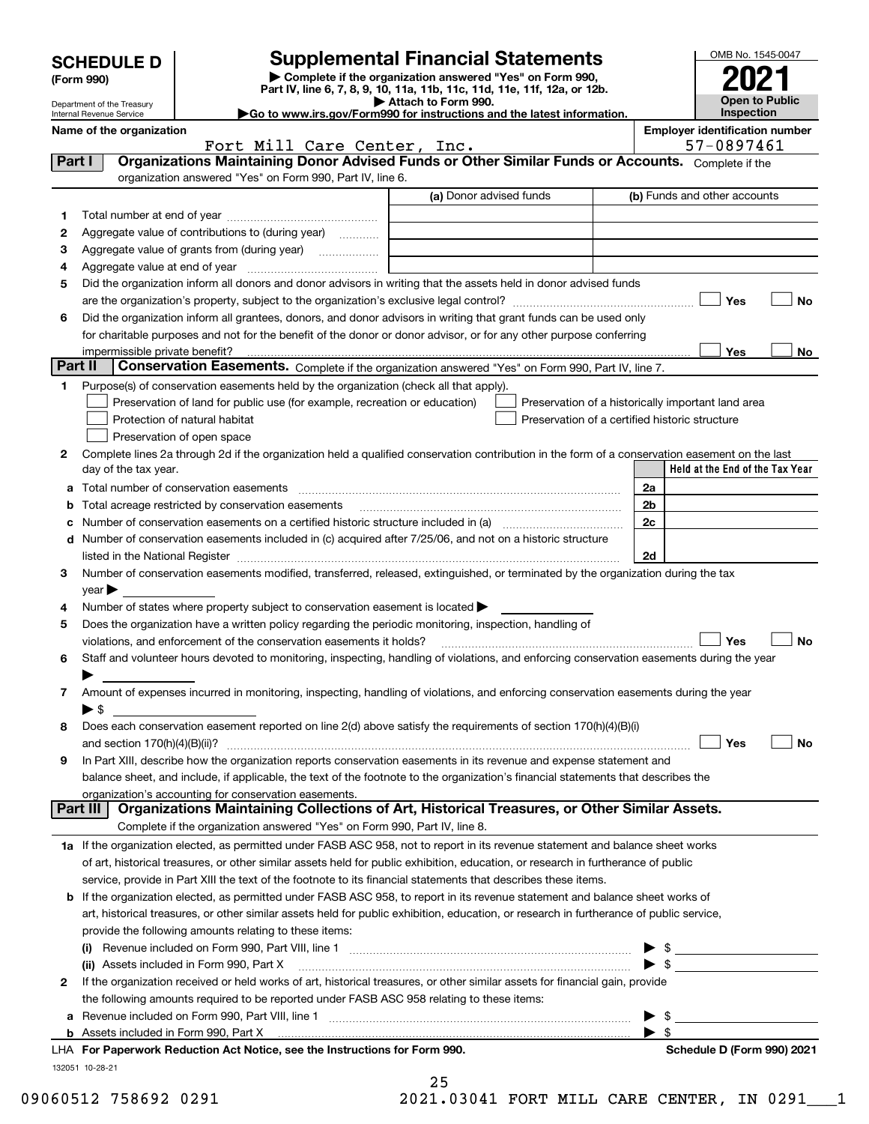| <b>SCHEDULE D</b> |  |  |
|-------------------|--|--|
|-------------------|--|--|

Department of the Treasury

| (Form 990) |  |
|------------|--|
|------------|--|

## **Supplemental Financial Statements**

**| Complete if the organization answered "Yes" on Form 990, Part IV, line 6, 7, 8, 9, 10, 11a, 11b, 11c, 11d, 11e, 11f, 12a, or 12b. | Attach to Form 990.** OMB No. 1545-0047 **Open to Public Inspection2021**

| Internal Revenue Service | $\blacktriangleright$ Go to |  |
|--------------------------|-----------------------------|--|
| Name of the cumpulation  |                             |  |

**|Go to www.irs.gov/Form990 for instructions and the latest information.**

Name of the organization **Name of the organization** 

| 57-0897461 |
|------------|
|------------|

|         | Fort Mill Care Center, Inc.                                                                                                                                                                                                   |                         | 57-0897461                                         |
|---------|-------------------------------------------------------------------------------------------------------------------------------------------------------------------------------------------------------------------------------|-------------------------|----------------------------------------------------|
| Part I  | Organizations Maintaining Donor Advised Funds or Other Similar Funds or Accounts. Complete if the                                                                                                                             |                         |                                                    |
|         | organization answered "Yes" on Form 990, Part IV, line 6.                                                                                                                                                                     |                         |                                                    |
|         |                                                                                                                                                                                                                               | (a) Donor advised funds | (b) Funds and other accounts                       |
| 1       |                                                                                                                                                                                                                               |                         |                                                    |
| 2       | Aggregate value of contributions to (during year)                                                                                                                                                                             |                         |                                                    |
| з       | Aggregate value of grants from (during year)                                                                                                                                                                                  |                         |                                                    |
| 4       |                                                                                                                                                                                                                               |                         |                                                    |
| 5       | Did the organization inform all donors and donor advisors in writing that the assets held in donor advised funds                                                                                                              |                         |                                                    |
|         |                                                                                                                                                                                                                               |                         | Yes<br>No                                          |
| 6       | Did the organization inform all grantees, donors, and donor advisors in writing that grant funds can be used only                                                                                                             |                         |                                                    |
|         | for charitable purposes and not for the benefit of the donor or donor advisor, or for any other purpose conferring                                                                                                            |                         |                                                    |
|         | impermissible private benefit?                                                                                                                                                                                                |                         | Yes<br>No                                          |
| Part II | Conservation Easements. Complete if the organization answered "Yes" on Form 990, Part IV, line 7.                                                                                                                             |                         |                                                    |
| 1.      | Purpose(s) of conservation easements held by the organization (check all that apply).                                                                                                                                         |                         |                                                    |
|         | Preservation of land for public use (for example, recreation or education)                                                                                                                                                    |                         | Preservation of a historically important land area |
|         | Protection of natural habitat                                                                                                                                                                                                 |                         | Preservation of a certified historic structure     |
|         | Preservation of open space                                                                                                                                                                                                    |                         |                                                    |
| 2       | Complete lines 2a through 2d if the organization held a qualified conservation contribution in the form of a conservation easement on the last                                                                                |                         |                                                    |
|         | day of the tax year.                                                                                                                                                                                                          |                         | Held at the End of the Tax Year                    |
|         |                                                                                                                                                                                                                               |                         |                                                    |
| а       |                                                                                                                                                                                                                               |                         | 2a                                                 |
|         | Total acreage restricted by conservation easements                                                                                                                                                                            |                         | 2b                                                 |
|         |                                                                                                                                                                                                                               |                         | 2c                                                 |
| d       | Number of conservation easements included in (c) acquired after 7/25/06, and not on a historic structure                                                                                                                      |                         |                                                    |
|         | listed in the National Register [111] in the Mational Register [11] in the Mation Matter of Alliance Matter and Matter and Matter and Matter and Matter and Matter and Matter and Matter and Matter and Matter and Matter and |                         | 2d                                                 |
| 3       | Number of conservation easements modified, transferred, released, extinguished, or terminated by the organization during the tax                                                                                              |                         |                                                    |
|         | year                                                                                                                                                                                                                          |                         |                                                    |
| 4       | Number of states where property subject to conservation easement is located >                                                                                                                                                 |                         |                                                    |
| 5       | Does the organization have a written policy regarding the periodic monitoring, inspection, handling of                                                                                                                        |                         |                                                    |
|         | violations, and enforcement of the conservation easements it holds?                                                                                                                                                           |                         | Yes<br>No                                          |
| 6       | Staff and volunteer hours devoted to monitoring, inspecting, handling of violations, and enforcing conservation easements during the year                                                                                     |                         |                                                    |
|         |                                                                                                                                                                                                                               |                         |                                                    |
| 7       | Amount of expenses incurred in monitoring, inspecting, handling of violations, and enforcing conservation easements during the year                                                                                           |                         |                                                    |
|         | $\blacktriangleright$ s                                                                                                                                                                                                       |                         |                                                    |
| 8       | Does each conservation easement reported on line 2(d) above satisfy the requirements of section 170(h)(4)(B)(i)                                                                                                               |                         |                                                    |
|         | and section $170(h)(4)(B)(ii)?$                                                                                                                                                                                               |                         | Yes<br>No                                          |
| 9       | In Part XIII, describe how the organization reports conservation easements in its revenue and expense statement and                                                                                                           |                         |                                                    |
|         | balance sheet, and include, if applicable, the text of the footnote to the organization's financial statements that describes the                                                                                             |                         |                                                    |
|         | organization's accounting for conservation easements.<br>Organizations Maintaining Collections of Art, Historical Treasures, or Other Similar Assets.<br>Part III                                                             |                         |                                                    |
|         | Complete if the organization answered "Yes" on Form 990, Part IV, line 8.                                                                                                                                                     |                         |                                                    |
|         |                                                                                                                                                                                                                               |                         |                                                    |
|         | 1a If the organization elected, as permitted under FASB ASC 958, not to report in its revenue statement and balance sheet works                                                                                               |                         |                                                    |
|         | of art, historical treasures, or other similar assets held for public exhibition, education, or research in furtherance of public                                                                                             |                         |                                                    |
|         | service, provide in Part XIII the text of the footnote to its financial statements that describes these items.                                                                                                                |                         |                                                    |
| b       | If the organization elected, as permitted under FASB ASC 958, to report in its revenue statement and balance sheet works of                                                                                                   |                         |                                                    |
|         | art, historical treasures, or other similar assets held for public exhibition, education, or research in furtherance of public service,                                                                                       |                         |                                                    |
|         | provide the following amounts relating to these items:                                                                                                                                                                        |                         |                                                    |
|         |                                                                                                                                                                                                                               |                         |                                                    |
|         | (ii) Assets included in Form 990, Part X                                                                                                                                                                                      |                         | $\blacktriangleright$ s                            |
| 2       | If the organization received or held works of art, historical treasures, or other similar assets for financial gain, provide                                                                                                  |                         |                                                    |
|         | the following amounts required to be reported under FASB ASC 958 relating to these items:                                                                                                                                     |                         |                                                    |
| а       |                                                                                                                                                                                                                               |                         | \$                                                 |
| b       | Assets included in Form 990, Part X                                                                                                                                                                                           |                         | -\$                                                |
|         | LHA For Paperwork Reduction Act Notice, see the Instructions for Form 990.                                                                                                                                                    |                         | Schedule D (Form 990) 2021                         |

132051 10-28-21

| 25 |  |  |
|----|--|--|
|    |  |  |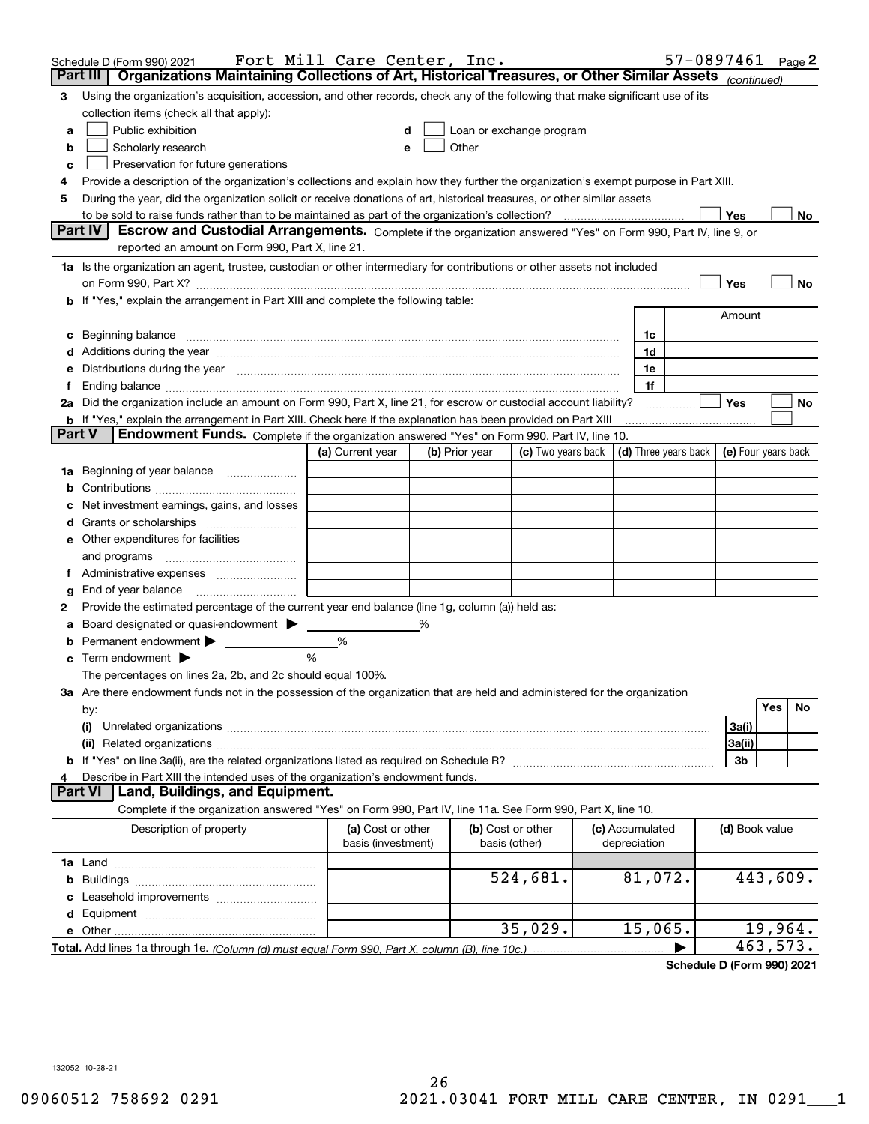|        | Schedule D (Form 990) 2021                                                                                                                                                                                                     | Fort Mill Care Center, Inc. |   |                |                                                                                                                                                                                                                               |                                 |                | 57-0897461 Page 2                                        |
|--------|--------------------------------------------------------------------------------------------------------------------------------------------------------------------------------------------------------------------------------|-----------------------------|---|----------------|-------------------------------------------------------------------------------------------------------------------------------------------------------------------------------------------------------------------------------|---------------------------------|----------------|----------------------------------------------------------|
|        | Organizations Maintaining Collections of Art, Historical Treasures, or Other Similar Assets (continued)<br>Part III                                                                                                            |                             |   |                |                                                                                                                                                                                                                               |                                 |                |                                                          |
| 3      | Using the organization's acquisition, accession, and other records, check any of the following that make significant use of its                                                                                                |                             |   |                |                                                                                                                                                                                                                               |                                 |                |                                                          |
|        | collection items (check all that apply):                                                                                                                                                                                       |                             |   |                |                                                                                                                                                                                                                               |                                 |                |                                                          |
| a      | Public exhibition                                                                                                                                                                                                              |                             |   |                | Loan or exchange program                                                                                                                                                                                                      |                                 |                |                                                          |
| b      | Scholarly research                                                                                                                                                                                                             |                             |   |                | Other and the contract of the contract of the contract of the contract of the contract of the contract of the contract of the contract of the contract of the contract of the contract of the contract of the contract of the |                                 |                |                                                          |
| c      | Preservation for future generations                                                                                                                                                                                            |                             |   |                |                                                                                                                                                                                                                               |                                 |                |                                                          |
| 4      | Provide a description of the organization's collections and explain how they further the organization's exempt purpose in Part XIII.                                                                                           |                             |   |                |                                                                                                                                                                                                                               |                                 |                |                                                          |
| 5      | During the year, did the organization solicit or receive donations of art, historical treasures, or other similar assets                                                                                                       |                             |   |                |                                                                                                                                                                                                                               |                                 |                |                                                          |
|        | to be sold to raise funds rather than to be maintained as part of the organization's collection?                                                                                                                               |                             |   |                |                                                                                                                                                                                                                               |                                 | Yes            | No.                                                      |
|        | <b>Part IV</b><br>Escrow and Custodial Arrangements. Complete if the organization answered "Yes" on Form 990, Part IV, line 9, or                                                                                              |                             |   |                |                                                                                                                                                                                                                               |                                 |                |                                                          |
|        | reported an amount on Form 990, Part X, line 21.                                                                                                                                                                               |                             |   |                |                                                                                                                                                                                                                               |                                 |                |                                                          |
|        | 1a Is the organization an agent, trustee, custodian or other intermediary for contributions or other assets not included                                                                                                       |                             |   |                |                                                                                                                                                                                                                               |                                 |                |                                                          |
|        | on Form 990, Part X? [11] matter contracts and contracts and contracts are contracted as a function of the set of the set of the set of the set of the set of the set of the set of the set of the set of the set of the set o |                             |   |                |                                                                                                                                                                                                                               |                                 | Yes            | No                                                       |
|        | <b>b</b> If "Yes," explain the arrangement in Part XIII and complete the following table:                                                                                                                                      |                             |   |                |                                                                                                                                                                                                                               |                                 |                |                                                          |
|        |                                                                                                                                                                                                                                |                             |   |                |                                                                                                                                                                                                                               |                                 | Amount         |                                                          |
|        |                                                                                                                                                                                                                                |                             |   |                |                                                                                                                                                                                                                               | 1c                              |                |                                                          |
|        | Additions during the year manufactured and contain an account of the year manufactured and account of the year                                                                                                                 |                             |   |                |                                                                                                                                                                                                                               | 1d                              |                |                                                          |
|        | Distributions during the year manufactured and continuum and continuum and continuum and continuum and continuum                                                                                                               |                             |   |                |                                                                                                                                                                                                                               | 1e                              |                |                                                          |
|        |                                                                                                                                                                                                                                |                             |   |                |                                                                                                                                                                                                                               | 1f                              |                |                                                          |
|        | 2a Did the organization include an amount on Form 990, Part X, line 21, for escrow or custodial account liability?                                                                                                             |                             |   |                |                                                                                                                                                                                                                               |                                 | Yes            | No                                                       |
|        | <b>b</b> If "Yes," explain the arrangement in Part XIII. Check here if the explanation has been provided on Part XIII                                                                                                          |                             |   |                |                                                                                                                                                                                                                               |                                 |                |                                                          |
| Part V | <b>Endowment Funds.</b> Complete if the organization answered "Yes" on Form 990, Part IV, line 10.                                                                                                                             |                             |   |                |                                                                                                                                                                                                                               |                                 |                |                                                          |
|        |                                                                                                                                                                                                                                | (a) Current year            |   | (b) Prior year | (c) Two years back                                                                                                                                                                                                            |                                 |                | $\vert$ (d) Three years back $\vert$ (e) Four years back |
| 1a     | Beginning of year balance                                                                                                                                                                                                      |                             |   |                |                                                                                                                                                                                                                               |                                 |                |                                                          |
|        |                                                                                                                                                                                                                                |                             |   |                |                                                                                                                                                                                                                               |                                 |                |                                                          |
|        | Net investment earnings, gains, and losses                                                                                                                                                                                     |                             |   |                |                                                                                                                                                                                                                               |                                 |                |                                                          |
|        | Grants or scholarships                                                                                                                                                                                                         |                             |   |                |                                                                                                                                                                                                                               |                                 |                |                                                          |
|        | e Other expenditures for facilities                                                                                                                                                                                            |                             |   |                |                                                                                                                                                                                                                               |                                 |                |                                                          |
|        | and programs                                                                                                                                                                                                                   |                             |   |                |                                                                                                                                                                                                                               |                                 |                |                                                          |
|        |                                                                                                                                                                                                                                |                             |   |                |                                                                                                                                                                                                                               |                                 |                |                                                          |
| g      | End of year balance                                                                                                                                                                                                            |                             |   |                |                                                                                                                                                                                                                               |                                 |                |                                                          |
| 2      | Provide the estimated percentage of the current year end balance (line 1g, column (a)) held as:                                                                                                                                |                             |   |                |                                                                                                                                                                                                                               |                                 |                |                                                          |
|        | Board designated or quasi-endowment                                                                                                                                                                                            |                             | % |                |                                                                                                                                                                                                                               |                                 |                |                                                          |
|        | Permanent endowment >                                                                                                                                                                                                          | %                           |   |                |                                                                                                                                                                                                                               |                                 |                |                                                          |
| с      | Term endowment $\blacktriangleright$                                                                                                                                                                                           | %                           |   |                |                                                                                                                                                                                                                               |                                 |                |                                                          |
|        | The percentages on lines 2a, 2b, and 2c should equal 100%.                                                                                                                                                                     |                             |   |                |                                                                                                                                                                                                                               |                                 |                |                                                          |
|        | 3a Are there endowment funds not in the possession of the organization that are held and administered for the organization                                                                                                     |                             |   |                |                                                                                                                                                                                                                               |                                 |                | Yes                                                      |
|        | by:                                                                                                                                                                                                                            |                             |   |                |                                                                                                                                                                                                                               |                                 |                | No                                                       |
|        | (i)                                                                                                                                                                                                                            |                             |   |                |                                                                                                                                                                                                                               |                                 | 3a(i)          |                                                          |
|        |                                                                                                                                                                                                                                |                             |   |                |                                                                                                                                                                                                                               |                                 | 3a(ii)         |                                                          |
|        |                                                                                                                                                                                                                                |                             |   |                |                                                                                                                                                                                                                               |                                 | 3b             |                                                          |
|        | Describe in Part XIII the intended uses of the organization's endowment funds.<br>Land, Buildings, and Equipment.<br>Part VI                                                                                                   |                             |   |                |                                                                                                                                                                                                                               |                                 |                |                                                          |
|        | Complete if the organization answered "Yes" on Form 990, Part IV, line 11a. See Form 990, Part X, line 10.                                                                                                                     |                             |   |                |                                                                                                                                                                                                                               |                                 |                |                                                          |
|        |                                                                                                                                                                                                                                |                             |   |                |                                                                                                                                                                                                                               |                                 |                |                                                          |
|        | Description of property                                                                                                                                                                                                        | (a) Cost or other           |   |                | (b) Cost or other<br>basis (other)                                                                                                                                                                                            | (c) Accumulated<br>depreciation | (d) Book value |                                                          |
|        |                                                                                                                                                                                                                                | basis (investment)          |   |                |                                                                                                                                                                                                                               |                                 |                |                                                          |
|        |                                                                                                                                                                                                                                |                             |   |                |                                                                                                                                                                                                                               |                                 |                |                                                          |
| b      |                                                                                                                                                                                                                                |                             |   |                | 524,681.                                                                                                                                                                                                                      | 81,072.                         |                | 443,609.                                                 |
|        |                                                                                                                                                                                                                                |                             |   |                |                                                                                                                                                                                                                               |                                 |                |                                                          |
| d      |                                                                                                                                                                                                                                |                             |   |                | 35,029.                                                                                                                                                                                                                       | 15,065.                         |                | 19,964.                                                  |
|        | e Other<br>Total. Add lines 1a through 1e. (Column (d) must equal Form 990, Part X, column (B), line 10c.)                                                                                                                     |                             |   |                |                                                                                                                                                                                                                               |                                 |                | 463,573.                                                 |
|        |                                                                                                                                                                                                                                |                             |   |                |                                                                                                                                                                                                                               |                                 |                |                                                          |

**Schedule D (Form 990) 2021**

132052 10-28-21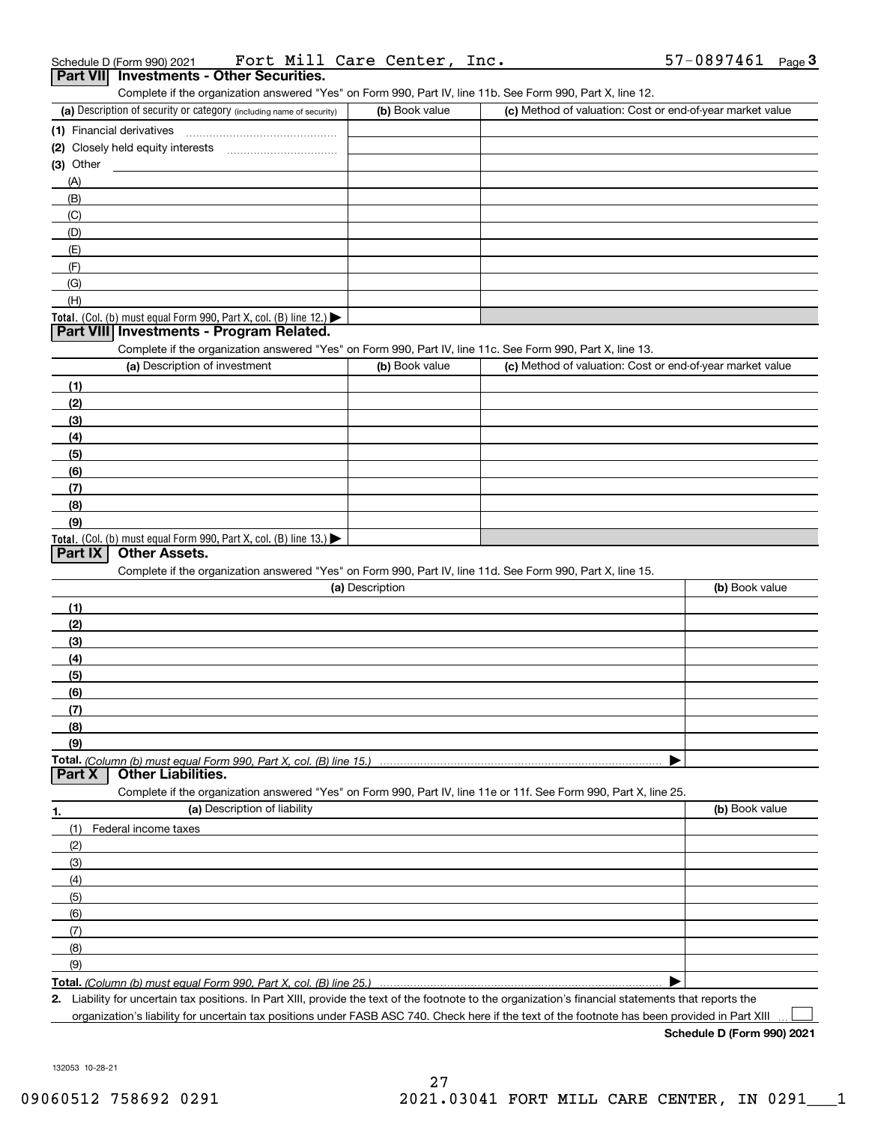| (a) Description of security or category (including name of security)                                              | (b) Book value  | Complete if the organization answered "Yes" on Form 990, Part IV, line 11b. See Form 990, Part X, line 12.<br>(c) Method of valuation: Cost or end-of-year market value |                |
|-------------------------------------------------------------------------------------------------------------------|-----------------|-------------------------------------------------------------------------------------------------------------------------------------------------------------------------|----------------|
| (1) Financial derivatives                                                                                         |                 |                                                                                                                                                                         |                |
| (2) Closely held equity interests                                                                                 |                 |                                                                                                                                                                         |                |
| $(3)$ Other                                                                                                       |                 |                                                                                                                                                                         |                |
| (A)                                                                                                               |                 |                                                                                                                                                                         |                |
| (B)                                                                                                               |                 |                                                                                                                                                                         |                |
| (C)                                                                                                               |                 |                                                                                                                                                                         |                |
| (D)                                                                                                               |                 |                                                                                                                                                                         |                |
| (E)                                                                                                               |                 |                                                                                                                                                                         |                |
| (F)                                                                                                               |                 |                                                                                                                                                                         |                |
| (G)                                                                                                               |                 |                                                                                                                                                                         |                |
| (H)                                                                                                               |                 |                                                                                                                                                                         |                |
| Total. (Col. (b) must equal Form 990, Part X, col. (B) line 12.)                                                  |                 |                                                                                                                                                                         |                |
| Part VIII Investments - Program Related.                                                                          |                 |                                                                                                                                                                         |                |
| Complete if the organization answered "Yes" on Form 990, Part IV, line 11c. See Form 990, Part X, line 13.        |                 |                                                                                                                                                                         |                |
| (a) Description of investment                                                                                     | (b) Book value  | (c) Method of valuation: Cost or end-of-year market value                                                                                                               |                |
| (1)                                                                                                               |                 |                                                                                                                                                                         |                |
| (2)                                                                                                               |                 |                                                                                                                                                                         |                |
| (3)                                                                                                               |                 |                                                                                                                                                                         |                |
| (4)                                                                                                               |                 |                                                                                                                                                                         |                |
| (5)                                                                                                               |                 |                                                                                                                                                                         |                |
| (6)                                                                                                               |                 |                                                                                                                                                                         |                |
| (7)                                                                                                               |                 |                                                                                                                                                                         |                |
| (8)                                                                                                               |                 |                                                                                                                                                                         |                |
| (9)                                                                                                               |                 |                                                                                                                                                                         |                |
| Total. (Col. (b) must equal Form 990, Part X, col. (B) line 13.)                                                  |                 |                                                                                                                                                                         |                |
| <b>Other Assets.</b><br>Part IX                                                                                   |                 |                                                                                                                                                                         |                |
| Complete if the organization answered "Yes" on Form 990, Part IV, line 11d. See Form 990, Part X, line 15.        |                 |                                                                                                                                                                         |                |
|                                                                                                                   | (a) Description |                                                                                                                                                                         | (b) Book value |
| (1)                                                                                                               |                 |                                                                                                                                                                         |                |
| (2)                                                                                                               |                 |                                                                                                                                                                         |                |
| (3)                                                                                                               |                 |                                                                                                                                                                         |                |
| (4)                                                                                                               |                 |                                                                                                                                                                         |                |
|                                                                                                                   |                 |                                                                                                                                                                         |                |
| (5)                                                                                                               |                 |                                                                                                                                                                         |                |
| (6)                                                                                                               |                 |                                                                                                                                                                         |                |
| (7)                                                                                                               |                 |                                                                                                                                                                         |                |
| (8)                                                                                                               |                 |                                                                                                                                                                         |                |
| (9)                                                                                                               |                 |                                                                                                                                                                         |                |
|                                                                                                                   |                 |                                                                                                                                                                         |                |
| <b>Other Liabilities.</b><br>Part X                                                                               |                 |                                                                                                                                                                         |                |
| Complete if the organization answered "Yes" on Form 990, Part IV, line 11e or 11f. See Form 990, Part X, line 25. |                 |                                                                                                                                                                         |                |
| (a) Description of liability                                                                                      |                 |                                                                                                                                                                         | (b) Book value |
| (1)<br>Federal income taxes                                                                                       |                 |                                                                                                                                                                         |                |
| (2)                                                                                                               |                 |                                                                                                                                                                         |                |
| (3)                                                                                                               |                 |                                                                                                                                                                         |                |
| (4)                                                                                                               |                 |                                                                                                                                                                         |                |
| (5)                                                                                                               |                 |                                                                                                                                                                         |                |
| (6)                                                                                                               |                 |                                                                                                                                                                         |                |
| 1.<br>(7)                                                                                                         |                 |                                                                                                                                                                         |                |
| (8)                                                                                                               |                 |                                                                                                                                                                         |                |
| (9)                                                                                                               |                 |                                                                                                                                                                         |                |

 $\mathcal{L}^{\text{max}}$ 

| Schedule D (Form 990) 2021 |                                                 |  | Fort Mill Care Center, Inc. | 57-0897461 <sub>Page</sub> 3 |  |
|----------------------------|-------------------------------------------------|--|-----------------------------|------------------------------|--|
|                            | <b>Part VII</b> Investments - Other Securities. |  |                             |                              |  |

| (a) Description of security or category (including name of security)                   | (b) Book value | (c) Method of valuation: Cost or end-of-year market value |
|----------------------------------------------------------------------------------------|----------------|-----------------------------------------------------------|
| (1) Financial derivatives                                                              |                |                                                           |
| (2) Closely held equity interests                                                      |                |                                                           |
| (3) Other                                                                              |                |                                                           |
| (A)                                                                                    |                |                                                           |
| (B)                                                                                    |                |                                                           |
| (C)                                                                                    |                |                                                           |
| (D)                                                                                    |                |                                                           |
| (E)                                                                                    |                |                                                           |
| (F)                                                                                    |                |                                                           |
| (G)                                                                                    |                |                                                           |
| (H)                                                                                    |                |                                                           |
| Total. (Col. (b) must equal Form 990, Part X, col. (B) line 12.) $\blacktriangleright$ |                |                                                           |

| (a) Description of investment                                       | (b) Book value | (c) Method of valuation: Cost or end-of-year market value |
|---------------------------------------------------------------------|----------------|-----------------------------------------------------------|
| (1)                                                                 |                |                                                           |
| (2)                                                                 |                |                                                           |
| (3)                                                                 |                |                                                           |
| (4)                                                                 |                |                                                           |
| (5)                                                                 |                |                                                           |
| (6)                                                                 |                |                                                           |
| (7)                                                                 |                |                                                           |
| (8)                                                                 |                |                                                           |
| (9)                                                                 |                |                                                           |
| Total. (Col. (b) must equal Form 990, Part X, col. (B) line $13.$ ) |                |                                                           |

| (a) Description                     | (b) Book value |
|-------------------------------------|----------------|
|                                     |                |
| (2)                                 |                |
| (3)                                 |                |
| (4)                                 |                |
| (5)                                 |                |
| (6)                                 |                |
|                                     |                |
| (8)                                 |                |
| (9)                                 |                |
|                                     |                |
| Part X<br><b>Other Liabilities.</b> |                |

Liability for uncertain tax positions. In Part XIII, provide the text of the footnote to the organization's financial statements that reports the organization's liability for uncertain tax positions under FASB ASC 740. Check here if the text of the footnote has been provided in Part XIII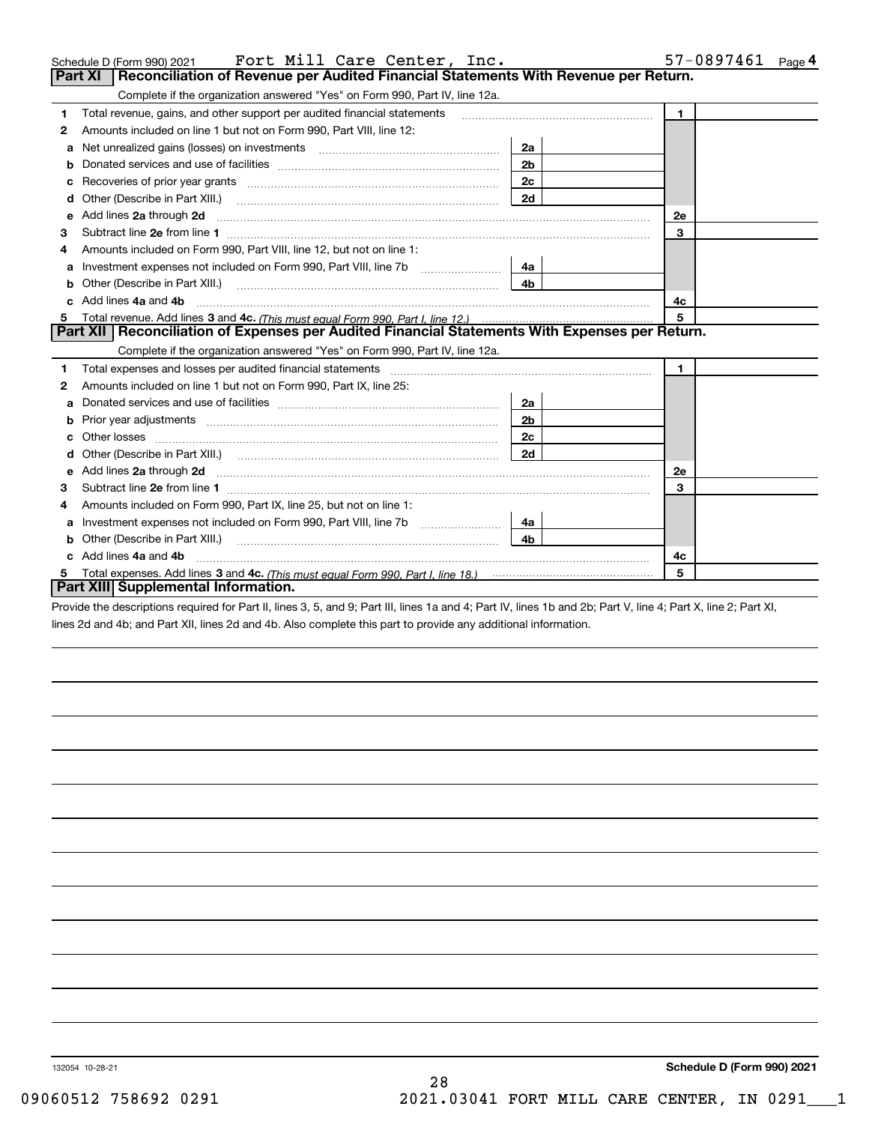|    | Fort Mill Care Center, Inc.<br>Schedule D (Form 990) 2021                                                                                                                                                                          | 57-0897461<br>Page <sup>4</sup> |              |
|----|------------------------------------------------------------------------------------------------------------------------------------------------------------------------------------------------------------------------------------|---------------------------------|--------------|
|    | Reconciliation of Revenue per Audited Financial Statements With Revenue per Return.<br>Part XI                                                                                                                                     |                                 |              |
|    | Complete if the organization answered "Yes" on Form 990, Part IV, line 12a.                                                                                                                                                        |                                 |              |
| 1  | Total revenue, gains, and other support per audited financial statements                                                                                                                                                           | $\mathbf{1}$                    |              |
| 2  | Amounts included on line 1 but not on Form 990, Part VIII, line 12:                                                                                                                                                                |                                 |              |
| a  | Net unrealized gains (losses) on investments [11] matter contracts and the unrealized gains (losses) on investments                                                                                                                | 2a                              |              |
|    |                                                                                                                                                                                                                                    | 2 <sub>b</sub>                  |              |
|    |                                                                                                                                                                                                                                    | 2c                              |              |
| d  |                                                                                                                                                                                                                                    | 2d                              |              |
| е  | Add lines 2a through 2d <b>must be a constructed as the constant of the constant of the constant of the construction</b>                                                                                                           |                                 | 2e           |
| з  |                                                                                                                                                                                                                                    |                                 | 3            |
| 4  | Amounts included on Form 990, Part VIII, line 12, but not on line 1:                                                                                                                                                               |                                 |              |
|    |                                                                                                                                                                                                                                    | 4a l                            |              |
| b  |                                                                                                                                                                                                                                    | 4 <sub>b</sub>                  |              |
|    | Add lines 4a and 4b                                                                                                                                                                                                                |                                 | 4с           |
| 5. |                                                                                                                                                                                                                                    |                                 | 5            |
|    | Part XII   Reconciliation of Expenses per Audited Financial Statements With Expenses per Return.                                                                                                                                   |                                 |              |
|    | Complete if the organization answered "Yes" on Form 990, Part IV, line 12a.                                                                                                                                                        |                                 |              |
| 1  |                                                                                                                                                                                                                                    |                                 | $\mathbf{1}$ |
| 2  | Amounts included on line 1 but not on Form 990, Part IX, line 25:                                                                                                                                                                  |                                 |              |
| a  |                                                                                                                                                                                                                                    | 2a l                            |              |
|    |                                                                                                                                                                                                                                    | 2 <sub>b</sub>                  |              |
|    |                                                                                                                                                                                                                                    | 2c                              |              |
|    |                                                                                                                                                                                                                                    | 2d                              |              |
| е  | Add lines 2a through 2d <b>contract and all anomalisation</b> and all anomalisation of the state of the state of the state of the state of the state of the state of the state of the state of the state of the state of the state |                                 | 2e           |
| з  |                                                                                                                                                                                                                                    |                                 | 3            |
| 4  | Amounts included on Form 990, Part IX, line 25, but not on line 1:                                                                                                                                                                 |                                 |              |
| а  | Investment expenses not included on Form 990, Part VIII, line 7b [1001111111111111111111111111111111                                                                                                                               | 4a l                            |              |
|    |                                                                                                                                                                                                                                    | 4b.                             |              |
|    | Add lines 4a and 4b                                                                                                                                                                                                                |                                 | 4c           |
| 5  |                                                                                                                                                                                                                                    |                                 | 5            |
|    | Part XIII Supplemental Information.                                                                                                                                                                                                |                                 |              |

Provide the descriptions required for Part II, lines 3, 5, and 9; Part III, lines 1a and 4; Part IV, lines 1b and 2b; Part V, line 4; Part X, line 2; Part XI, lines 2d and 4b; and Part XII, lines 2d and 4b. Also complete this part to provide any additional information.

132054 10-28-21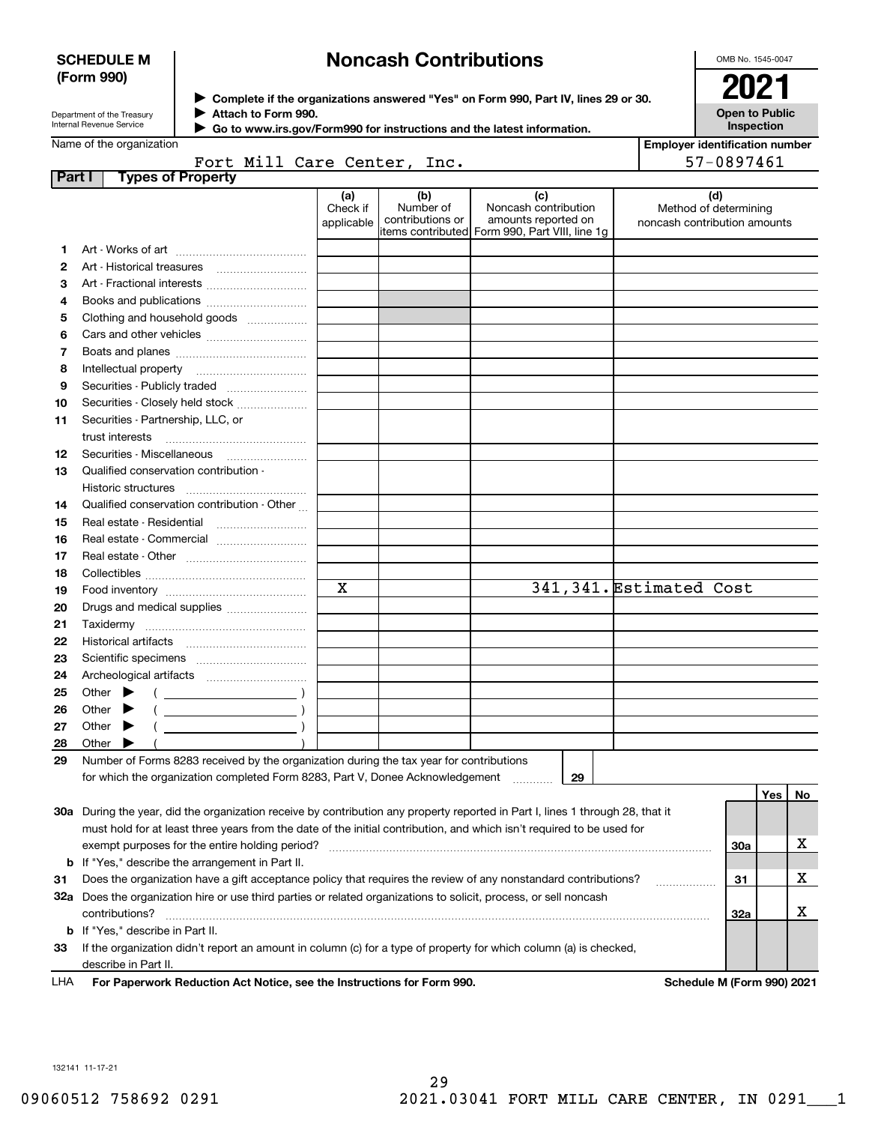### **SCHEDULE M (Form 990)**

# **Noncash Contributions**

OMB No. 1545-0047

| Department of the Treasury |
|----------------------------|
| Internal Revenue Service   |

**Complete if the organizations answered "Yes" on Form 990, Part IV, lines 29 or 30.** <sup>J</sup>**2021 Attach to Form 990.** J

**Open to Public Inspection**

| Name of the organization |  |
|--------------------------|--|

|  | Go to www.irs.gov/Form990 for instructions and the latest information. |
|--|------------------------------------------------------------------------|
|  |                                                                        |

|  |                             | <b>Employer identification number</b> |  |
|--|-----------------------------|---------------------------------------|--|
|  | Fort Mill Care Center, Inc. | 57-0897461                            |  |

| Part I | <b>Types of Property</b>                                                                                                       |                               |                                      |                                                                                                      |                                                              |     |    |
|--------|--------------------------------------------------------------------------------------------------------------------------------|-------------------------------|--------------------------------------|------------------------------------------------------------------------------------------------------|--------------------------------------------------------------|-----|----|
|        |                                                                                                                                | (a)<br>Check if<br>applicable | (b)<br>Number of<br>contributions or | (c)<br>Noncash contribution<br>amounts reported on<br>items contributed Form 990, Part VIII, line 1g | (d)<br>Method of determining<br>noncash contribution amounts |     |    |
| 1      |                                                                                                                                |                               |                                      |                                                                                                      |                                                              |     |    |
| 2      |                                                                                                                                |                               |                                      |                                                                                                      |                                                              |     |    |
| з      |                                                                                                                                |                               |                                      |                                                                                                      |                                                              |     |    |
| 4      |                                                                                                                                |                               |                                      |                                                                                                      |                                                              |     |    |
| 5      | Books and publications                                                                                                         |                               |                                      |                                                                                                      |                                                              |     |    |
|        | Clothing and household goods                                                                                                   |                               |                                      |                                                                                                      |                                                              |     |    |
| 6      |                                                                                                                                |                               |                                      |                                                                                                      |                                                              |     |    |
| 7      | Intellectual property                                                                                                          |                               |                                      |                                                                                                      |                                                              |     |    |
| 8      |                                                                                                                                |                               |                                      |                                                                                                      |                                                              |     |    |
| 9      | Securities - Publicly traded                                                                                                   |                               |                                      |                                                                                                      |                                                              |     |    |
| 10     | Securities - Closely held stock                                                                                                |                               |                                      |                                                                                                      |                                                              |     |    |
| 11     | Securities - Partnership, LLC, or                                                                                              |                               |                                      |                                                                                                      |                                                              |     |    |
|        | trust interests                                                                                                                |                               |                                      |                                                                                                      |                                                              |     |    |
| 12     |                                                                                                                                |                               |                                      |                                                                                                      |                                                              |     |    |
| 13     | Qualified conservation contribution -                                                                                          |                               |                                      |                                                                                                      |                                                              |     |    |
|        | Historic structures                                                                                                            |                               |                                      |                                                                                                      |                                                              |     |    |
| 14     | Qualified conservation contribution - Other                                                                                    |                               |                                      |                                                                                                      |                                                              |     |    |
| 15     | Real estate - Residential                                                                                                      |                               |                                      |                                                                                                      |                                                              |     |    |
| 16     | Real estate - Commercial                                                                                                       |                               |                                      |                                                                                                      |                                                              |     |    |
| 17     |                                                                                                                                |                               |                                      |                                                                                                      |                                                              |     |    |
| 18     |                                                                                                                                | X                             |                                      |                                                                                                      | 341,341. Estimated Cost                                      |     |    |
| 19     |                                                                                                                                |                               |                                      |                                                                                                      |                                                              |     |    |
| 20     |                                                                                                                                |                               |                                      |                                                                                                      |                                                              |     |    |
| 21     |                                                                                                                                |                               |                                      |                                                                                                      |                                                              |     |    |
| 22     |                                                                                                                                |                               |                                      |                                                                                                      |                                                              |     |    |
| 23     |                                                                                                                                |                               |                                      |                                                                                                      |                                                              |     |    |
| 24     |                                                                                                                                |                               |                                      |                                                                                                      |                                                              |     |    |
| 25     | Other<br>▸                                                                                                                     |                               |                                      |                                                                                                      |                                                              |     |    |
| 26     | Other                                                                                                                          |                               |                                      |                                                                                                      |                                                              |     |    |
| 27     | Other                                                                                                                          |                               |                                      |                                                                                                      |                                                              |     |    |
| 28     | Other                                                                                                                          |                               |                                      |                                                                                                      |                                                              |     |    |
| 29     | Number of Forms 8283 received by the organization during the tax year for contributions                                        |                               |                                      |                                                                                                      |                                                              |     |    |
|        | for which the organization completed Form 8283, Part V, Donee Acknowledgement                                                  |                               |                                      | 29                                                                                                   |                                                              |     |    |
|        |                                                                                                                                |                               |                                      |                                                                                                      |                                                              | Yes | No |
|        | 30a During the year, did the organization receive by contribution any property reported in Part I, lines 1 through 28, that it |                               |                                      |                                                                                                      |                                                              |     |    |
|        | must hold for at least three years from the date of the initial contribution, and which isn't required to be used for          |                               |                                      |                                                                                                      |                                                              |     |    |
|        | exempt purposes for the entire holding period?                                                                                 |                               |                                      |                                                                                                      |                                                              | 30a | х  |
|        | <b>b</b> If "Yes," describe the arrangement in Part II.                                                                        |                               |                                      |                                                                                                      |                                                              |     |    |
| 31     | Does the organization have a gift acceptance policy that requires the review of any nonstandard contributions?                 |                               |                                      |                                                                                                      |                                                              | 31  | х  |
|        | 32a Does the organization hire or use third parties or related organizations to solicit, process, or sell noncash              |                               |                                      |                                                                                                      |                                                              |     |    |
|        | contributions?                                                                                                                 |                               |                                      |                                                                                                      |                                                              | 32a | х  |
|        | <b>b</b> If "Yes," describe in Part II.                                                                                        |                               |                                      |                                                                                                      |                                                              |     |    |
| 33     | If the organization didn't report an amount in column (c) for a type of property for which column (a) is checked,              |                               |                                      |                                                                                                      |                                                              |     |    |
|        | describe in Part II.                                                                                                           |                               |                                      |                                                                                                      |                                                              |     |    |

For Paperwork Reduction Act Notice, see the Instructions for Form 990. Schedule M (Form 990) 2021 LHA

132141 11-17-21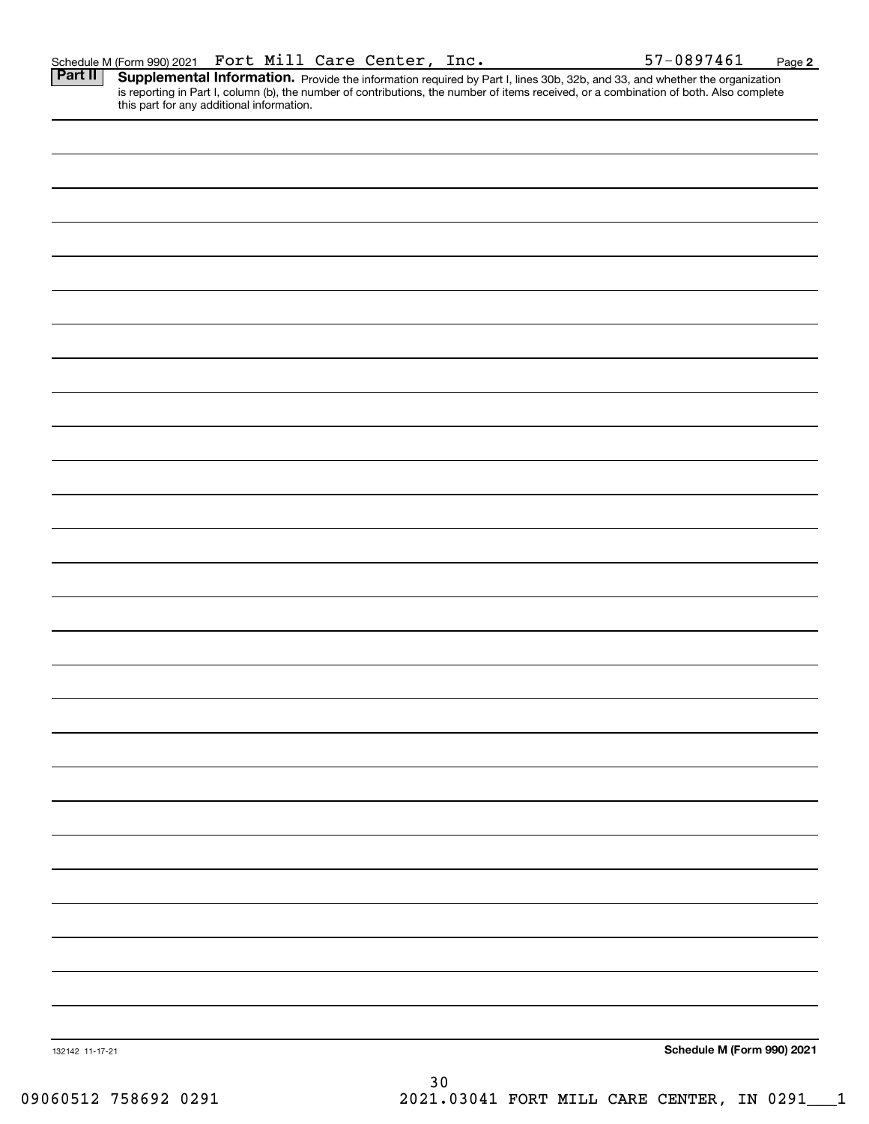**2**

Part II | Supplemental Information. Provide the information required by Part I, lines 30b, 32b, and 33, and whether the organization is reporting in Part I, column (b), the number of contributions, the number of items received, or a combination of both. Also complete this part for any additional information.

| 132142 11-17-21 |    | Schedule M (Form 990) 2021 |
|-----------------|----|----------------------------|
|                 | 30 |                            |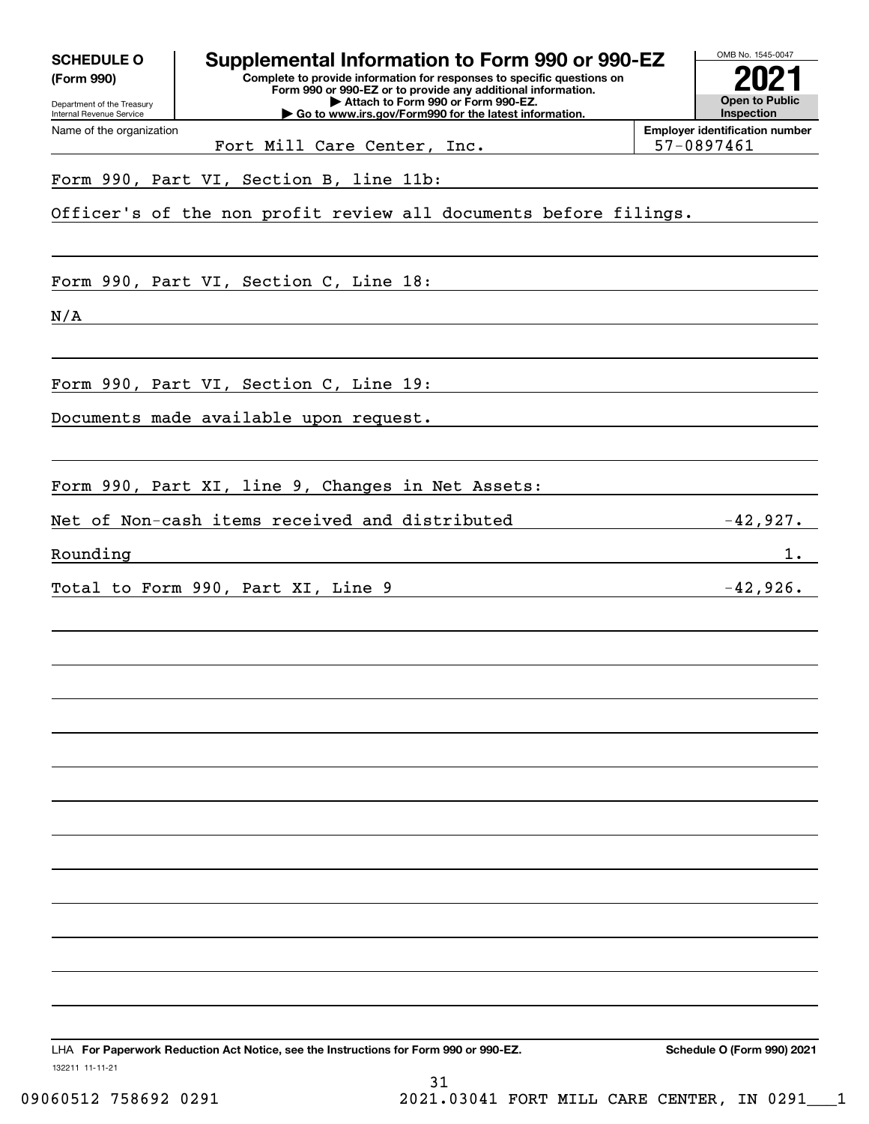| <b>SCHEDULE O</b><br>(Form 990)<br>Department of the Treasury<br>Internal Revenue Service | Supplemental Information to Form 990 or 990-EZ<br>Complete to provide information for responses to specific questions on<br>Form 990 or 990-EZ or to provide any additional information.<br>Attach to Form 990 or Form 990-EZ.<br>Go to www.irs.gov/Form990 for the latest information. | OMB No. 1545-0047<br><b>Open to Public</b><br>Inspection |
|-------------------------------------------------------------------------------------------|-----------------------------------------------------------------------------------------------------------------------------------------------------------------------------------------------------------------------------------------------------------------------------------------|----------------------------------------------------------|
| Name of the organization                                                                  |                                                                                                                                                                                                                                                                                         | <b>Employer identification number</b>                    |
|                                                                                           | Fort Mill Care Center, Inc.                                                                                                                                                                                                                                                             | 57-0897461                                               |
|                                                                                           | Form 990, Part VI, Section B, line 11b:                                                                                                                                                                                                                                                 |                                                          |
|                                                                                           | Officer's of the non profit review all documents before filings.                                                                                                                                                                                                                        |                                                          |
|                                                                                           | Form 990, Part VI, Section C, Line 18:                                                                                                                                                                                                                                                  |                                                          |
| N/A                                                                                       |                                                                                                                                                                                                                                                                                         |                                                          |
|                                                                                           | Form 990, Part VI, Section C, Line 19:                                                                                                                                                                                                                                                  |                                                          |
|                                                                                           | Documents made available upon request.                                                                                                                                                                                                                                                  |                                                          |
|                                                                                           | Form 990, Part XI, line 9, Changes in Net Assets:                                                                                                                                                                                                                                       |                                                          |
|                                                                                           | Net of Non-cash items received and distributed                                                                                                                                                                                                                                          | $-42,927.$                                               |
| Rounding                                                                                  |                                                                                                                                                                                                                                                                                         | $1$ .                                                    |
|                                                                                           | Total to Form 990, Part XI, Line 9                                                                                                                                                                                                                                                      | $-42,926.$                                               |
|                                                                                           |                                                                                                                                                                                                                                                                                         |                                                          |
|                                                                                           |                                                                                                                                                                                                                                                                                         |                                                          |
|                                                                                           |                                                                                                                                                                                                                                                                                         |                                                          |
|                                                                                           |                                                                                                                                                                                                                                                                                         |                                                          |
|                                                                                           |                                                                                                                                                                                                                                                                                         |                                                          |
|                                                                                           |                                                                                                                                                                                                                                                                                         |                                                          |
| 132211 11-11-21                                                                           | LHA For Paperwork Reduction Act Notice, see the Instructions for Form 990 or 990-EZ.                                                                                                                                                                                                    | Schedule O (Form 990) 2021                               |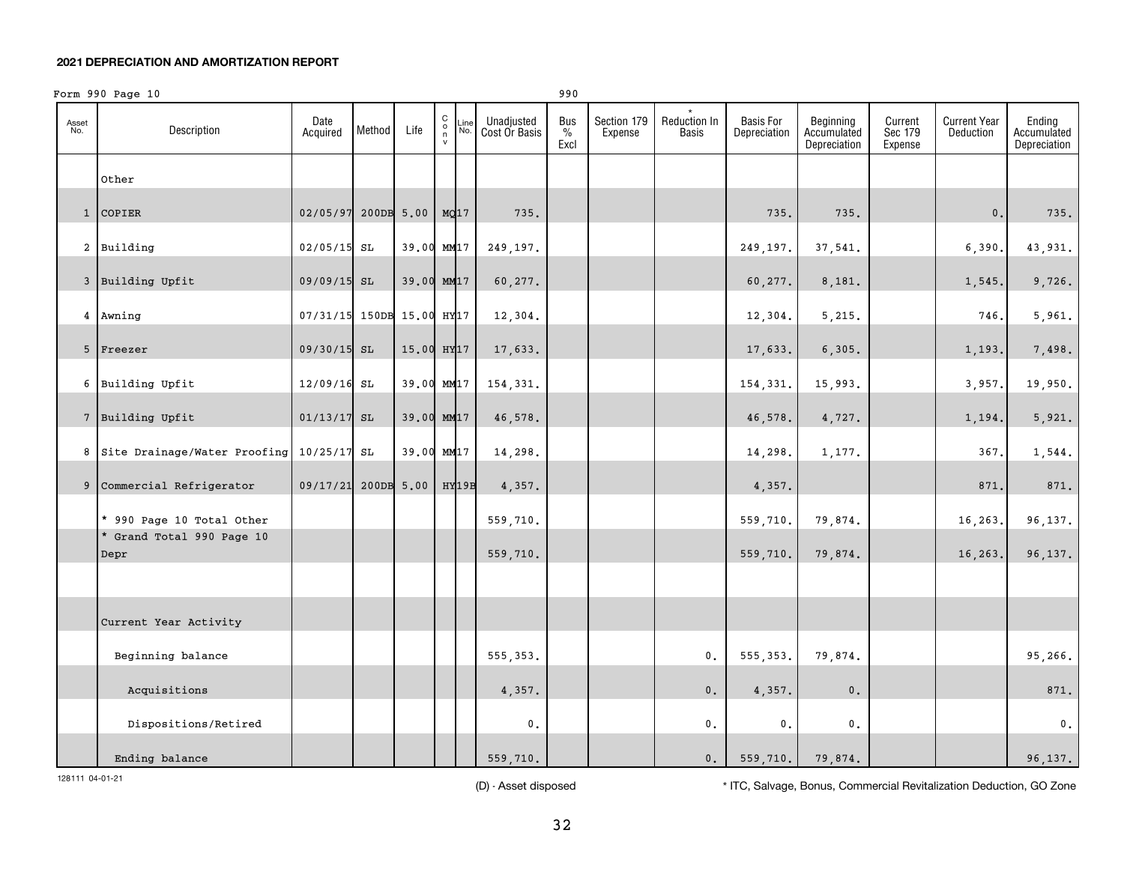#### **2021 DEPRECIATION AND AMORTIZATION REPORT**

|              | Form 990 Page 10                           |                           |        |              |                                                                  |                             | 990                          |                        |                              |                                  |                                          |                               |                                         |                                       |
|--------------|--------------------------------------------|---------------------------|--------|--------------|------------------------------------------------------------------|-----------------------------|------------------------------|------------------------|------------------------------|----------------------------------|------------------------------------------|-------------------------------|-----------------------------------------|---------------------------------------|
| Asset<br>No. | Description                                | Date<br>Acquired          | Method | Life         | $\begin{smallmatrix} 0\\0\\1\\1\end{smallmatrix}$<br>Line<br>No. | Unadjusted<br>Cost Or Basis | Bus<br>$\frac{9}{6}$<br>Excl | Section 179<br>Expense | <b>Reduction In</b><br>Basis | <b>Basis For</b><br>Depreciation | Beginning<br>Accumulated<br>Depreciation | Current<br>Sec 179<br>Expense | <b>Current Year</b><br><b>Deduction</b> | Ending<br>Accumulated<br>Depreciation |
|              | Other                                      |                           |        |              |                                                                  |                             |                              |                        |                              |                                  |                                          |                               |                                         |                                       |
|              | 1 COPIER                                   | 02/05/97                  |        | $200DB$ 5.00 | MQ17                                                             | 735.                        |                              |                        |                              | 735.                             | 735.                                     |                               | $\mathbf{0}$ .                          | 735.                                  |
|              | 2 Building                                 | 02/05/15 SL               |        |              | 39.00 MM17                                                       | 249,197.                    |                              |                        |                              | 249,197.                         | 37,541.                                  |                               | 6,390                                   | 43,931.                               |
|              | 3 Building Upfit                           | 09/09/15 SL               |        |              | 39.00 MM17                                                       | 60,277.                     |                              |                        |                              | 60,277.                          | 8,181.                                   |                               | 1,545                                   | 9,726.                                |
|              | 4 Awning                                   | 07/31/15 150DB 15.00 HY17 |        |              |                                                                  | 12,304.                     |                              |                        |                              | 12,304.                          | 5,215.                                   |                               | 746.                                    | 5,961.                                |
|              | 5 Freezer                                  | 09/30/15 SL               |        |              | 15.00 HY <sub>17</sub>                                           | 17,633.                     |                              |                        |                              | 17,633.                          | 6, 305.                                  |                               | 1,193.                                  | 7,498.                                |
|              | 6 Building Upfit                           | 12/09/16 SL               |        |              | 39.00 MM17                                                       | 154,331.                    |                              |                        |                              | 154,331.                         | 15,993.                                  |                               | 3,957.                                  | 19,950.                               |
|              | 7 Building Upfit                           | $01/13/17$ SL             |        |              | 39.00 MM17                                                       | 46,578.                     |                              |                        |                              | 46,578.                          | 4,727.                                   |                               | 1,194.                                  | 5,921.                                |
|              | 8 Site Drainage/Water Proofing 10/25/17 SL |                           |        |              | 39.00 MM17                                                       | 14,298.                     |                              |                        |                              | 14,298.                          | 1,177.                                   |                               | 367.                                    | 1,544.                                |
|              | 9 Commercial Refrigerator                  | 09/17/21 200DB 5.00       |        |              | <b>HY19B</b>                                                     | 4,357.                      |                              |                        |                              | 4,357.                           |                                          |                               | 871                                     | 871.                                  |
|              | * 990 Page 10 Total Other                  |                           |        |              |                                                                  | 559,710.                    |                              |                        |                              | 559,710.                         | 79,874.                                  |                               | 16,263                                  | 96,137.                               |
|              | * Grand Total 990 Page 10<br>Depr          |                           |        |              |                                                                  | 559,710.                    |                              |                        |                              | 559,710.                         | 79,874.                                  |                               | 16,263.                                 | 96,137.                               |
|              |                                            |                           |        |              |                                                                  |                             |                              |                        |                              |                                  |                                          |                               |                                         |                                       |
|              | Current Year Activity                      |                           |        |              |                                                                  |                             |                              |                        |                              |                                  |                                          |                               |                                         |                                       |
|              | Beginning balance                          |                           |        |              |                                                                  | 555, 353.                   |                              |                        | $\mathbf{0}$ .               | 555, 353.                        | 79,874.                                  |                               |                                         | 95,266.                               |
|              | Acquisitions                               |                           |        |              |                                                                  | 4,357.                      |                              |                        | $\mathfrak o$ .              | 4,357.                           | $\mathbf 0$ .                            |                               |                                         | 871.                                  |
|              | Dispositions/Retired                       |                           |        |              |                                                                  | $\mathsf{0}\,$ .            |                              |                        | $\mathbf{0}$ .               | $\mathbf{0}$ .                   | 0.                                       |                               |                                         | $\mathfrak o$ .                       |
|              | Ending balance                             |                           |        |              |                                                                  | 559,710.                    |                              |                        | $\mathbf 0$ .                | 559,710.                         | 79,874.                                  |                               |                                         | 96, 137.                              |

(D) - Asset disposed \* ITC, Salvage, Bonus, Commercial Revitalization Deduction, GO Zone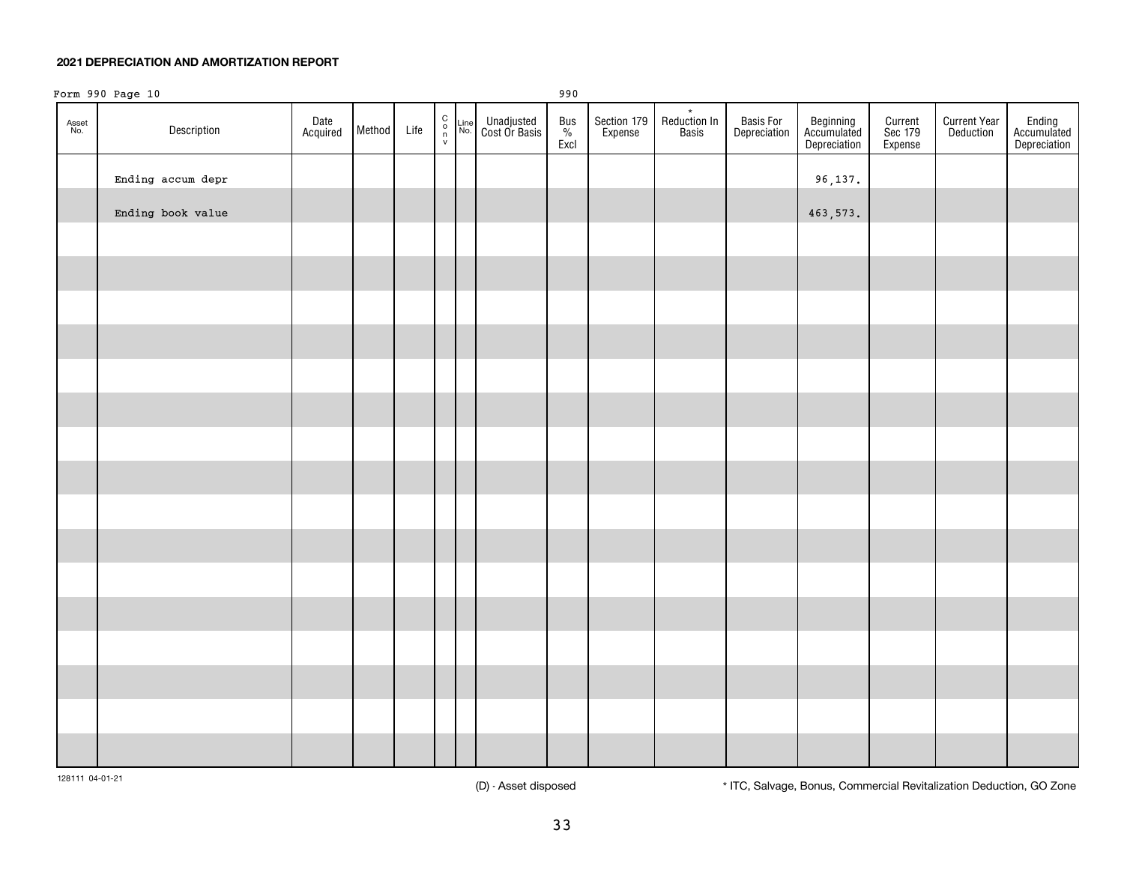#### **2021 DEPRECIATION AND AMORTIZATION REPORT**

| Form 990 Page 10<br>990 |                   |                  |        |      |  |  |                                                                                                                                |                  |                        |                                  |                           |                                          |                               |                                  |                                       |
|-------------------------|-------------------|------------------|--------|------|--|--|--------------------------------------------------------------------------------------------------------------------------------|------------------|------------------------|----------------------------------|---------------------------|------------------------------------------|-------------------------------|----------------------------------|---------------------------------------|
| Asset<br>No.            | Description       | Date<br>Acquired | Method | Life |  |  | $\begin{array}{cc} C \\ O \\ N \end{array}$ and $\begin{array}{cc} \text{Line} \\ \text{N} \text{O} \end{array}$ Cost Or Basis | Bus<br>%<br>Excl | Section 179<br>Expense | $\star$<br>Reduction In<br>Basis | Basis For<br>Depreciation | Beginning<br>Accumulated<br>Depreciation | Current<br>Sec 179<br>Expense | <b>Current Year</b><br>Deduction | Ending<br>Accumulated<br>Depreciation |
|                         | Ending accum depr |                  |        |      |  |  |                                                                                                                                |                  |                        |                                  |                           | 96,137.                                  |                               |                                  |                                       |
|                         | Ending book value |                  |        |      |  |  |                                                                                                                                |                  |                        |                                  |                           | 463, 573.                                |                               |                                  |                                       |
|                         |                   |                  |        |      |  |  |                                                                                                                                |                  |                        |                                  |                           |                                          |                               |                                  |                                       |
|                         |                   |                  |        |      |  |  |                                                                                                                                |                  |                        |                                  |                           |                                          |                               |                                  |                                       |
|                         |                   |                  |        |      |  |  |                                                                                                                                |                  |                        |                                  |                           |                                          |                               |                                  |                                       |
|                         |                   |                  |        |      |  |  |                                                                                                                                |                  |                        |                                  |                           |                                          |                               |                                  |                                       |
|                         |                   |                  |        |      |  |  |                                                                                                                                |                  |                        |                                  |                           |                                          |                               |                                  |                                       |
|                         |                   |                  |        |      |  |  |                                                                                                                                |                  |                        |                                  |                           |                                          |                               |                                  |                                       |
|                         |                   |                  |        |      |  |  |                                                                                                                                |                  |                        |                                  |                           |                                          |                               |                                  |                                       |
|                         |                   |                  |        |      |  |  |                                                                                                                                |                  |                        |                                  |                           |                                          |                               |                                  |                                       |
|                         |                   |                  |        |      |  |  |                                                                                                                                |                  |                        |                                  |                           |                                          |                               |                                  |                                       |
|                         |                   |                  |        |      |  |  |                                                                                                                                |                  |                        |                                  |                           |                                          |                               |                                  |                                       |
|                         |                   |                  |        |      |  |  |                                                                                                                                |                  |                        |                                  |                           |                                          |                               |                                  |                                       |
|                         |                   |                  |        |      |  |  |                                                                                                                                |                  |                        |                                  |                           |                                          |                               |                                  |                                       |
|                         |                   |                  |        |      |  |  |                                                                                                                                |                  |                        |                                  |                           |                                          |                               |                                  |                                       |
|                         |                   |                  |        |      |  |  |                                                                                                                                |                  |                        |                                  |                           |                                          |                               |                                  |                                       |
|                         |                   |                  |        |      |  |  |                                                                                                                                |                  |                        |                                  |                           |                                          |                               |                                  |                                       |
|                         |                   |                  |        |      |  |  |                                                                                                                                |                  |                        |                                  |                           |                                          |                               |                                  |                                       |
|                         |                   |                  |        |      |  |  |                                                                                                                                |                  |                        |                                  |                           |                                          |                               |                                  |                                       |

128111 04-01-21

(D) - Asset disposed \* ITC, Salvage, Bonus, Commercial Revitalization Deduction, GO Zone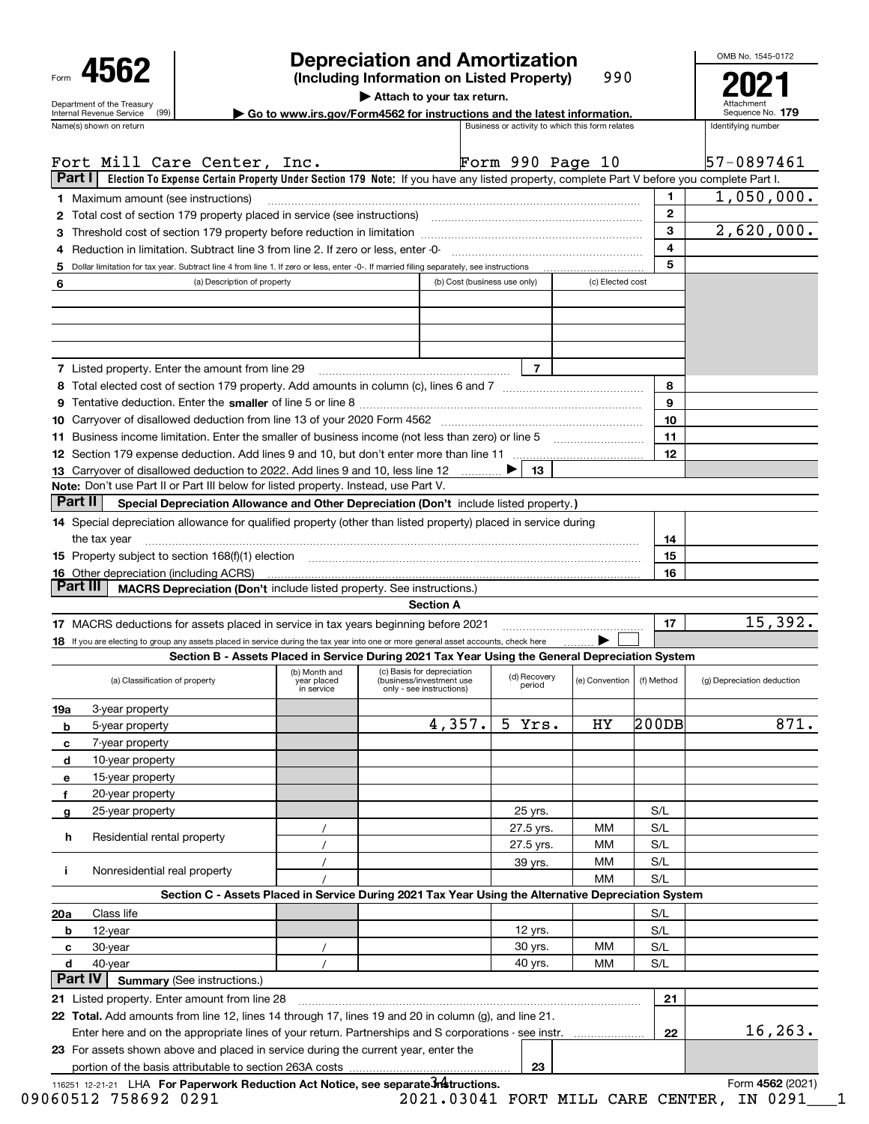|                                  | <b>Depreciation and Amortization</b>                                    | OMB No. 1545-0                                  |                    |  |  |  |  |
|----------------------------------|-------------------------------------------------------------------------|-------------------------------------------------|--------------------|--|--|--|--|
| Form 4562                        | (Including Information on Listed Property)                              | 990                                             | $202 \cdot$        |  |  |  |  |
| Department of the Treasury       | Attach to your tax return.                                              |                                                 | Attachment         |  |  |  |  |
| (99)<br>Internal Revenue Service | Go to www.irs.gov/Form4562 for instructions and the latest information. |                                                 |                    |  |  |  |  |
| Name(s) shown on return          |                                                                         | Business or activity to which this form relates | Identifying number |  |  |  |  |

## **Depreciation and Amortization**

OMB No. 1545-0172

**2021**

|     | Fort Mill Care Center, Inc.                                                                                                                                                                     |                                                                                                                                                                                                                              |                                                                                                     | Form 990 Page 10       |                |            | 57-0897461                 |  |  |  |  |  |
|-----|-------------------------------------------------------------------------------------------------------------------------------------------------------------------------------------------------|------------------------------------------------------------------------------------------------------------------------------------------------------------------------------------------------------------------------------|-----------------------------------------------------------------------------------------------------|------------------------|----------------|------------|----------------------------|--|--|--|--|--|
|     | Part I<br>Election To Expense Certain Property Under Section 179 Note: If you have any listed property, complete Part V before you complete Part I.                                             |                                                                                                                                                                                                                              |                                                                                                     |                        |                |            |                            |  |  |  |  |  |
|     | <b>1</b> Maximum amount (see instructions)                                                                                                                                                      |                                                                                                                                                                                                                              |                                                                                                     |                        |                | 1          | 1,050,000.                 |  |  |  |  |  |
|     | 2 Total cost of section 179 property placed in service (see instructions) manufactured cost of section 179 property placed in service (see instructions)                                        | $\mathbf{2}$                                                                                                                                                                                                                 |                                                                                                     |                        |                |            |                            |  |  |  |  |  |
|     |                                                                                                                                                                                                 | 3                                                                                                                                                                                                                            | 2,620,000.                                                                                          |                        |                |            |                            |  |  |  |  |  |
|     | 4 Reduction in limitation. Subtract line 3 from line 2. If zero or less, enter -0-                                                                                                              |                                                                                                                                                                                                                              |                                                                                                     |                        |                | 4<br>5     |                            |  |  |  |  |  |
|     |                                                                                                                                                                                                 | 5 Dollar limitation for tax year. Subtract line 4 from line 1. If zero or less, enter -0-. If married filing separately, see instructions<br>(c) Elected cost<br>(a) Description of property<br>(b) Cost (business use only) |                                                                                                     |                        |                |            |                            |  |  |  |  |  |
| 6   |                                                                                                                                                                                                 |                                                                                                                                                                                                                              |                                                                                                     |                        |                |            |                            |  |  |  |  |  |
|     |                                                                                                                                                                                                 |                                                                                                                                                                                                                              |                                                                                                     |                        |                |            |                            |  |  |  |  |  |
|     |                                                                                                                                                                                                 |                                                                                                                                                                                                                              |                                                                                                     |                        |                |            |                            |  |  |  |  |  |
|     |                                                                                                                                                                                                 |                                                                                                                                                                                                                              |                                                                                                     |                        |                |            |                            |  |  |  |  |  |
|     | <b>7</b> Listed property. Enter the amount from line 29                                                                                                                                         |                                                                                                                                                                                                                              |                                                                                                     | $\overline{7}$         |                |            |                            |  |  |  |  |  |
|     |                                                                                                                                                                                                 |                                                                                                                                                                                                                              |                                                                                                     |                        |                | 8          |                            |  |  |  |  |  |
|     |                                                                                                                                                                                                 |                                                                                                                                                                                                                              |                                                                                                     |                        |                | 9          |                            |  |  |  |  |  |
|     |                                                                                                                                                                                                 |                                                                                                                                                                                                                              |                                                                                                     |                        |                | 10         |                            |  |  |  |  |  |
|     | 11 Business income limitation. Enter the smaller of business income (not less than zero) or line 5                                                                                              |                                                                                                                                                                                                                              |                                                                                                     |                        |                | 11         |                            |  |  |  |  |  |
|     |                                                                                                                                                                                                 |                                                                                                                                                                                                                              |                                                                                                     |                        |                | 12         |                            |  |  |  |  |  |
|     | 13 Carryover of disallowed deduction to 2022. Add lines 9 and 10, less line 12                                                                                                                  |                                                                                                                                                                                                                              |                                                                                                     | 13                     |                |            |                            |  |  |  |  |  |
|     | <b>Note:</b> Don't use Part II or Part III below for listed property. Instead, use Part V.<br>Part II<br>Special Depreciation Allowance and Other Depreciation (Don't include listed property.) |                                                                                                                                                                                                                              |                                                                                                     |                        |                |            |                            |  |  |  |  |  |
|     | 14 Special depreciation allowance for qualified property (other than listed property) placed in service during                                                                                  |                                                                                                                                                                                                                              |                                                                                                     |                        |                |            |                            |  |  |  |  |  |
|     | the tax year                                                                                                                                                                                    |                                                                                                                                                                                                                              |                                                                                                     |                        |                | 14         |                            |  |  |  |  |  |
|     | 15 Property subject to section 168(f)(1) election matches contained and contained and contained and contained                                                                                   |                                                                                                                                                                                                                              |                                                                                                     |                        |                | 15         |                            |  |  |  |  |  |
|     | 16 Other depreciation (including ACRS)                                                                                                                                                          |                                                                                                                                                                                                                              |                                                                                                     |                        |                | 16         |                            |  |  |  |  |  |
|     | Part III<br><b>MACRS Depreciation (Don't include listed property. See instructions.)</b>                                                                                                        |                                                                                                                                                                                                                              |                                                                                                     |                        |                |            |                            |  |  |  |  |  |
|     |                                                                                                                                                                                                 |                                                                                                                                                                                                                              | <b>Section A</b>                                                                                    |                        |                |            |                            |  |  |  |  |  |
|     | 17 MACRS deductions for assets placed in service in tax years beginning before 2021                                                                                                             |                                                                                                                                                                                                                              |                                                                                                     |                        |                | 17         | 15,392.                    |  |  |  |  |  |
|     | 18 If you are electing to group any assets placed in service during the tax year into one or more general asset accounts, check here                                                            |                                                                                                                                                                                                                              |                                                                                                     |                        |                |            |                            |  |  |  |  |  |
|     | Section B - Assets Placed in Service During 2021 Tax Year Using the General Depreciation System                                                                                                 |                                                                                                                                                                                                                              |                                                                                                     |                        |                |            |                            |  |  |  |  |  |
|     |                                                                                                                                                                                                 |                                                                                                                                                                                                                              |                                                                                                     |                        |                |            |                            |  |  |  |  |  |
|     | (a) Classification of property                                                                                                                                                                  | (b) Month and<br>year placed<br>in service                                                                                                                                                                                   | (c) Basis for depreciation<br>(business/investment use)<br>only - see instructions)                 | (d) Recovery<br>period | (e) Convention | (f) Method | (g) Depreciation deduction |  |  |  |  |  |
| 19a | 3-year property                                                                                                                                                                                 |                                                                                                                                                                                                                              |                                                                                                     |                        |                |            |                            |  |  |  |  |  |
| b   | 5-year property                                                                                                                                                                                 |                                                                                                                                                                                                                              | 4,357.                                                                                              | 5 Yrs.                 | НY             | 200DB      | 871.                       |  |  |  |  |  |
| с   | 7-year property                                                                                                                                                                                 |                                                                                                                                                                                                                              |                                                                                                     |                        |                |            |                            |  |  |  |  |  |
| d   | 10-year property                                                                                                                                                                                |                                                                                                                                                                                                                              |                                                                                                     |                        |                |            |                            |  |  |  |  |  |
| е   | 15-year property                                                                                                                                                                                |                                                                                                                                                                                                                              |                                                                                                     |                        |                |            |                            |  |  |  |  |  |
| f   | 20-year property                                                                                                                                                                                |                                                                                                                                                                                                                              |                                                                                                     |                        |                |            |                            |  |  |  |  |  |
| g   | 25-year property                                                                                                                                                                                |                                                                                                                                                                                                                              |                                                                                                     | 25 yrs.                |                | S/L        |                            |  |  |  |  |  |
|     | Residential rental property<br>h                                                                                                                                                                |                                                                                                                                                                                                                              |                                                                                                     | 27.5 yrs.              | MМ<br>МM       | S/L<br>S/L |                            |  |  |  |  |  |
|     |                                                                                                                                                                                                 |                                                                                                                                                                                                                              |                                                                                                     | 27.5 yrs.              | МM             | S/L        |                            |  |  |  |  |  |
| j.  | Nonresidential real property                                                                                                                                                                    |                                                                                                                                                                                                                              |                                                                                                     | 39 yrs.                | MM             | S/L        |                            |  |  |  |  |  |
|     |                                                                                                                                                                                                 |                                                                                                                                                                                                                              | Section C - Assets Placed in Service During 2021 Tax Year Using the Alternative Depreciation System |                        |                |            |                            |  |  |  |  |  |
| 20a | Class life                                                                                                                                                                                      |                                                                                                                                                                                                                              |                                                                                                     |                        |                | S/L        |                            |  |  |  |  |  |
|     | 12-year<br>b                                                                                                                                                                                    |                                                                                                                                                                                                                              |                                                                                                     | 12 yrs.                |                | S/L        |                            |  |  |  |  |  |
|     | 30-year<br>с                                                                                                                                                                                    |                                                                                                                                                                                                                              |                                                                                                     | 30 yrs.                | MМ             | S/L        |                            |  |  |  |  |  |
|     | d<br>40-year                                                                                                                                                                                    | $\prime$                                                                                                                                                                                                                     |                                                                                                     | 40 yrs.                | МM             | S/L        |                            |  |  |  |  |  |
|     | Part IV<br><b>Summary (See instructions.)</b>                                                                                                                                                   |                                                                                                                                                                                                                              |                                                                                                     |                        |                |            |                            |  |  |  |  |  |
|     | 21 Listed property. Enter amount from line 28                                                                                                                                                   |                                                                                                                                                                                                                              |                                                                                                     |                        |                | 21         |                            |  |  |  |  |  |
|     | 22 Total. Add amounts from line 12, lines 14 through 17, lines 19 and 20 in column (g), and line 21.                                                                                            |                                                                                                                                                                                                                              |                                                                                                     |                        |                |            |                            |  |  |  |  |  |
|     | Enter here and on the appropriate lines of your return. Partnerships and S corporations - see instr.                                                                                            |                                                                                                                                                                                                                              |                                                                                                     |                        |                | 22         | 16, 263.                   |  |  |  |  |  |
|     | 23 For assets shown above and placed in service during the current year, enter the                                                                                                              |                                                                                                                                                                                                                              |                                                                                                     | 23                     |                |            |                            |  |  |  |  |  |

116251 12-21-21 LHA **For Paperwork Reduction Act Notice, see separate** *i***nstructions. And the comment of the South Act Notice, see separate instructions.** The mode of the South of the South of the South of the South of t 09060512 758692 0291 2021.03041 FORT MILL CARE CENTER, IN 0291\_\_\_1